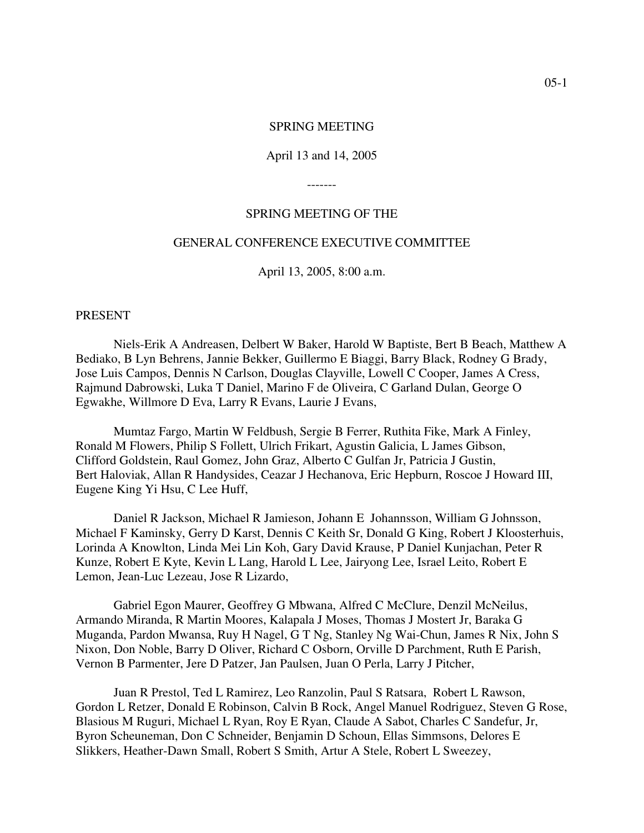#### SPRING MEETING

### April 13 and 14, 2005

-------

### SPRING MEETING OF THE

## GENERAL CONFERENCE EXECUTIVE COMMITTEE

April 13, 2005, 8:00 a.m.

### PRESENT

Niels-Erik A Andreasen, Delbert W Baker, Harold W Baptiste, Bert B Beach, Matthew A Bediako, B Lyn Behrens, Jannie Bekker, Guillermo E Biaggi, Barry Black, Rodney G Brady, Jose Luis Campos, Dennis N Carlson, Douglas Clayville, Lowell C Cooper, James A Cress, Rajmund Dabrowski, Luka T Daniel, Marino F de Oliveira, C Garland Dulan, George O Egwakhe, Willmore D Eva, Larry R Evans, Laurie J Evans,

Mumtaz Fargo, Martin W Feldbush, Sergie B Ferrer, Ruthita Fike, Mark A Finley, Ronald M Flowers, Philip S Follett, Ulrich Frikart, Agustin Galicia, L James Gibson, Clifford Goldstein, Raul Gomez, John Graz, Alberto C Gulfan Jr, Patricia J Gustin, Bert Haloviak, Allan R Handysides, Ceazar J Hechanova, Eric Hepburn, Roscoe J Howard III, Eugene King Yi Hsu, C Lee Huff,

Daniel R Jackson, Michael R Jamieson, Johann E Johannsson, William G Johnsson, Michael F Kaminsky, Gerry D Karst, Dennis C Keith Sr, Donald G King, Robert J Kloosterhuis, Lorinda A Knowlton, Linda Mei Lin Koh, Gary David Krause, P Daniel Kunjachan, Peter R Kunze, Robert E Kyte, Kevin L Lang, Harold L Lee, Jairyong Lee, Israel Leito, Robert E Lemon, Jean-Luc Lezeau, Jose R Lizardo,

Gabriel Egon Maurer, Geoffrey G Mbwana, Alfred C McClure, Denzil McNeilus, Armando Miranda, R Martin Moores, Kalapala J Moses, Thomas J Mostert Jr, Baraka G Muganda, Pardon Mwansa, Ruy H Nagel, G T Ng, Stanley Ng Wai-Chun, James R Nix, John S Nixon, Don Noble, Barry D Oliver, Richard C Osborn, Orville D Parchment, Ruth E Parish, Vernon B Parmenter, Jere D Patzer, Jan Paulsen, Juan O Perla, Larry J Pitcher,

Juan R Prestol, Ted L Ramirez, Leo Ranzolin, Paul S Ratsara, Robert L Rawson, Gordon L Retzer, Donald E Robinson, Calvin B Rock, Angel Manuel Rodriguez, Steven G Rose, Blasious M Ruguri, Michael L Ryan, Roy E Ryan, Claude A Sabot, Charles C Sandefur, Jr, Byron Scheuneman, Don C Schneider, Benjamin D Schoun, Ellas Simmsons, Delores E Slikkers, Heather-Dawn Small, Robert S Smith, Artur A Stele, Robert L Sweezey,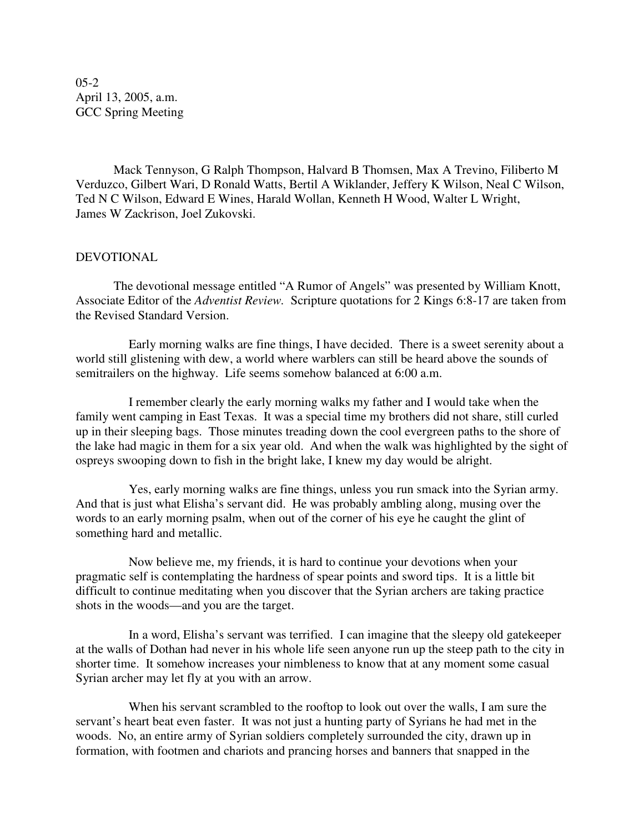$0.5 - 2$ April 13, 2005, a.m. GCC Spring Meeting

Mack Tennyson, G Ralph Thompson, Halvard B Thomsen, Max A Trevino, Filiberto M Verduzco, Gilbert Wari, D Ronald Watts, Bertil A Wiklander, Jeffery K Wilson, Neal C Wilson, Ted N C Wilson, Edward E Wines, Harald Wollan, Kenneth H Wood, Walter L Wright, James W Zackrison, Joel Zukovski.

### DEVOTIONAL

The devotional message entitled "A Rumor of Angels" was presented by William Knott, Associate Editor of the *Adventist Review.* Scripture quotations for 2 Kings 6:8-17 are taken from the Revised Standard Version.

Early morning walks are fine things, I have decided. There is a sweet serenity about a world still glistening with dew, a world where warblers can still be heard above the sounds of semitrailers on the highway. Life seems somehow balanced at 6:00 a.m.

I remember clearly the early morning walks my father and I would take when the family went camping in East Texas. It was a special time my brothers did not share, still curled up in their sleeping bags. Those minutes treading down the cool evergreen paths to the shore of the lake had magic in them for a six year old. And when the walk was highlighted by the sight of ospreys swooping down to fish in the bright lake, I knew my day would be alright.

Yes, early morning walks are fine things, unless you run smack into the Syrian army. And that is just what Elisha's servant did. He was probably ambling along, musing over the words to an early morning psalm, when out of the corner of his eye he caught the glint of something hard and metallic.

Now believe me, my friends, it is hard to continue your devotions when your pragmatic self is contemplating the hardness of spear points and sword tips. It is a little bit difficult to continue meditating when you discover that the Syrian archers are taking practice shots in the woods—and you are the target.

In a word, Elisha's servant was terrified. I can imagine that the sleepy old gatekeeper at the walls of Dothan had never in his whole life seen anyone run up the steep path to the city in shorter time. It somehow increases your nimbleness to know that at any moment some casual Syrian archer may let fly at you with an arrow.

When his servant scrambled to the rooftop to look out over the walls, I am sure the servant's heart beat even faster. It was not just a hunting party of Syrians he had met in the woods. No, an entire army of Syrian soldiers completely surrounded the city, drawn up in formation, with footmen and chariots and prancing horses and banners that snapped in the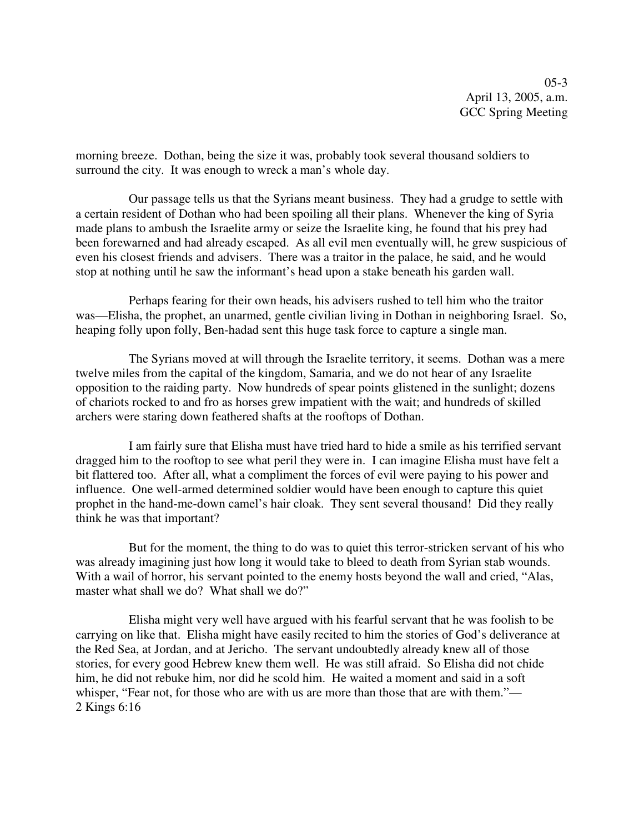05-3 April 13, 2005, a.m. GCC Spring Meeting

morning breeze. Dothan, being the size it was, probably took several thousand soldiers to surround the city. It was enough to wreck a man's whole day.

Our passage tells us that the Syrians meant business. They had a grudge to settle with a certain resident of Dothan who had been spoiling all their plans. Whenever the king of Syria made plans to ambush the Israelite army or seize the Israelite king, he found that his prey had been forewarned and had already escaped. As all evil men eventually will, he grew suspicious of even his closest friends and advisers. There was a traitor in the palace, he said, and he would stop at nothing until he saw the informant's head upon a stake beneath his garden wall.

Perhaps fearing for their own heads, his advisers rushed to tell him who the traitor was—Elisha, the prophet, an unarmed, gentle civilian living in Dothan in neighboring Israel. So, heaping folly upon folly, Ben-hadad sent this huge task force to capture a single man.

The Syrians moved at will through the Israelite territory, it seems. Dothan was a mere twelve miles from the capital of the kingdom, Samaria, and we do not hear of any Israelite opposition to the raiding party. Now hundreds of spear points glistened in the sunlight; dozens of chariots rocked to and fro as horses grew impatient with the wait; and hundreds of skilled archers were staring down feathered shafts at the rooftops of Dothan.

I am fairly sure that Elisha must have tried hard to hide a smile as his terrified servant dragged him to the rooftop to see what peril they were in. I can imagine Elisha must have felt a bit flattered too. After all, what a compliment the forces of evil were paying to his power and influence. One well-armed determined soldier would have been enough to capture this quiet prophet in the hand-me-down camel's hair cloak. They sent several thousand! Did they really think he was that important?

But for the moment, the thing to do was to quiet this terror-stricken servant of his who was already imagining just how long it would take to bleed to death from Syrian stab wounds. With a wail of horror, his servant pointed to the enemy hosts beyond the wall and cried, "Alas, master what shall we do? What shall we do?"

Elisha might very well have argued with his fearful servant that he was foolish to be carrying on like that. Elisha might have easily recited to him the stories of God's deliverance at the Red Sea, at Jordan, and at Jericho. The servant undoubtedly already knew all of those stories, for every good Hebrew knew them well. He was still afraid. So Elisha did not chide him, he did not rebuke him, nor did he scold him. He waited a moment and said in a soft whisper, "Fear not, for those who are with us are more than those that are with them."— 2 Kings 6:16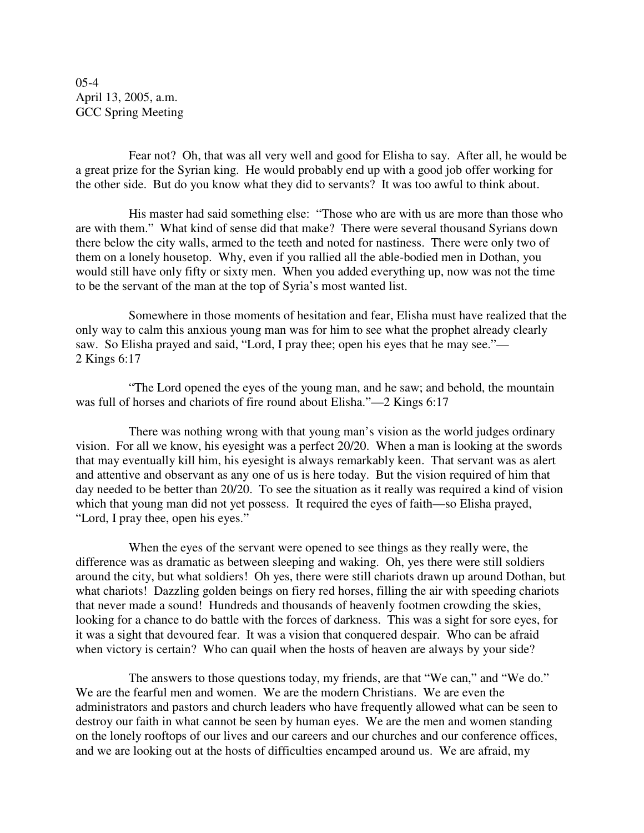05-4 April 13, 2005, a.m. GCC Spring Meeting

Fear not? Oh, that was all very well and good for Elisha to say. After all, he would be a great prize for the Syrian king. He would probably end up with a good job offer working for the other side. But do you know what they did to servants? It was too awful to think about.

His master had said something else: "Those who are with us are more than those who are with them." What kind of sense did that make? There were several thousand Syrians down there below the city walls, armed to the teeth and noted for nastiness. There were only two of them on a lonely housetop. Why, even if you rallied all the able-bodied men in Dothan, you would still have only fifty or sixty men. When you added everything up, now was not the time to be the servant of the man at the top of Syria's most wanted list.

Somewhere in those moments of hesitation and fear, Elisha must have realized that the only way to calm this anxious young man was for him to see what the prophet already clearly saw. So Elisha prayed and said, "Lord, I pray thee; open his eyes that he may see."— 2 Kings 6:17

"The Lord opened the eyes of the young man, and he saw; and behold, the mountain was full of horses and chariots of fire round about Elisha."—2 Kings 6:17

There was nothing wrong with that young man's vision as the world judges ordinary vision. For all we know, his eyesight was a perfect 20/20. When a man is looking at the swords that may eventually kill him, his eyesight is always remarkably keen. That servant was as alert and attentive and observant as any one of us is here today. But the vision required of him that day needed to be better than 20/20. To see the situation as it really was required a kind of vision which that young man did not yet possess. It required the eyes of faith—so Elisha prayed, "Lord, I pray thee, open his eyes."

When the eyes of the servant were opened to see things as they really were, the difference was as dramatic as between sleeping and waking. Oh, yes there were still soldiers around the city, but what soldiers! Oh yes, there were still chariots drawn up around Dothan, but what chariots! Dazzling golden beings on fiery red horses, filling the air with speeding chariots that never made a sound! Hundreds and thousands of heavenly footmen crowding the skies, looking for a chance to do battle with the forces of darkness. This was a sight for sore eyes, for it was a sight that devoured fear. It was a vision that conquered despair. Who can be afraid when victory is certain? Who can quail when the hosts of heaven are always by your side?

The answers to those questions today, my friends, are that "We can," and "We do." We are the fearful men and women. We are the modern Christians. We are even the administrators and pastors and church leaders who have frequently allowed what can be seen to destroy our faith in what cannot be seen by human eyes. We are the men and women standing on the lonely rooftops of our lives and our careers and our churches and our conference offices, and we are looking out at the hosts of difficulties encamped around us. We are afraid, my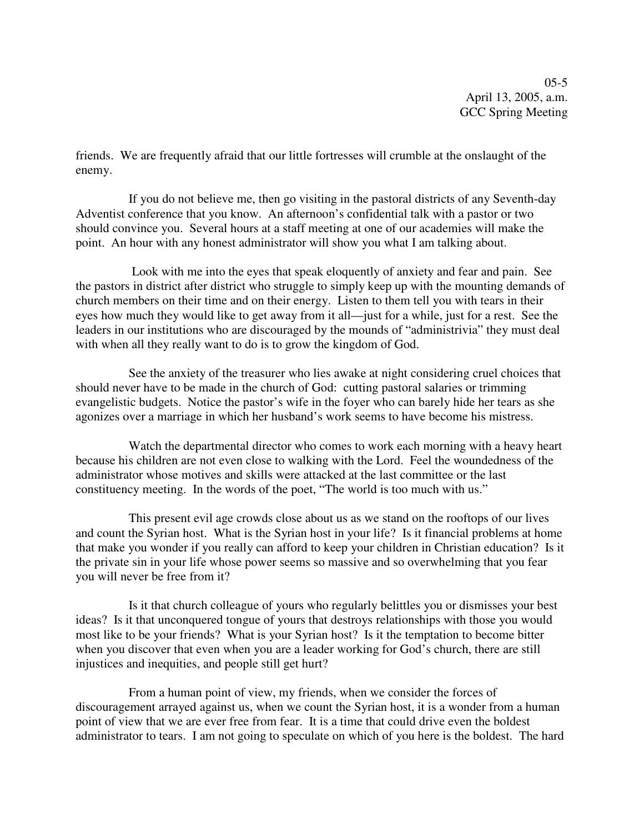$0.5 - 5$ April 13, 2005, a.m. GCC Spring Meeting

friends. We are frequently afraid that our little fortresses will crumble at the onslaught of the enemy.

If you do not believe me, then go visiting in the pastoral districts of any Seventh-day Adventist conference that you know. An afternoon's confidential talk with a pastor or two should convince you. Several hours at a staff meeting at one of our academies will make the point. An hour with any honest administrator will show you what I am talking about.

Look with me into the eyes that speak eloquently of anxiety and fear and pain. See the pastors in district after district who struggle to simply keep up with the mounting demands of church members on their time and on their energy. Listen to them tell you with tears in their eyes how much they would like to get away from it all—just for a while, just for a rest. See the leaders in our institutions who are discouraged by the mounds of "administrivia" they must deal with when all they really want to do is to grow the kingdom of God.

See the anxiety of the treasurer who lies awake at night considering cruel choices that should never have to be made in the church of God: cutting pastoral salaries or trimming evangelistic budgets. Notice the pastor's wife in the foyer who can barely hide her tears as she agonizes over a marriage in which her husband's work seems to have become his mistress.

Watch the departmental director who comes to work each morning with a heavy heart because his children are not even close to walking with the Lord. Feel the woundedness of the administrator whose motives and skills were attacked at the last committee or the last constituency meeting. In the words of the poet, "The world is too much with us."

This present evil age crowds close about us as we stand on the rooftops of our lives and count the Syrian host. What is the Syrian host in your life? Is it financial problems at home that make you wonder if you really can afford to keep your children in Christian education? Is it the private sin in your life whose power seems so massive and so overwhelming that you fear you will never be free from it?

Is it that church colleague of yours who regularly belittles you or dismisses your best ideas? Is it that unconquered tongue of yours that destroys relationships with those you would most like to be your friends? What is your Syrian host? Is it the temptation to become bitter when you discover that even when you are a leader working for God's church, there are still injustices and inequities, and people still get hurt?

From a human point of view, my friends, when we consider the forces of discouragement arrayed against us, when we count the Syrian host, it is a wonder from a human point of view that we are ever free from fear. It is a time that could drive even the boldest administrator to tears. I am not going to speculate on which of you here is the boldest. The hard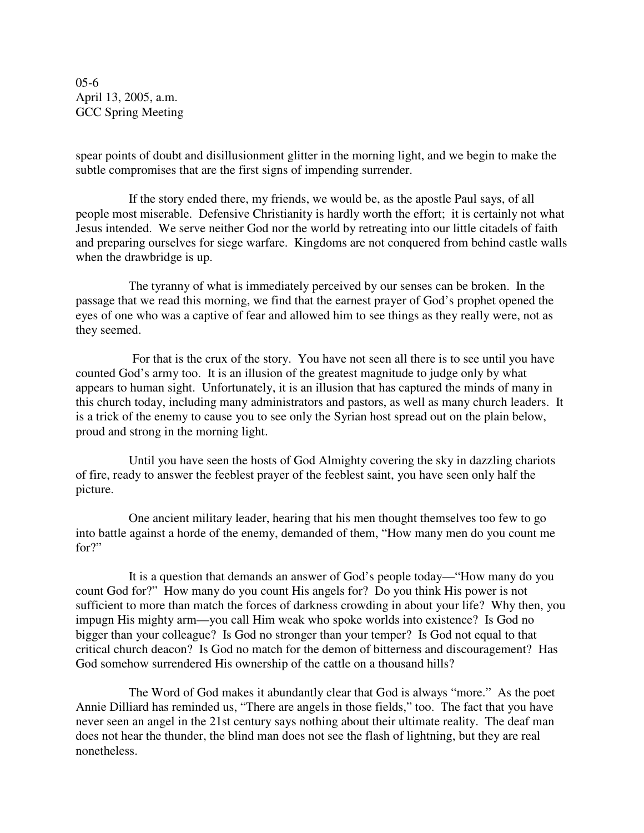05-6 April 13, 2005, a.m. GCC Spring Meeting

spear points of doubt and disillusionment glitter in the morning light, and we begin to make the subtle compromises that are the first signs of impending surrender.

If the story ended there, my friends, we would be, as the apostle Paul says, of all people most miserable. Defensive Christianity is hardly worth the effort; it is certainly not what Jesus intended. We serve neither God nor the world by retreating into our little citadels of faith and preparing ourselves for siege warfare. Kingdoms are not conquered from behind castle walls when the drawbridge is up.

The tyranny of what is immediately perceived by our senses can be broken. In the passage that we read this morning, we find that the earnest prayer of God's prophet opened the eyes of one who was a captive of fear and allowed him to see things as they really were, not as they seemed.

For that is the crux of the story. You have not seen all there is to see until you have counted God's army too. It is an illusion of the greatest magnitude to judge only by what appears to human sight. Unfortunately, it is an illusion that has captured the minds of many in this church today, including many administrators and pastors, as well as many church leaders. It is a trick of the enemy to cause you to see only the Syrian host spread out on the plain below, proud and strong in the morning light.

Until you have seen the hosts of God Almighty covering the sky in dazzling chariots of fire, ready to answer the feeblest prayer of the feeblest saint, you have seen only half the picture.

One ancient military leader, hearing that his men thought themselves too few to go into battle against a horde of the enemy, demanded of them, "How many men do you count me for?"

It is a question that demands an answer of God's people today—"How many do you count God for?" How many do you count His angels for? Do you think His power is not sufficient to more than match the forces of darkness crowding in about your life? Why then, you impugn His mighty arm—you call Him weak who spoke worlds into existence? Is God no bigger than your colleague? Is God no stronger than your temper? Is God not equal to that critical church deacon? Is God no match for the demon of bitterness and discouragement? Has God somehow surrendered His ownership of the cattle on a thousand hills?

The Word of God makes it abundantly clear that God is always "more." As the poet Annie Dilliard has reminded us, "There are angels in those fields," too. The fact that you have never seen an angel in the 21st century says nothing about their ultimate reality. The deaf man does not hear the thunder, the blind man does not see the flash of lightning, but they are real nonetheless.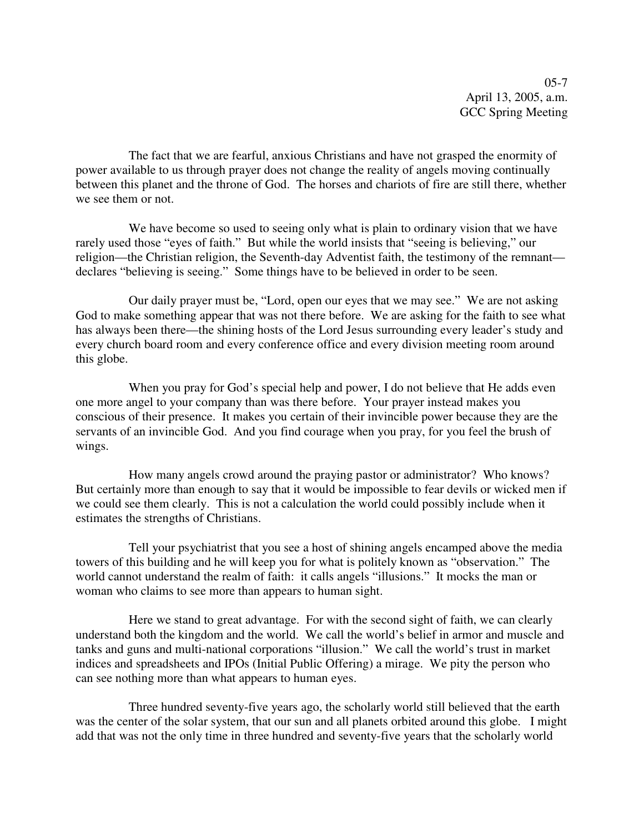05-7 April 13, 2005, a.m. GCC Spring Meeting

The fact that we are fearful, anxious Christians and have not grasped the enormity of power available to us through prayer does not change the reality of angels moving continually between this planet and the throne of God. The horses and chariots of fire are still there, whether we see them or not.

We have become so used to seeing only what is plain to ordinary vision that we have rarely used those "eyes of faith." But while the world insists that "seeing is believing," our religion—the Christian religion, the Seventh-day Adventist faith, the testimony of the remnant declares "believing is seeing." Some things have to be believed in order to be seen.

Our daily prayer must be, "Lord, open our eyes that we may see." We are not asking God to make something appear that was not there before. We are asking for the faith to see what has always been there—the shining hosts of the Lord Jesus surrounding every leader's study and every church board room and every conference office and every division meeting room around this globe.

When you pray for God's special help and power, I do not believe that He adds even one more angel to your company than was there before. Your prayer instead makes you conscious of their presence. It makes you certain of their invincible power because they are the servants of an invincible God. And you find courage when you pray, for you feel the brush of wings.

How many angels crowd around the praying pastor or administrator? Who knows? But certainly more than enough to say that it would be impossible to fear devils or wicked men if we could see them clearly. This is not a calculation the world could possibly include when it estimates the strengths of Christians.

Tell your psychiatrist that you see a host of shining angels encamped above the media towers of this building and he will keep you for what is politely known as "observation." The world cannot understand the realm of faith: it calls angels "illusions." It mocks the man or woman who claims to see more than appears to human sight.

Here we stand to great advantage. For with the second sight of faith, we can clearly understand both the kingdom and the world. We call the world's belief in armor and muscle and tanks and guns and multi-national corporations "illusion." We call the world's trust in market indices and spreadsheets and IPOs (Initial Public Offering) a mirage. We pity the person who can see nothing more than what appears to human eyes.

Three hundred seventy-five years ago, the scholarly world still believed that the earth was the center of the solar system, that our sun and all planets orbited around this globe. I might add that was not the only time in three hundred and seventy-five years that the scholarly world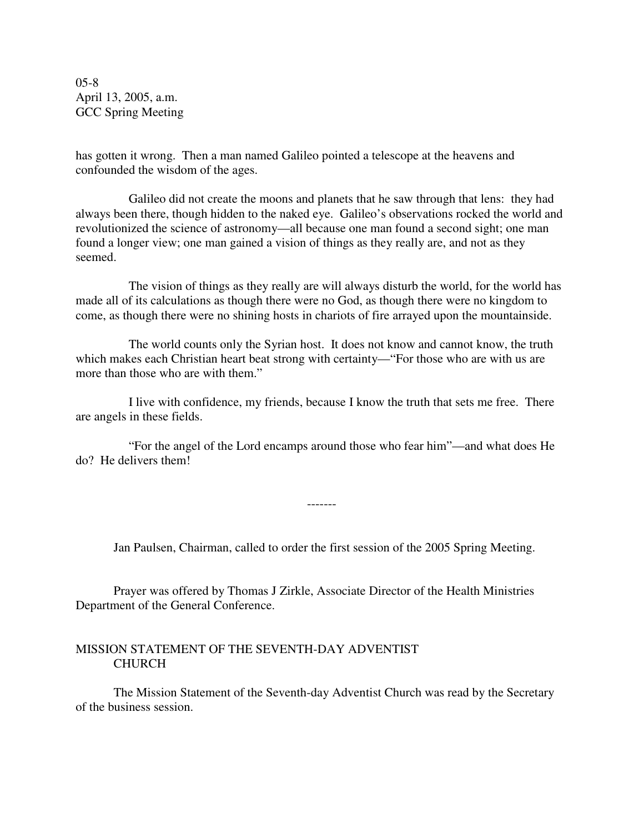05-8 April 13, 2005, a.m. GCC Spring Meeting

has gotten it wrong. Then a man named Galileo pointed a telescope at the heavens and confounded the wisdom of the ages.

Galileo did not create the moons and planets that he saw through that lens: they had always been there, though hidden to the naked eye. Galileo's observations rocked the world and revolutionized the science of astronomy—all because one man found a second sight; one man found a longer view; one man gained a vision of things as they really are, and not as they seemed.

The vision of things as they really are will always disturb the world, for the world has made all of its calculations as though there were no God, as though there were no kingdom to come, as though there were no shining hosts in chariots of fire arrayed upon the mountainside.

The world counts only the Syrian host. It does not know and cannot know, the truth which makes each Christian heart beat strong with certainty—"For those who are with us are more than those who are with them."

I live with confidence, my friends, because I know the truth that sets me free. There are angels in these fields.

"For the angel of the Lord encamps around those who fear him"—and what does He do? He delivers them!

Jan Paulsen, Chairman, called to order the first session of the 2005 Spring Meeting.

-------

Prayer was offered by Thomas J Zirkle, Associate Director of the Health Ministries Department of the General Conference.

### MISSION STATEMENT OF THE SEVENTH-DAY ADVENTIST CHURCH

The Mission Statement of the Seventh-day Adventist Church was read by the Secretary of the business session.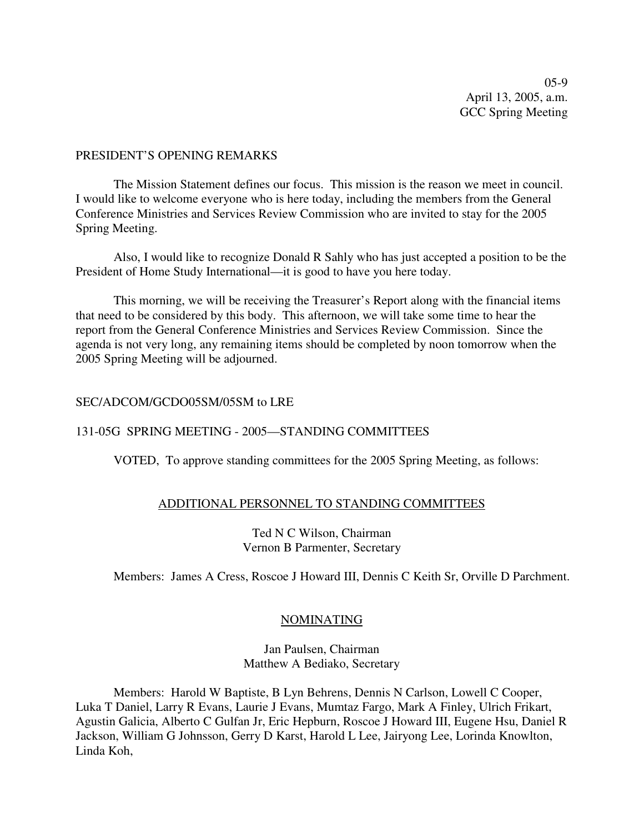05-9 April 13, 2005, a.m. GCC Spring Meeting

### PRESIDENT'S OPENING REMARKS

The Mission Statement defines our focus. This mission is the reason we meet in council. I would like to welcome everyone who is here today, including the members from the General Conference Ministries and Services Review Commission who are invited to stay for the 2005 Spring Meeting.

Also, I would like to recognize Donald R Sahly who has just accepted a position to be the President of Home Study International—it is good to have you here today.

This morning, we will be receiving the Treasurer's Report along with the financial items that need to be considered by this body. This afternoon, we will take some time to hear the report from the General Conference Ministries and Services Review Commission. Since the agenda is not very long, any remaining items should be completed by noon tomorrow when the 2005 Spring Meeting will be adjourned.

### SEC/ADCOM/GCDO05SM/05SM to LRE

### 131-05G SPRING MEETING - 2005—STANDING COMMITTEES

VOTED, To approve standing committees for the 2005 Spring Meeting, as follows:

### ADDITIONAL PERSONNEL TO STANDING COMMITTEES

Ted N C Wilson, Chairman Vernon B Parmenter, Secretary

Members: James A Cress, Roscoe J Howard III, Dennis C Keith Sr, Orville D Parchment.

### NOMINATING

Jan Paulsen, Chairman Matthew A Bediako, Secretary

Members: Harold W Baptiste, B Lyn Behrens, Dennis N Carlson, Lowell C Cooper, Luka T Daniel, Larry R Evans, Laurie J Evans, Mumtaz Fargo, Mark A Finley, Ulrich Frikart, Agustin Galicia, Alberto C Gulfan Jr, Eric Hepburn, Roscoe J Howard III, Eugene Hsu, Daniel R Jackson, William G Johnsson, Gerry D Karst, Harold L Lee, Jairyong Lee, Lorinda Knowlton, Linda Koh,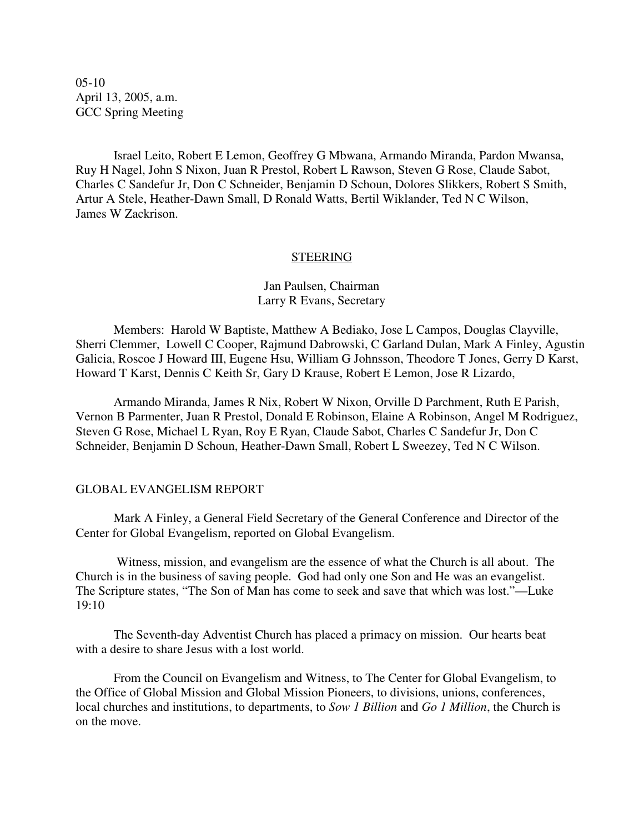$05-10$ April 13, 2005, a.m. GCC Spring Meeting

Israel Leito, Robert E Lemon, Geoffrey G Mbwana, Armando Miranda, Pardon Mwansa, Ruy H Nagel, John S Nixon, Juan R Prestol, Robert L Rawson, Steven G Rose, Claude Sabot, Charles C Sandefur Jr, Don C Schneider, Benjamin D Schoun, Dolores Slikkers, Robert S Smith, Artur A Stele, Heather-Dawn Small, D Ronald Watts, Bertil Wiklander, Ted N C Wilson, James W Zackrison.

### STEERING

Jan Paulsen, Chairman Larry R Evans, Secretary

Members: Harold W Baptiste, Matthew A Bediako, Jose L Campos, Douglas Clayville, Sherri Clemmer, Lowell C Cooper, Rajmund Dabrowski, C Garland Dulan, Mark A Finley, Agustin Galicia, Roscoe J Howard III, Eugene Hsu, William G Johnsson, Theodore T Jones, Gerry D Karst, Howard T Karst, Dennis C Keith Sr, Gary D Krause, Robert E Lemon, Jose R Lizardo,

Armando Miranda, James R Nix, Robert W Nixon, Orville D Parchment, Ruth E Parish, Vernon B Parmenter, Juan R Prestol, Donald E Robinson, Elaine A Robinson, Angel M Rodriguez, Steven G Rose, Michael L Ryan, Roy E Ryan, Claude Sabot, Charles C Sandefur Jr, Don C Schneider, Benjamin D Schoun, Heather-Dawn Small, Robert L Sweezey, Ted N C Wilson.

### GLOBAL EVANGELISM REPORT

Mark A Finley, a General Field Secretary of the General Conference and Director of the Center for Global Evangelism, reported on Global Evangelism.

Witness, mission, and evangelism are the essence of what the Church is all about. The Church is in the business of saving people. God had only one Son and He was an evangelist. The Scripture states, "The Son of Man has come to seek and save that which was lost."—Luke 19:10

The Seventh-day Adventist Church has placed a primacy on mission. Our hearts beat with a desire to share Jesus with a lost world.

From the Council on Evangelism and Witness, to The Center for Global Evangelism, to the Office of Global Mission and Global Mission Pioneers, to divisions, unions, conferences, local churches and institutions, to departments, to *Sow 1 Billion* and *Go 1 Million*, the Church is on the move.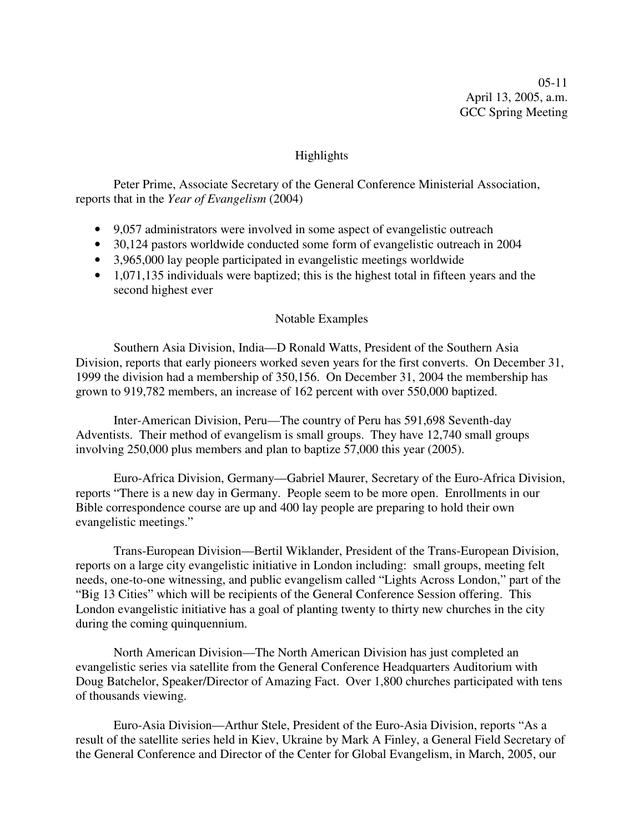05-11 April 13, 2005, a.m. GCC Spring Meeting

## Highlights

Peter Prime, Associate Secretary of the General Conference Ministerial Association, reports that in the *Year of Evangelism* (2004)

- 9,057 administrators were involved in some aspect of evangelistic outreach
- 30,124 pastors worldwide conducted some form of evangelistic outreach in 2004
- 3,965,000 lay people participated in evangelistic meetings worldwide
- 1,071,135 individuals were baptized; this is the highest total in fifteen years and the second highest ever

### Notable Examples

Southern Asia Division, India—D Ronald Watts, President of the Southern Asia Division, reports that early pioneers worked seven years for the first converts. On December 31, 1999 the division had a membership of 350,156. On December 31, 2004 the membership has grown to 919,782 members, an increase of 162 percent with over 550,000 baptized.

Inter-American Division, Peru—The country of Peru has 591,698 Seventh-day Adventists. Their method of evangelism is small groups. They have 12,740 small groups involving 250,000 plus members and plan to baptize 57,000 this year (2005).

Euro-Africa Division, Germany—Gabriel Maurer, Secretary of the Euro-Africa Division, reports "There is a new day in Germany. People seem to be more open. Enrollments in our Bible correspondence course are up and 400 lay people are preparing to hold their own evangelistic meetings."

Trans-European Division—Bertil Wiklander, President of the Trans-European Division, reports on a large city evangelistic initiative in London including: small groups, meeting felt needs, one-to-one witnessing, and public evangelism called "Lights Across London," part of the "Big 13 Cities" which will be recipients of the General Conference Session offering. This London evangelistic initiative has a goal of planting twenty to thirty new churches in the city during the coming quinquennium.

North American Division—The North American Division has just completed an evangelistic series via satellite from the General Conference Headquarters Auditorium with Doug Batchelor, Speaker/Director of Amazing Fact. Over 1,800 churches participated with tens of thousands viewing.

Euro-Asia Division—Arthur Stele, President of the Euro-Asia Division, reports "As a result of the satellite series held in Kiev, Ukraine by Mark A Finley, a General Field Secretary of the General Conference and Director of the Center for Global Evangelism, in March, 2005, our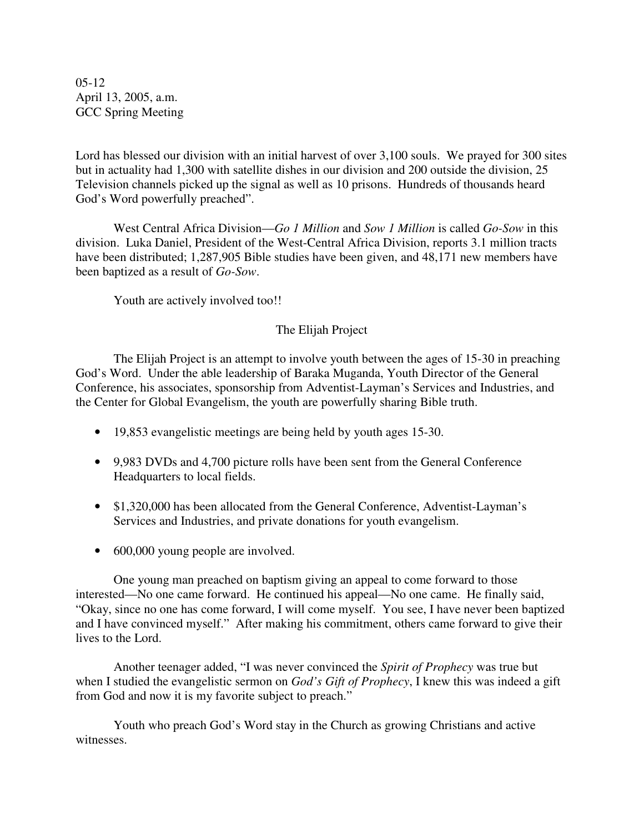05-12 April 13, 2005, a.m. GCC Spring Meeting

Lord has blessed our division with an initial harvest of over 3,100 souls. We prayed for 300 sites but in actuality had 1,300 with satellite dishes in our division and 200 outside the division, 25 Television channels picked up the signal as well as 10 prisons. Hundreds of thousands heard God's Word powerfully preached".

West Central Africa Division—*Go 1 Million* and *Sow 1 Million* is called *Go-Sow* in this division. Luka Daniel, President of the West-Central Africa Division, reports 3.1 million tracts have been distributed; 1,287,905 Bible studies have been given, and 48,171 new members have been baptized as a result of *Go-Sow*.

Youth are actively involved too!!

# The Elijah Project

The Elijah Project is an attempt to involve youth between the ages of 15-30 in preaching God's Word. Under the able leadership of Baraka Muganda, Youth Director of the General Conference, his associates, sponsorship from Adventist-Layman's Services and Industries, and the Center for Global Evangelism, the youth are powerfully sharing Bible truth.

- 19,853 evangelistic meetings are being held by youth ages 15-30.
- 9,983 DVDs and 4,700 picture rolls have been sent from the General Conference Headquarters to local fields.
- \$1,320,000 has been allocated from the General Conference, Adventist-Layman's Services and Industries, and private donations for youth evangelism.
- 600,000 young people are involved.

One young man preached on baptism giving an appeal to come forward to those interested—No one came forward. He continued his appeal—No one came. He finally said, "Okay, since no one has come forward, I will come myself. You see, I have never been baptized and I have convinced myself." After making his commitment, others came forward to give their lives to the Lord.

Another teenager added, "I was never convinced the *Spirit of Prophecy* was true but when I studied the evangelistic sermon on *God's Gift of Prophecy*, I knew this was indeed a gift from God and now it is my favorite subject to preach."

Youth who preach God's Word stay in the Church as growing Christians and active witnesses.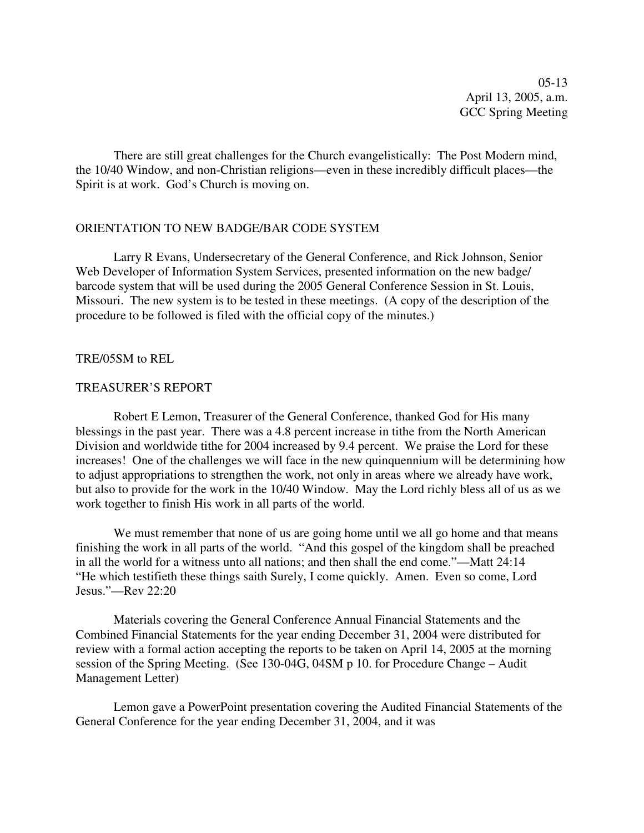05-13 April 13, 2005, a.m. GCC Spring Meeting

There are still great challenges for the Church evangelistically: The Post Modern mind, the 10/40 Window, and non-Christian religions—even in these incredibly difficult places—the Spirit is at work. God's Church is moving on.

### ORIENTATION TO NEW BADGE/BAR CODE SYSTEM

Larry R Evans, Undersecretary of the General Conference, and Rick Johnson, Senior Web Developer of Information System Services, presented information on the new badge/ barcode system that will be used during the 2005 General Conference Session in St. Louis, Missouri. The new system is to be tested in these meetings. (A copy of the description of the procedure to be followed is filed with the official copy of the minutes.)

TRE/05SM to REL

### TREASURER'S REPORT

Robert E Lemon, Treasurer of the General Conference, thanked God for His many blessings in the past year. There was a 4.8 percent increase in tithe from the North American Division and worldwide tithe for 2004 increased by 9.4 percent. We praise the Lord for these increases! One of the challenges we will face in the new quinquennium will be determining how to adjust appropriations to strengthen the work, not only in areas where we already have work, but also to provide for the work in the 10/40 Window. May the Lord richly bless all of us as we work together to finish His work in all parts of the world.

We must remember that none of us are going home until we all go home and that means finishing the work in all parts of the world. "And this gospel of the kingdom shall be preached in all the world for a witness unto all nations; and then shall the end come."—Matt 24:14 "He which testifieth these things saith Surely, I come quickly. Amen. Even so come, Lord Jesus."—Rev 22:20

Materials covering the General Conference Annual Financial Statements and the Combined Financial Statements for the year ending December 31, 2004 were distributed for review with a formal action accepting the reports to be taken on April 14, 2005 at the morning session of the Spring Meeting. (See 130-04G, 04SM p 10. for Procedure Change – Audit Management Letter)

Lemon gave a PowerPoint presentation covering the Audited Financial Statements of the General Conference for the year ending December 31, 2004, and it was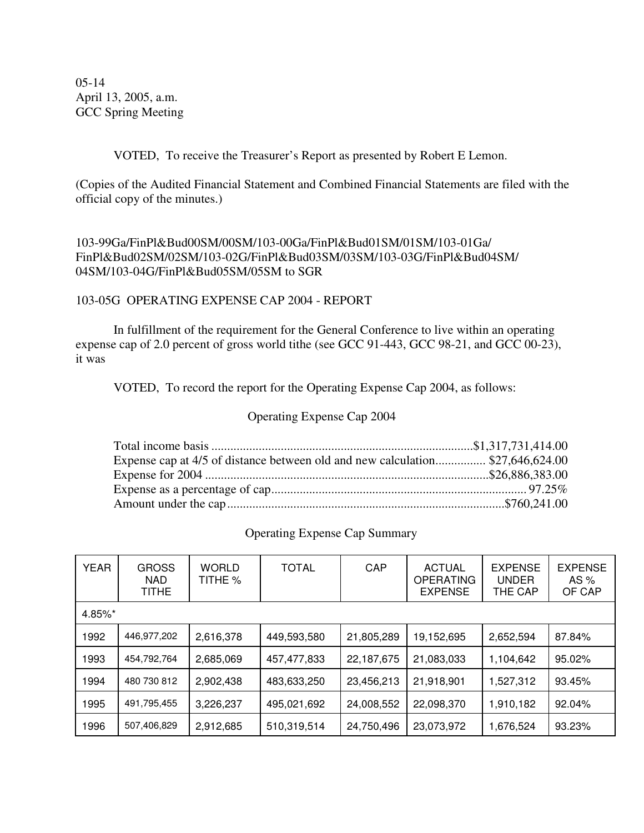05-14 April 13, 2005, a.m. GCC Spring Meeting

## VOTED, To receive the Treasurer's Report as presented by Robert E Lemon.

(Copies of the Audited Financial Statement and Combined Financial Statements are filed with the official copy of the minutes.)

# 103-99Ga/FinPl&Bud00SM/00SM/103-00Ga/FinPl&Bud01SM/01SM/103-01Ga/ FinPl&Bud02SM/02SM/103-02G/FinPl&Bud03SM/03SM/103-03G/FinPl&Bud04SM/ 04SM/103-04G/FinPl&Bud05SM/05SM to SGR

## 103-05G OPERATING EXPENSE CAP 2004 - REPORT

In fulfillment of the requirement for the General Conference to live within an operating expense cap of 2.0 percent of gross world tithe (see GCC 91-443, GCC 98-21, and GCC 00-23), it was

VOTED, To record the report for the Operating Expense Cap 2004, as follows:

## Operating Expense Cap 2004

| Expense cap at 4/5 of distance between old and new calculation \$27,646,624.00 |  |
|--------------------------------------------------------------------------------|--|
|                                                                                |  |
|                                                                                |  |
|                                                                                |  |

## Operating Expense Cap Summary

| <b>YEAR</b> | <b>GROSS</b><br>NAD.<br>TITHE | <b>WORLD</b><br>TITHE % | <b>TOTAL</b> | CAP        | <b>ACTUAL</b><br><b>OPERATING</b><br><b>EXPENSE</b> | <b>EXPENSE</b><br>UNDER<br>THE CAP | <b>EXPENSE</b><br>AS $%$<br>OF CAP |
|-------------|-------------------------------|-------------------------|--------------|------------|-----------------------------------------------------|------------------------------------|------------------------------------|
| 4.85%*      |                               |                         |              |            |                                                     |                                    |                                    |
| 1992        | 446,977,202                   | 2,616,378               | 449,593,580  | 21,805,289 | 19,152,695                                          | 2,652,594                          | 87.84%                             |
| 1993        | 454,792,764                   | 2,685,069               | 457,477,833  | 22,187,675 | 21,083,033                                          | 1,104,642                          | 95.02%                             |
| 1994        | 480 730 812                   | 2,902,438               | 483,633,250  | 23,456,213 | 21,918,901                                          | 1,527,312                          | 93.45%                             |
| 1995        | 491,795,455                   | 3,226,237               | 495,021,692  | 24,008,552 | 22,098,370                                          | 1,910,182                          | 92.04%                             |
| 1996        | 507,406,829                   | 2,912,685               | 510,319,514  | 24,750,496 | 23,073,972                                          | 1,676,524                          | 93.23%                             |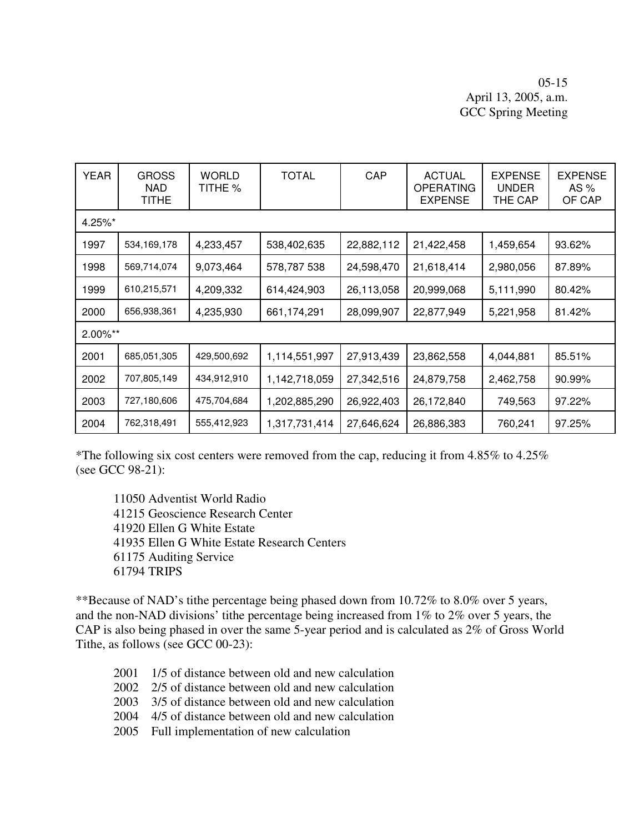# 05-15 April 13, 2005, a.m. GCC Spring Meeting

| YEAR                  | <b>GROSS</b><br>NAD.<br>TITHE | <b>WORLD</b><br>TITHE % | <b>TOTAL</b>  | CAP        | <b>ACTUAL</b><br><b>OPERATING</b><br><b>EXPENSE</b> | <b>EXPENSE</b><br><b>UNDER</b><br>THE CAP | <b>EXPENSE</b><br>AS $%$<br>OF CAP |
|-----------------------|-------------------------------|-------------------------|---------------|------------|-----------------------------------------------------|-------------------------------------------|------------------------------------|
| $4.25\%$ <sup>*</sup> |                               |                         |               |            |                                                     |                                           |                                    |
| 1997                  | 534, 169, 178                 | 4,233,457               | 538,402,635   | 22,882,112 | 21,422,458                                          | 1,459,654                                 | 93.62%                             |
| 1998                  | 569,714,074                   | 9,073,464               | 578,787 538   | 24,598,470 | 21,618,414                                          | 2,980,056                                 | 87.89%                             |
| 1999                  | 610,215,571                   | 4,209,332               | 614,424,903   | 26,113,058 | 20,999,068                                          | 5,111,990                                 | 80.42%                             |
| 2000                  | 656,938,361                   | 4,235,930               | 661, 174, 291 | 28,099,907 | 22,877,949                                          | 5,221,958                                 | 81.42%                             |
| $2.00\%$ **           |                               |                         |               |            |                                                     |                                           |                                    |
| 2001                  | 685,051,305                   | 429,500,692             | 1,114,551,997 | 27,913,439 | 23,862,558                                          | 4,044,881                                 | 85.51%                             |
| 2002                  | 707,805,149                   | 434,912,910             | 1,142,718,059 | 27,342,516 | 24,879,758                                          | 2,462,758                                 | 90.99%                             |
| 2003                  | 727,180,606                   | 475,704,684             | 1,202,885,290 | 26,922,403 | 26,172,840                                          | 749,563                                   | 97.22%                             |
| 2004                  | 762,318,491                   | 555,412,923             | 1,317,731,414 | 27,646,624 | 26,886,383                                          | 760,241                                   | 97.25%                             |

\*The following six cost centers were removed from the cap, reducing it from 4.85% to 4.25% (see GCC 98-21):

 Adventist World Radio Geoscience Research Center Ellen G White Estate Ellen G White Estate Research Centers Auditing Service 61794 TRIPS

\*\*Because of NAD's tithe percentage being phased down from 10.72% to 8.0% over 5 years, and the non-NAD divisions' tithe percentage being increased from 1% to 2% over 5 years, the CAP is also being phased in over the same 5-year period and is calculated as 2% of Gross World Tithe, as follows (see GCC 00-23):

- 2001 1/5 of distance between old and new calculation
- 2002 2/5 of distance between old and new calculation
- 2003 3/5 of distance between old and new calculation
- 2004 4/5 of distance between old and new calculation
- 2005 Full implementation of new calculation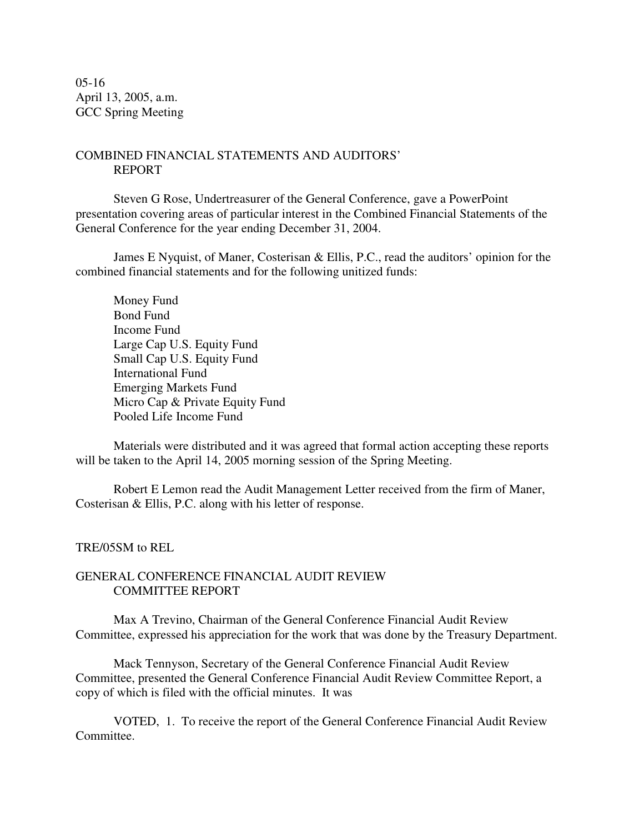05-16 April 13, 2005, a.m. GCC Spring Meeting

## COMBINED FINANCIAL STATEMENTS AND AUDITORS' REPORT

Steven G Rose, Undertreasurer of the General Conference, gave a PowerPoint presentation covering areas of particular interest in the Combined Financial Statements of the General Conference for the year ending December 31, 2004.

James E Nyquist, of Maner, Costerisan & Ellis, P.C., read the auditors' opinion for the combined financial statements and for the following unitized funds:

Money Fund Bond Fund Income Fund Large Cap U.S. Equity Fund Small Cap U.S. Equity Fund International Fund Emerging Markets Fund Micro Cap & Private Equity Fund Pooled Life Income Fund

Materials were distributed and it was agreed that formal action accepting these reports will be taken to the April 14, 2005 morning session of the Spring Meeting.

Robert E Lemon read the Audit Management Letter received from the firm of Maner, Costerisan & Ellis, P.C. along with his letter of response.

### TRE/05SM to REL

### GENERAL CONFERENCE FINANCIAL AUDIT REVIEW COMMITTEE REPORT

Max A Trevino, Chairman of the General Conference Financial Audit Review Committee, expressed his appreciation for the work that was done by the Treasury Department.

Mack Tennyson, Secretary of the General Conference Financial Audit Review Committee, presented the General Conference Financial Audit Review Committee Report, a copy of which is filed with the official minutes. It was

VOTED, 1. To receive the report of the General Conference Financial Audit Review Committee.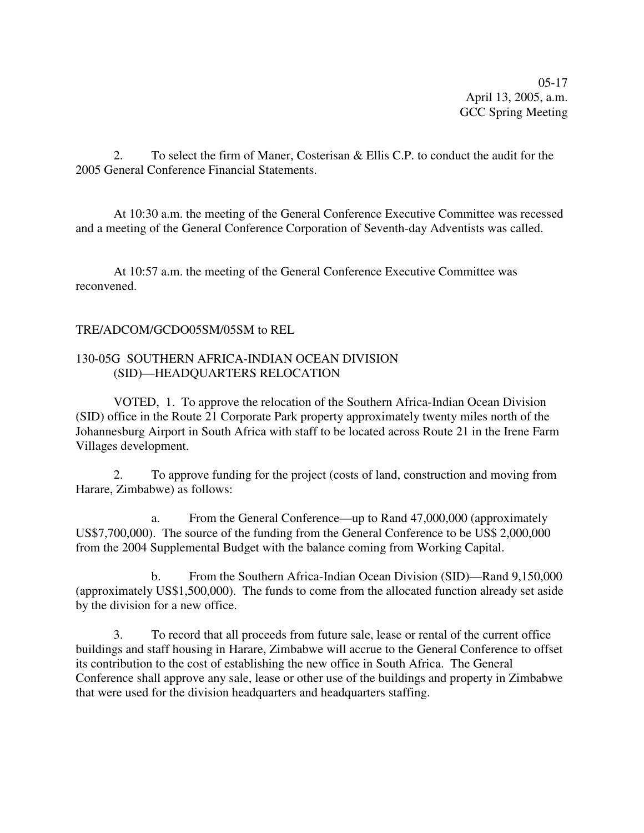05-17 April 13, 2005, a.m. GCC Spring Meeting

2. To select the firm of Maner, Costerisan & Ellis C.P. to conduct the audit for the 2005 General Conference Financial Statements.

At 10:30 a.m. the meeting of the General Conference Executive Committee was recessed and a meeting of the General Conference Corporation of Seventh-day Adventists was called.

At 10:57 a.m. the meeting of the General Conference Executive Committee was reconvened.

# TRE/ADCOM/GCDO05SM/05SM to REL

# 130-05G SOUTHERN AFRICA-INDIAN OCEAN DIVISION (SID)—HEADQUARTERS RELOCATION

VOTED, 1. To approve the relocation of the Southern Africa-Indian Ocean Division (SID) office in the Route 21 Corporate Park property approximately twenty miles north of the Johannesburg Airport in South Africa with staff to be located across Route 21 in the Irene Farm Villages development.

2. To approve funding for the project (costs of land, construction and moving from Harare, Zimbabwe) as follows:

a. From the General Conference—up to Rand 47,000,000 (approximately US\$7,700,000). The source of the funding from the General Conference to be US\$ 2,000,000 from the 2004 Supplemental Budget with the balance coming from Working Capital.

b. From the Southern Africa-Indian Ocean Division (SID)—Rand 9,150,000 (approximately US\$1,500,000). The funds to come from the allocated function already set aside by the division for a new office.

3. To record that all proceeds from future sale, lease or rental of the current office buildings and staff housing in Harare, Zimbabwe will accrue to the General Conference to offset its contribution to the cost of establishing the new office in South Africa. The General Conference shall approve any sale, lease or other use of the buildings and property in Zimbabwe that were used for the division headquarters and headquarters staffing.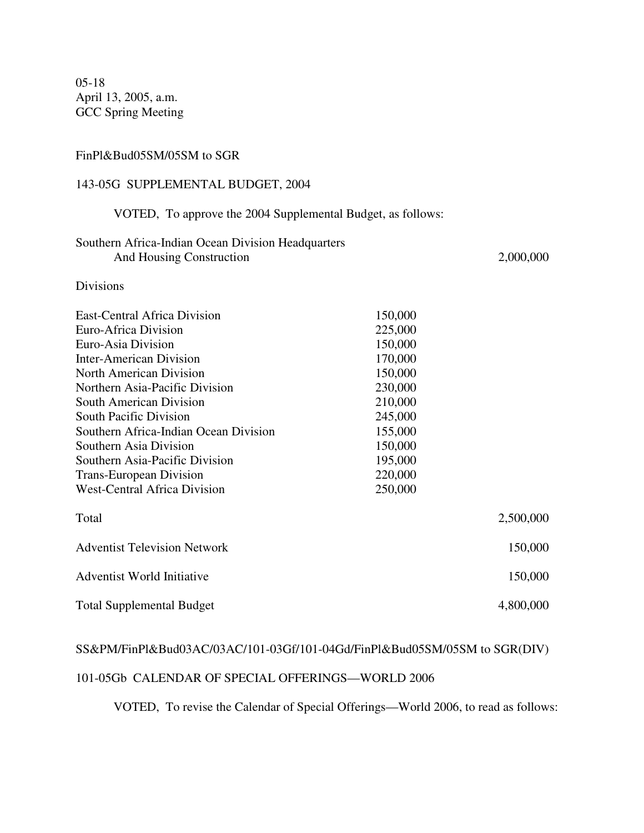05-18 April 13, 2005, a.m. GCC Spring Meeting

### FinPl&Bud05SM/05SM to SGR

# 143-05G SUPPLEMENTAL BUDGET, 2004

# VOTED, To approve the 2004 Supplemental Budget, as follows:

| Southern Africa-Indian Ocean Division Headquarters<br>And Housing Construction |         | 2,000,000 |
|--------------------------------------------------------------------------------|---------|-----------|
| <b>Divisions</b>                                                               |         |           |
| <b>East-Central Africa Division</b>                                            | 150,000 |           |
| Euro-Africa Division                                                           | 225,000 |           |
| Euro-Asia Division                                                             | 150,000 |           |
| <b>Inter-American Division</b>                                                 | 170,000 |           |
| North American Division                                                        | 150,000 |           |
| Northern Asia-Pacific Division                                                 | 230,000 |           |
| <b>South American Division</b>                                                 | 210,000 |           |
| <b>South Pacific Division</b>                                                  | 245,000 |           |
| Southern Africa-Indian Ocean Division                                          | 155,000 |           |
| Southern Asia Division                                                         | 150,000 |           |
| Southern Asia-Pacific Division                                                 | 195,000 |           |
| <b>Trans-European Division</b>                                                 | 220,000 |           |
| <b>West-Central Africa Division</b>                                            | 250,000 |           |
| Total                                                                          |         | 2,500,000 |
| <b>Adventist Television Network</b>                                            |         | 150,000   |
| <b>Adventist World Initiative</b>                                              |         | 150,000   |
| <b>Total Supplemental Budget</b>                                               |         | 4,800,000 |

## SS&PM/FinPl&Bud03AC/03AC/101-03Gf/101-04Gd/FinPl&Bud05SM/05SM to SGR(DIV)

### 101-05Gb CALENDAR OF SPECIAL OFFERINGS—WORLD 2006

VOTED, To revise the Calendar of Special Offerings—World 2006, to read as follows: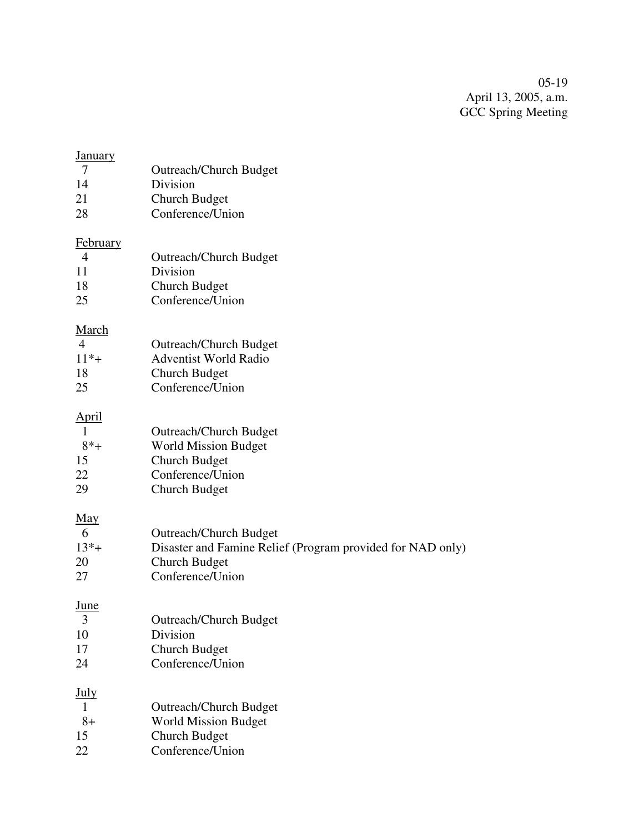05-19 April 13, 2005, a.m. GCC Spring Meeting

| <b>January</b><br>7<br>14<br>21<br>28               | <b>Outreach/Church Budget</b><br>Division<br><b>Church Budget</b><br>Conference/Union                                                   |
|-----------------------------------------------------|-----------------------------------------------------------------------------------------------------------------------------------------|
| <b>February</b><br>$\overline{4}$<br>11<br>18<br>25 | <b>Outreach/Church Budget</b><br>Division<br><b>Church Budget</b><br>Conference/Union                                                   |
| <b>March</b><br>4<br>$11*+$<br>18<br>25             | <b>Outreach/Church Budget</b><br><b>Adventist World Radio</b><br><b>Church Budget</b><br>Conference/Union                               |
| April<br>1<br>$8*$ +<br>15<br>22<br>29              | <b>Outreach/Church Budget</b><br>World Mission Budget<br><b>Church Budget</b><br>Conference/Union<br><b>Church Budget</b>               |
| <u>May</u><br>6<br>$13*$ +<br>20<br>27              | <b>Outreach/Church Budget</b><br>Disaster and Famine Relief (Program provided for NAD only)<br><b>Church Budget</b><br>Conference/Union |
| <u>June</u><br>3<br>10<br>17<br>24                  | <b>Outreach/Church Budget</b><br>Division<br><b>Church Budget</b><br>Conference/Union                                                   |
| <u>July</u><br>1<br>$8+$<br>15<br>22                | <b>Outreach/Church Budget</b><br><b>World Mission Budget</b><br><b>Church Budget</b><br>Conference/Union                                |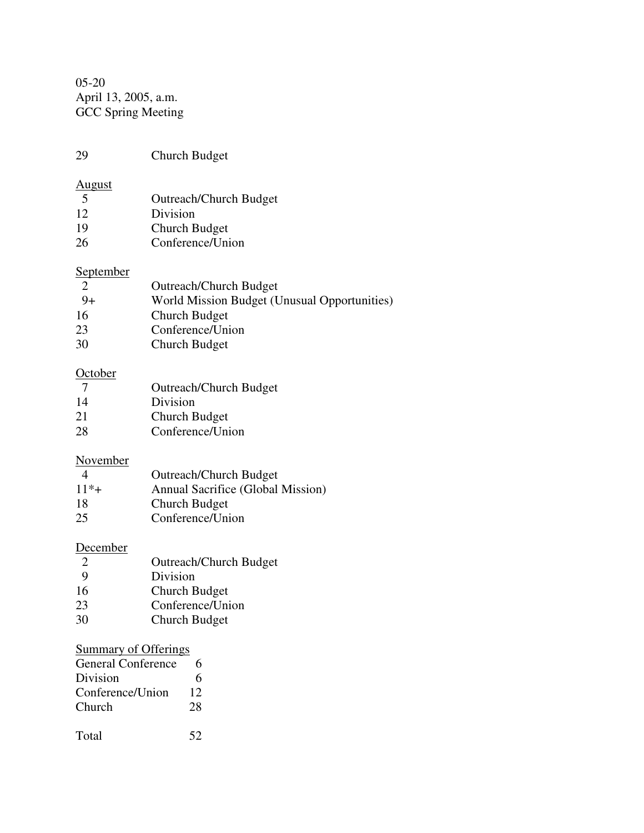05-20 April 13, 2005, a.m. GCC Spring Meeting

| 29 | <b>Church Budget</b> |  |
|----|----------------------|--|
|    |                      |  |

## August

- 5 Outreach/Church Budget
- 12 Division<br>19 Church B
- **Church Budget**
- 26 Conference/Union

# September

|        | <b>Outreach/Church Budget</b>                       |
|--------|-----------------------------------------------------|
| $9+$   | World Mission Budget (Unusual Opportunities)        |
| 16     | <b>Church Budget</b>                                |
| 23     | Conference/Union                                    |
| $\sim$ | $\mathbf{1}$ $\mathbf{R}$ $\mathbf{1}$ $\mathbf{R}$ |

30 Church Budget

# **October**

| - 7 | <b>Outreach/Church Budget</b> |
|-----|-------------------------------|
| 14  | Division                      |
| 21  | Church Budget                 |
| 28  | Conference/Union              |

# November

| $\overline{4}$ | <b>Outreach/Church Budget</b>     |
|----------------|-----------------------------------|
| $11* +$        | Annual Sacrifice (Global Mission) |
| 18             | Church Budget                     |
| 25             | Conference/Union                  |

# **December**

| <sup>2</sup> | <b>Outreach/Church Budget</b>       |
|--------------|-------------------------------------|
| - Q          | Division                            |
| 16           | Church Budget                       |
| 23           | Conference/Union                    |
| $\bigcap$    | $\Omega$ $\Omega$ $\Omega$ $\Omega$ |

30 Church Budget

# Summary of Offerings

| <b>General Conference</b> | 6  |
|---------------------------|----|
| Division                  | 6  |
| Conference/Union          | 12 |
| Church                    | 28 |
|                           |    |
| Total                     | 52 |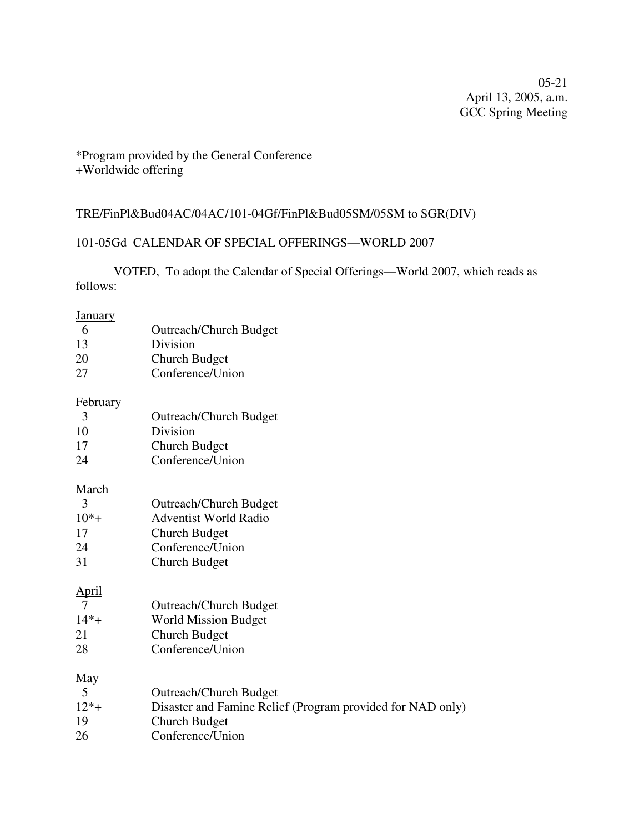05-21 April 13, 2005, a.m. GCC Spring Meeting

\*Program provided by the General Conference +Worldwide offering

# TRE/FinPl&Bud04AC/04AC/101-04Gf/FinPl&Bud05SM/05SM to SGR(DIV)

### 101-05Gd CALENDAR OF SPECIAL OFFERINGS—WORLD 2007

VOTED, To adopt the Calendar of Special Offerings—World 2007, which reads as follows:

### January

| 6            | <b>Outreach/Church Budget</b>                              |
|--------------|------------------------------------------------------------|
| 13           | Division                                                   |
| 20           | <b>Church Budget</b>                                       |
| 27           | Conference/Union                                           |
| February     |                                                            |
| 3            | <b>Outreach/Church Budget</b>                              |
| 10           | Division                                                   |
| 17           | <b>Church Budget</b>                                       |
| 24           | Conference/Union                                           |
| March        |                                                            |
| 3            | <b>Outreach/Church Budget</b>                              |
| $10*+$       | <b>Adventist World Radio</b>                               |
| 17           | <b>Church Budget</b>                                       |
| 24           | Conference/Union                                           |
| 31           | <b>Church Budget</b>                                       |
| <u>April</u> |                                                            |
| 7            | <b>Outreach/Church Budget</b>                              |
| $14* +$      | <b>World Mission Budget</b>                                |
| 21           | <b>Church Budget</b>                                       |
| 28           | Conference/Union                                           |
| <u>May</u>   |                                                            |
| 5            | <b>Outreach/Church Budget</b>                              |
| $12*$ +      | Disaster and Famine Relief (Program provided for NAD only) |
| 19           | <b>Church Budget</b>                                       |
| 26           | Conference/Union                                           |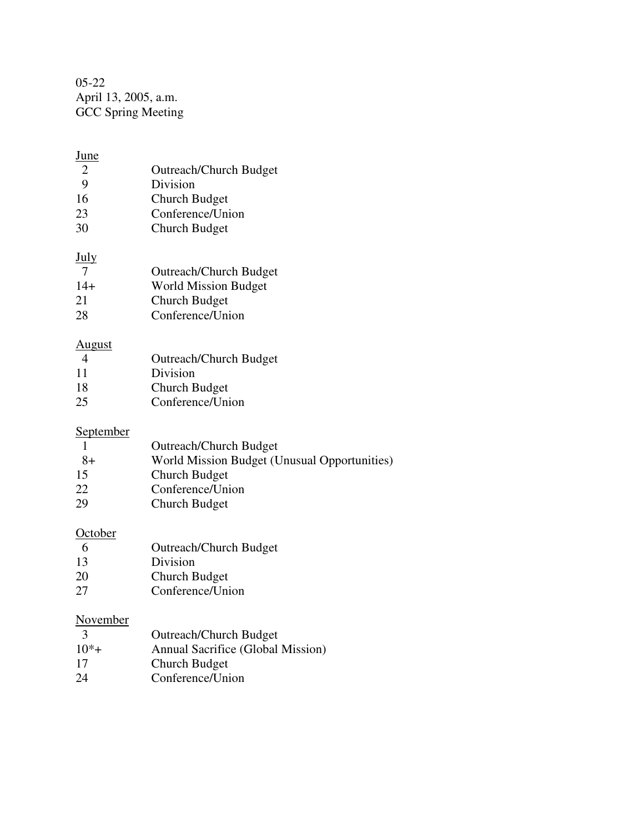05-22 April 13, 2005, a.m. GCC Spring Meeting

| June |                               |
|------|-------------------------------|
| 2    | <b>Outreach/Church Budget</b> |
| 9    | Division                      |
| 16   | Church Budget                 |
| 23   | Conference/Union              |
| 30   | Church Budget                 |

July

| - 7   | <b>Outreach/Church Budget</b> |
|-------|-------------------------------|
| $14+$ | <b>World Mission Budget</b>   |
| 21    | Church Budget                 |
| 28    | Conference/Union              |

# August

|    | <b>Outreach/Church Budget</b> |
|----|-------------------------------|
| 11 | Division                      |
| 18 | Church Budget                 |
| 25 | Conference/Union              |

# September

|      | <b>Outreach/Church Budget</b>                |
|------|----------------------------------------------|
| $8+$ | World Mission Budget (Unusual Opportunities) |
| 15   | <b>Church Budget</b>                         |
| 22   | Conference/Union                             |
| 29   | <b>Church Budget</b>                         |

# **October**

| - 6 | <b>Outreach/Church Budget</b> |
|-----|-------------------------------|
| 13  | Division                      |
| 20  | Church Budget                 |
|     |                               |

Conference/Union

# November

| $\mathcal{R}$ | <b>Outreach/Church Budget</b>     |
|---------------|-----------------------------------|
| $10^{*}+$     | Annual Sacrifice (Global Mission) |
| 17            | Church Budget                     |
| 24            | Conference/Union                  |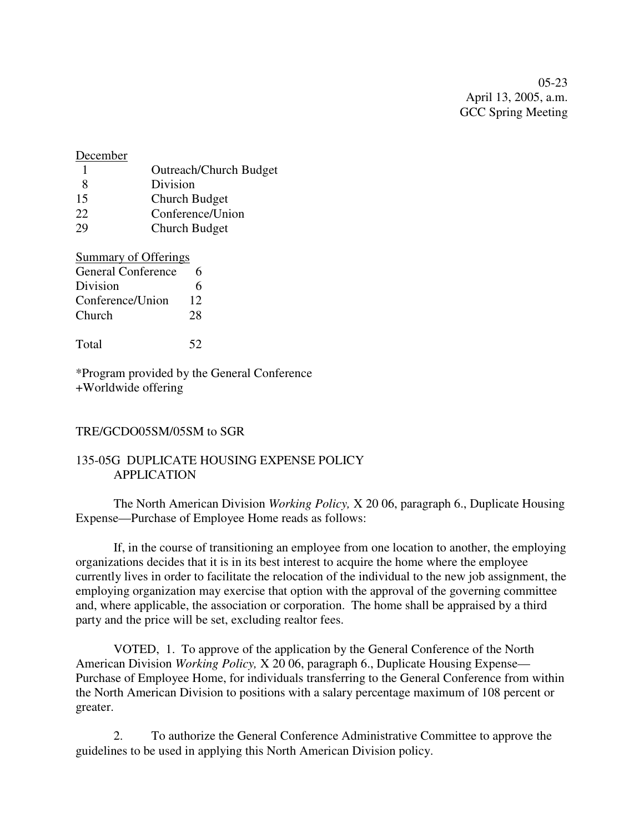05-23 April 13, 2005, a.m. GCC Spring Meeting

### December

- 1 Outreach/Church Budget
- 8 Division
- 15 Church Budget
- 22 Conference/Union
- 29 Church Budget

Summary of Offerings

| <b>General Conference</b> | 6  |
|---------------------------|----|
| Division                  | 6  |
| Conference/Union          | 12 |
| Church                    | 28 |
|                           |    |

Total 52

\*Program provided by the General Conference +Worldwide offering

# TRE/GCDO05SM/05SM to SGR

# 135-05G DUPLICATE HOUSING EXPENSE POLICY APPLICATION

The North American Division *Working Policy,* X 20 06, paragraph 6., Duplicate Housing Expense—Purchase of Employee Home reads as follows:

If, in the course of transitioning an employee from one location to another, the employing organizations decides that it is in its best interest to acquire the home where the employee currently lives in order to facilitate the relocation of the individual to the new job assignment, the employing organization may exercise that option with the approval of the governing committee and, where applicable, the association or corporation. The home shall be appraised by a third party and the price will be set, excluding realtor fees.

VOTED, 1. To approve of the application by the General Conference of the North American Division *Working Policy,* X 20 06, paragraph 6., Duplicate Housing Expense— Purchase of Employee Home, for individuals transferring to the General Conference from within the North American Division to positions with a salary percentage maximum of 108 percent or greater.

2. To authorize the General Conference Administrative Committee to approve the guidelines to be used in applying this North American Division policy.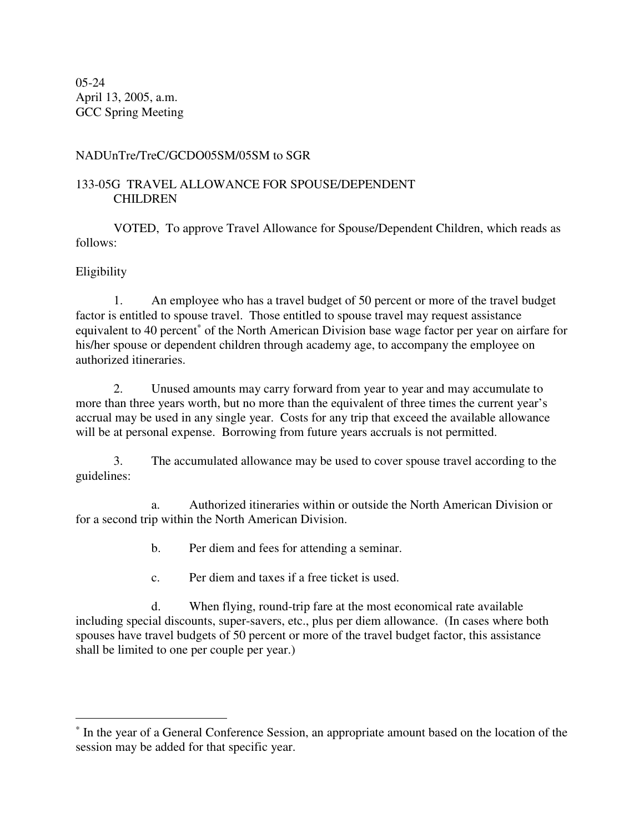05-24 April 13, 2005, a.m. GCC Spring Meeting

# NADUnTre/TreC/GCDO05SM/05SM to SGR

# 133-05G TRAVEL ALLOWANCE FOR SPOUSE/DEPENDENT **CHILDREN**

VOTED, To approve Travel Allowance for Spouse/Dependent Children, which reads as follows:

# Eligibility

1. An employee who has a travel budget of 50 percent or more of the travel budget factor is entitled to spouse travel. Those entitled to spouse travel may request assistance equivalent to 40 percent<sup>\*</sup> of the North American Division base wage factor per year on airfare for his/her spouse or dependent children through academy age, to accompany the employee on authorized itineraries.

2. Unused amounts may carry forward from year to year and may accumulate to more than three years worth, but no more than the equivalent of three times the current year's accrual may be used in any single year. Costs for any trip that exceed the available allowance will be at personal expense. Borrowing from future years accruals is not permitted.

3. The accumulated allowance may be used to cover spouse travel according to the guidelines:

a. Authorized itineraries within or outside the North American Division or for a second trip within the North American Division.

- b. Per diem and fees for attending a seminar.
- c. Per diem and taxes if a free ticket is used.

d. When flying, round-trip fare at the most economical rate available including special discounts, super-savers, etc., plus per diem allowance. (In cases where both spouses have travel budgets of 50 percent or more of the travel budget factor, this assistance shall be limited to one per couple per year.)

<sup>∗</sup> In the year of a General Conference Session, an appropriate amount based on the location of the session may be added for that specific year.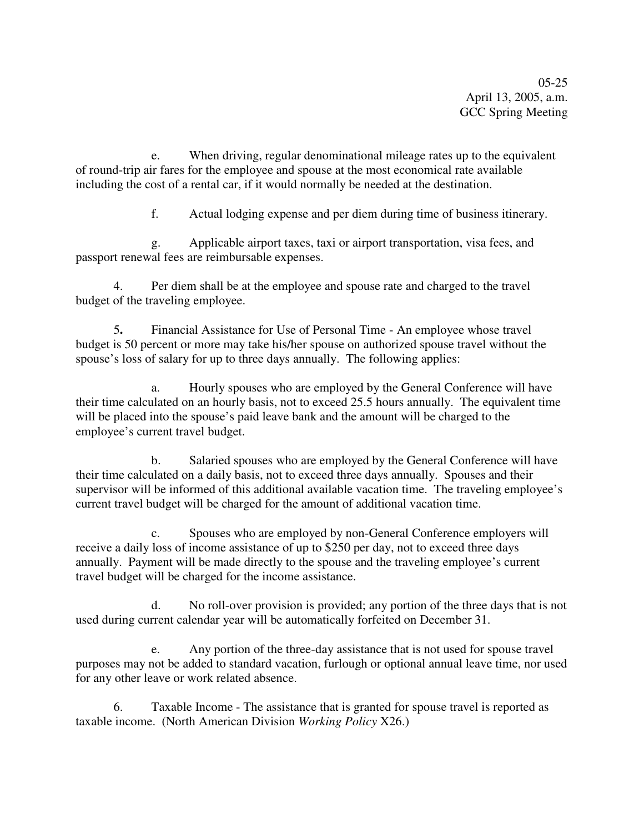05-25 April 13, 2005, a.m. GCC Spring Meeting

e. When driving, regular denominational mileage rates up to the equivalent of round-trip air fares for the employee and spouse at the most economical rate available including the cost of a rental car, if it would normally be needed at the destination.

f. Actual lodging expense and per diem during time of business itinerary.

g. Applicable airport taxes, taxi or airport transportation, visa fees, and passport renewal fees are reimbursable expenses.

4. Per diem shall be at the employee and spouse rate and charged to the travel budget of the traveling employee.

5**.** Financial Assistance for Use of Personal Time - An employee whose travel budget is 50 percent or more may take his/her spouse on authorized spouse travel without the spouse's loss of salary for up to three days annually. The following applies:

a. Hourly spouses who are employed by the General Conference will have their time calculated on an hourly basis, not to exceed 25.5 hours annually. The equivalent time will be placed into the spouse's paid leave bank and the amount will be charged to the employee's current travel budget.

b. Salaried spouses who are employed by the General Conference will have their time calculated on a daily basis, not to exceed three days annually. Spouses and their supervisor will be informed of this additional available vacation time. The traveling employee's current travel budget will be charged for the amount of additional vacation time.

c. Spouses who are employed by non-General Conference employers will receive a daily loss of income assistance of up to \$250 per day, not to exceed three days annually. Payment will be made directly to the spouse and the traveling employee's current travel budget will be charged for the income assistance.

d. No roll-over provision is provided; any portion of the three days that is not used during current calendar year will be automatically forfeited on December 31.

e. Any portion of the three-day assistance that is not used for spouse travel purposes may not be added to standard vacation, furlough or optional annual leave time, nor used for any other leave or work related absence.

6. Taxable Income - The assistance that is granted for spouse travel is reported as taxable income. (North American Division *Working Policy* X26.)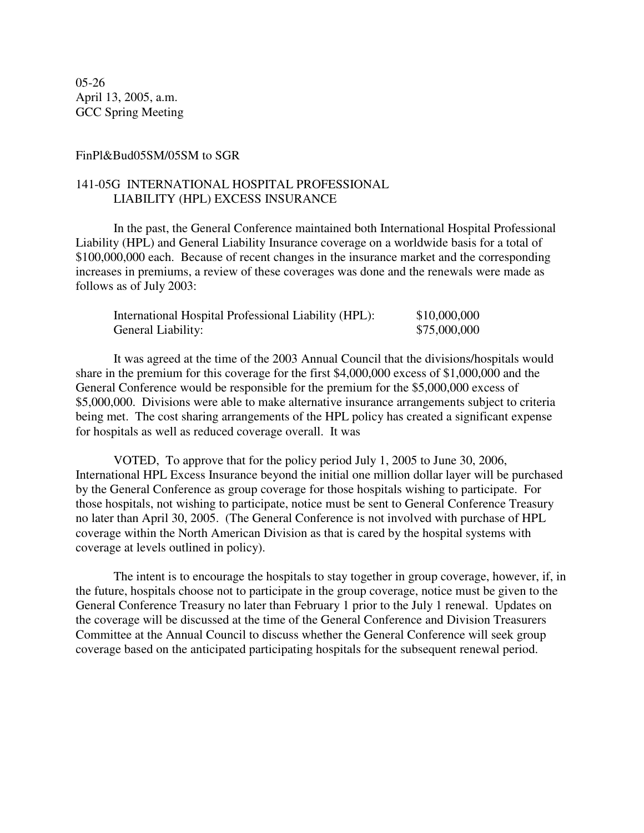05-26 April 13, 2005, a.m. GCC Spring Meeting

### FinPl&Bud05SM/05SM to SGR

## 141-05G INTERNATIONAL HOSPITAL PROFESSIONAL LIABILITY (HPL) EXCESS INSURANCE

In the past, the General Conference maintained both International Hospital Professional Liability (HPL) and General Liability Insurance coverage on a worldwide basis for a total of \$100,000,000 each. Because of recent changes in the insurance market and the corresponding increases in premiums, a review of these coverages was done and the renewals were made as follows as of July 2003:

| International Hospital Professional Liability (HPL): | \$10,000,000 |
|------------------------------------------------------|--------------|
| General Liability:                                   | \$75,000,000 |

It was agreed at the time of the 2003 Annual Council that the divisions/hospitals would share in the premium for this coverage for the first \$4,000,000 excess of \$1,000,000 and the General Conference would be responsible for the premium for the \$5,000,000 excess of \$5,000,000. Divisions were able to make alternative insurance arrangements subject to criteria being met. The cost sharing arrangements of the HPL policy has created a significant expense for hospitals as well as reduced coverage overall. It was

VOTED, To approve that for the policy period July 1, 2005 to June 30, 2006, International HPL Excess Insurance beyond the initial one million dollar layer will be purchased by the General Conference as group coverage for those hospitals wishing to participate. For those hospitals, not wishing to participate, notice must be sent to General Conference Treasury no later than April 30, 2005. (The General Conference is not involved with purchase of HPL coverage within the North American Division as that is cared by the hospital systems with coverage at levels outlined in policy).

The intent is to encourage the hospitals to stay together in group coverage, however, if, in the future, hospitals choose not to participate in the group coverage, notice must be given to the General Conference Treasury no later than February 1 prior to the July 1 renewal. Updates on the coverage will be discussed at the time of the General Conference and Division Treasurers Committee at the Annual Council to discuss whether the General Conference will seek group coverage based on the anticipated participating hospitals for the subsequent renewal period.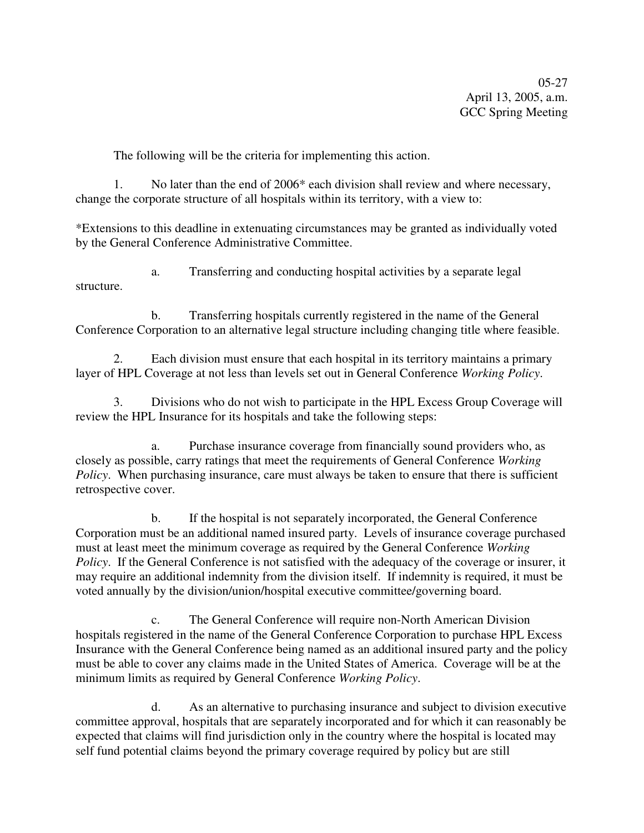The following will be the criteria for implementing this action.

1. No later than the end of 2006\* each division shall review and where necessary, change the corporate structure of all hospitals within its territory, with a view to:

\*Extensions to this deadline in extenuating circumstances may be granted as individually voted by the General Conference Administrative Committee.

a. Transferring and conducting hospital activities by a separate legal structure.

b. Transferring hospitals currently registered in the name of the General Conference Corporation to an alternative legal structure including changing title where feasible.

2. Each division must ensure that each hospital in its territory maintains a primary layer of HPL Coverage at not less than levels set out in General Conference *Working Policy*.

3. Divisions who do not wish to participate in the HPL Excess Group Coverage will review the HPL Insurance for its hospitals and take the following steps:

a. Purchase insurance coverage from financially sound providers who, as closely as possible, carry ratings that meet the requirements of General Conference *Working Policy*. When purchasing insurance, care must always be taken to ensure that there is sufficient retrospective cover.

b. If the hospital is not separately incorporated, the General Conference Corporation must be an additional named insured party. Levels of insurance coverage purchased must at least meet the minimum coverage as required by the General Conference *Working Policy*. If the General Conference is not satisfied with the adequacy of the coverage or insurer, it may require an additional indemnity from the division itself. If indemnity is required, it must be voted annually by the division/union/hospital executive committee/governing board.

c. The General Conference will require non-North American Division hospitals registered in the name of the General Conference Corporation to purchase HPL Excess Insurance with the General Conference being named as an additional insured party and the policy must be able to cover any claims made in the United States of America. Coverage will be at the minimum limits as required by General Conference *Working Policy*.

d. As an alternative to purchasing insurance and subject to division executive committee approval, hospitals that are separately incorporated and for which it can reasonably be expected that claims will find jurisdiction only in the country where the hospital is located may self fund potential claims beyond the primary coverage required by policy but are still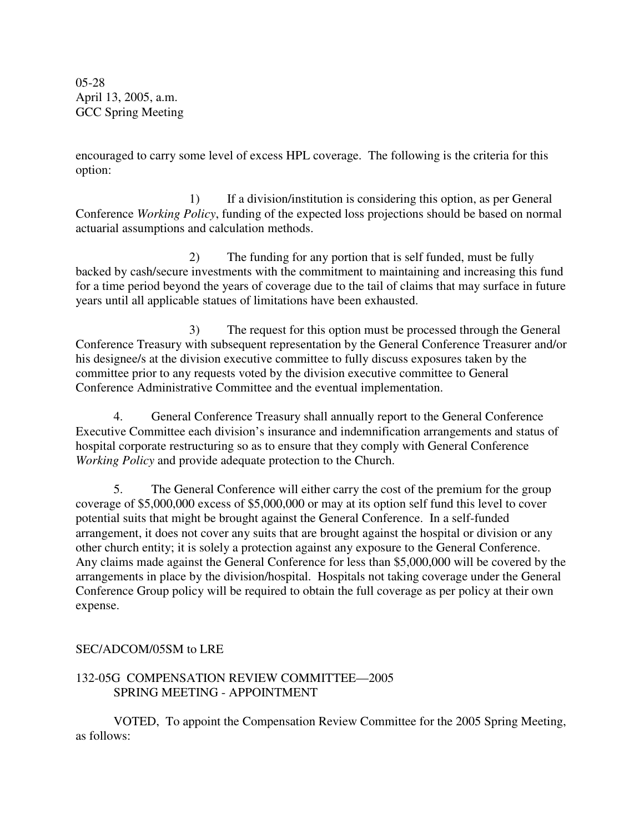05-28 April 13, 2005, a.m. GCC Spring Meeting

encouraged to carry some level of excess HPL coverage. The following is the criteria for this option:

1) If a division/institution is considering this option, as per General Conference *Working Policy*, funding of the expected loss projections should be based on normal actuarial assumptions and calculation methods.

2) The funding for any portion that is self funded, must be fully backed by cash/secure investments with the commitment to maintaining and increasing this fund for a time period beyond the years of coverage due to the tail of claims that may surface in future years until all applicable statues of limitations have been exhausted.

3) The request for this option must be processed through the General Conference Treasury with subsequent representation by the General Conference Treasurer and/or his designee/s at the division executive committee to fully discuss exposures taken by the committee prior to any requests voted by the division executive committee to General Conference Administrative Committee and the eventual implementation.

4. General Conference Treasury shall annually report to the General Conference Executive Committee each division's insurance and indemnification arrangements and status of hospital corporate restructuring so as to ensure that they comply with General Conference *Working Policy* and provide adequate protection to the Church.

5. The General Conference will either carry the cost of the premium for the group coverage of \$5,000,000 excess of \$5,000,000 or may at its option self fund this level to cover potential suits that might be brought against the General Conference. In a self-funded arrangement, it does not cover any suits that are brought against the hospital or division or any other church entity; it is solely a protection against any exposure to the General Conference. Any claims made against the General Conference for less than \$5,000,000 will be covered by the arrangements in place by the division/hospital. Hospitals not taking coverage under the General Conference Group policy will be required to obtain the full coverage as per policy at their own expense.

# SEC/ADCOM/05SM to LRE

# 132-05G COMPENSATION REVIEW COMMITTEE—2005 SPRING MEETING - APPOINTMENT

VOTED, To appoint the Compensation Review Committee for the 2005 Spring Meeting, as follows: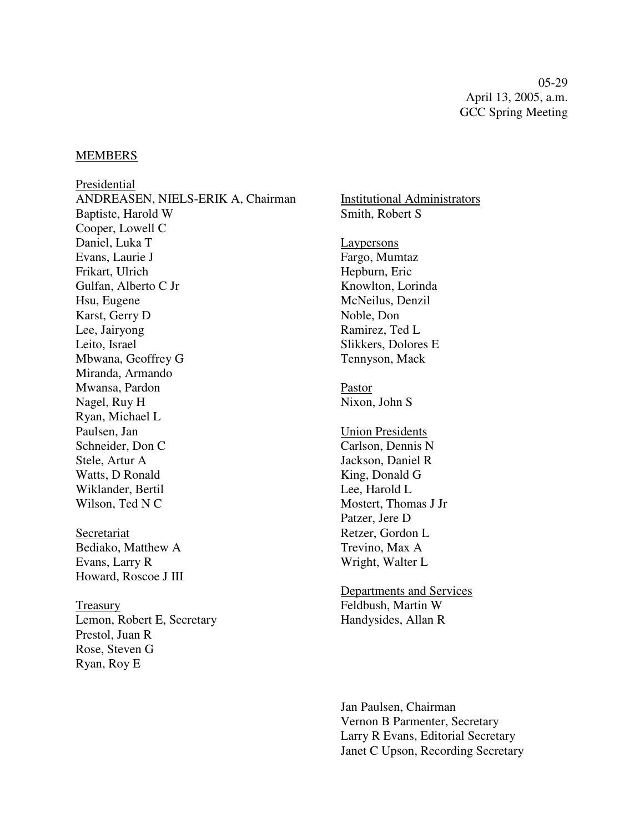05-29 April 13, 2005, a.m. GCC Spring Meeting

### MEMBERS

Presidential ANDREASEN, NIELS-ERIK A, Chairman Institutional Administrators Baptiste, Harold W Smith, Robert S Cooper, Lowell C Daniel, Luka T Laypersons Evans, Laurie J Fargo, Mumtaz Frikart, Ulrich Hepburn, Eric Gulfan, Alberto C Jr Knowlton, Lorinda Hsu, Eugene McNeilus, Denzil Karst, Gerry D Noble, Don Lee, Jairyong Ramirez, Ted L Leito, Israel Slikkers, Dolores E Mbwana, Geoffrey G Tennyson, Mack Miranda, Armando Mwansa, Pardon Pastor Nagel, Ruy H Nixon, John S Ryan, Michael L Paulsen, Jan Union Presidents Schneider, Don C<br>
Carlson, Dennis N Stele, Artur A Jackson, Daniel R Watts, D Ronald King, Donald G Wiklander, Bertil Lee, Harold L Wilson, Ted N C Mostert, Thomas J Jr

Bediako, Matthew A Trevino, Max A Evans, Larry R Wright, Walter L Howard, Roscoe J III

Prestol, Juan R Rose, Steven G Ryan, Roy E

Patzer, Jere D Secretariat Retzer, Gordon L

Departments and Services Treasury Feldbush, Martin W Lemon, Robert E, Secretary Handysides, Allan R

> Jan Paulsen, Chairman Vernon B Parmenter, Secretary Larry R Evans, Editorial Secretary Janet C Upson, Recording Secretary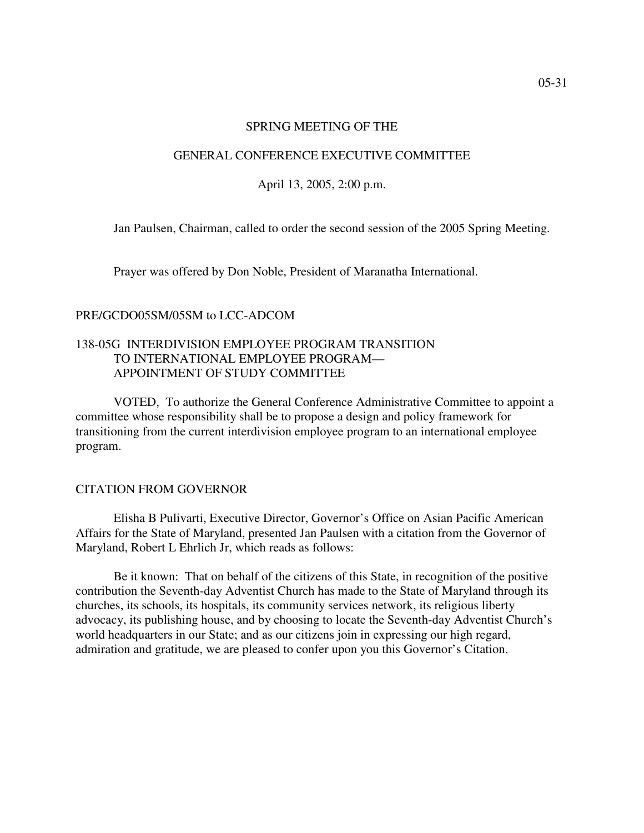### SPRING MEETING OF THE

### GENERAL CONFERENCE EXECUTIVE COMMITTEE

April 13, 2005, 2:00 p.m.

Jan Paulsen, Chairman, called to order the second session of the 2005 Spring Meeting.

Prayer was offered by Don Noble, President of Maranatha International.

### PRE/GCDO05SM/05SM to LCC-ADCOM

### 138-05G INTERDIVISION EMPLOYEE PROGRAM TRANSITION TO INTERNATIONAL EMPLOYEE PROGRAM— APPOINTMENT OF STUDY COMMITTEE

VOTED, To authorize the General Conference Administrative Committee to appoint a committee whose responsibility shall be to propose a design and policy framework for transitioning from the current interdivision employee program to an international employee program.

### CITATION FROM GOVERNOR

Elisha B Pulivarti, Executive Director, Governor's Office on Asian Pacific American Affairs for the State of Maryland, presented Jan Paulsen with a citation from the Governor of Maryland, Robert L Ehrlich Jr, which reads as follows:

Be it known: That on behalf of the citizens of this State, in recognition of the positive contribution the Seventh-day Adventist Church has made to the State of Maryland through its churches, its schools, its hospitals, its community services network, its religious liberty advocacy, its publishing house, and by choosing to locate the Seventh-day Adventist Church's world headquarters in our State; and as our citizens join in expressing our high regard, admiration and gratitude, we are pleased to confer upon you this Governor's Citation.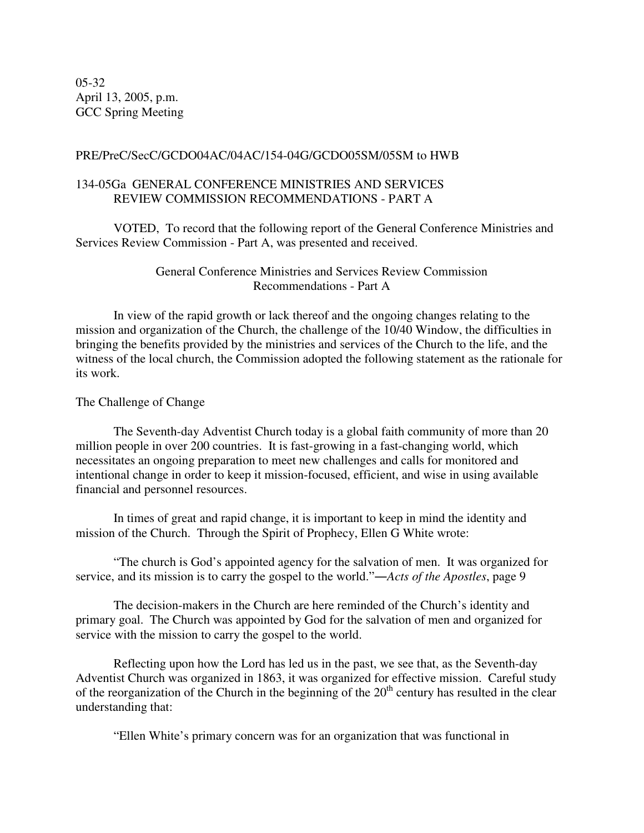05-32 April 13, 2005, p.m. GCC Spring Meeting

### PRE/PreC/SecC/GCDO04AC/04AC/154-04G/GCDO05SM/05SM to HWB

## 134-05Ga GENERAL CONFERENCE MINISTRIES AND SERVICES REVIEW COMMISSION RECOMMENDATIONS - PART A

VOTED, To record that the following report of the General Conference Ministries and Services Review Commission - Part A, was presented and received.

> General Conference Ministries and Services Review Commission Recommendations - Part A

In view of the rapid growth or lack thereof and the ongoing changes relating to the mission and organization of the Church, the challenge of the 10/40 Window, the difficulties in bringing the benefits provided by the ministries and services of the Church to the life, and the witness of the local church, the Commission adopted the following statement as the rationale for its work.

### The Challenge of Change

The Seventh-day Adventist Church today is a global faith community of more than 20 million people in over 200 countries. It is fast-growing in a fast-changing world, which necessitates an ongoing preparation to meet new challenges and calls for monitored and intentional change in order to keep it mission-focused, efficient, and wise in using available financial and personnel resources.

In times of great and rapid change, it is important to keep in mind the identity and mission of the Church. Through the Spirit of Prophecy, Ellen G White wrote:

"The church is God's appointed agency for the salvation of men. It was organized for service, and its mission is to carry the gospel to the world."*Acts of the Apostles*, page 9

The decision-makers in the Church are here reminded of the Church's identity and primary goal. The Church was appointed by God for the salvation of men and organized for service with the mission to carry the gospel to the world.

Reflecting upon how the Lord has led us in the past, we see that, as the Seventh-day Adventist Church was organized in 1863, it was organized for effective mission. Careful study of the reorganization of the Church in the beginning of the  $20<sup>th</sup>$  century has resulted in the clear understanding that:

"Ellen White's primary concern was for an organization that was functional in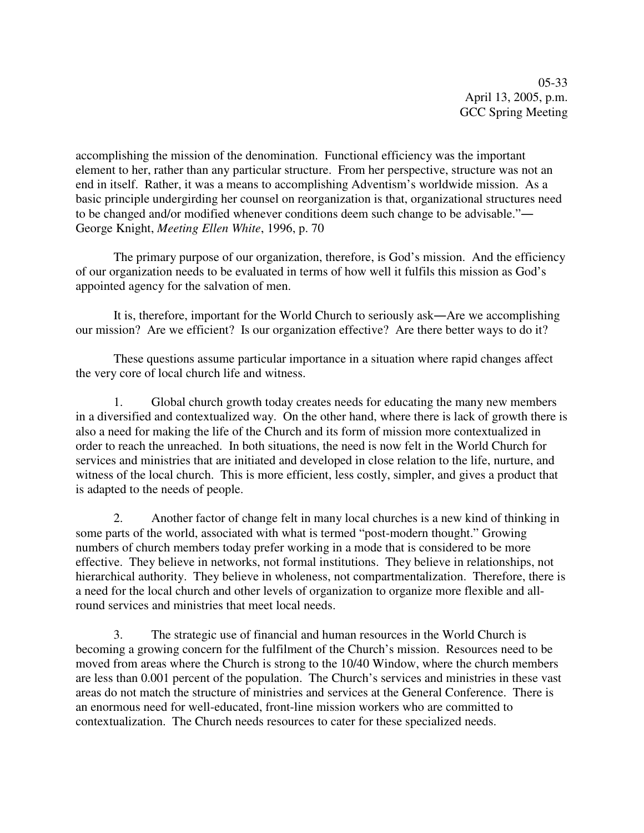05-33 April 13, 2005, p.m. GCC Spring Meeting

accomplishing the mission of the denomination. Functional efficiency was the important element to her, rather than any particular structure. From her perspective, structure was not an end in itself. Rather, it was a means to accomplishing Adventism's worldwide mission. As a basic principle undergirding her counsel on reorganization is that, organizational structures need to be changed and/or modified whenever conditions deem such change to be advisable." George Knight, *Meeting Ellen White*, 1996, p. 70

The primary purpose of our organization, therefore, is God's mission. And the efficiency of our organization needs to be evaluated in terms of how well it fulfils this mission as God's appointed agency for the salvation of men.

It is, therefore, important for the World Church to seriously ask—Are we accomplishing our mission? Are we efficient? Is our organization effective? Are there better ways to do it?

These questions assume particular importance in a situation where rapid changes affect the very core of local church life and witness.

1. Global church growth today creates needs for educating the many new members in a diversified and contextualized way. On the other hand, where there is lack of growth there is also a need for making the life of the Church and its form of mission more contextualized in order to reach the unreached. In both situations, the need is now felt in the World Church for services and ministries that are initiated and developed in close relation to the life, nurture, and witness of the local church. This is more efficient, less costly, simpler, and gives a product that is adapted to the needs of people.

2. Another factor of change felt in many local churches is a new kind of thinking in some parts of the world, associated with what is termed "post-modern thought." Growing numbers of church members today prefer working in a mode that is considered to be more effective. They believe in networks, not formal institutions. They believe in relationships, not hierarchical authority. They believe in wholeness, not compartmentalization. Therefore, there is a need for the local church and other levels of organization to organize more flexible and allround services and ministries that meet local needs.

3. The strategic use of financial and human resources in the World Church is becoming a growing concern for the fulfilment of the Church's mission. Resources need to be moved from areas where the Church is strong to the 10/40 Window, where the church members are less than 0.001 percent of the population. The Church's services and ministries in these vast areas do not match the structure of ministries and services at the General Conference. There is an enormous need for well-educated, front-line mission workers who are committed to contextualization. The Church needs resources to cater for these specialized needs.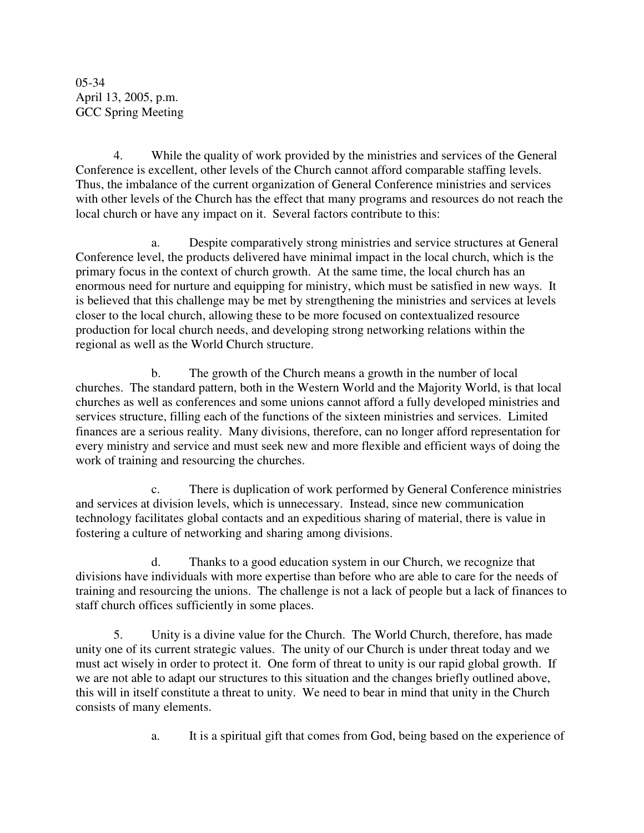05-34 April 13, 2005, p.m. GCC Spring Meeting

4. While the quality of work provided by the ministries and services of the General Conference is excellent, other levels of the Church cannot afford comparable staffing levels. Thus, the imbalance of the current organization of General Conference ministries and services with other levels of the Church has the effect that many programs and resources do not reach the local church or have any impact on it. Several factors contribute to this:

a. Despite comparatively strong ministries and service structures at General Conference level, the products delivered have minimal impact in the local church, which is the primary focus in the context of church growth. At the same time, the local church has an enormous need for nurture and equipping for ministry, which must be satisfied in new ways. It is believed that this challenge may be met by strengthening the ministries and services at levels closer to the local church, allowing these to be more focused on contextualized resource production for local church needs, and developing strong networking relations within the regional as well as the World Church structure.

b. The growth of the Church means a growth in the number of local churches. The standard pattern, both in the Western World and the Majority World, is that local churches as well as conferences and some unions cannot afford a fully developed ministries and services structure, filling each of the functions of the sixteen ministries and services. Limited finances are a serious reality. Many divisions, therefore, can no longer afford representation for every ministry and service and must seek new and more flexible and efficient ways of doing the work of training and resourcing the churches.

c. There is duplication of work performed by General Conference ministries and services at division levels, which is unnecessary. Instead, since new communication technology facilitates global contacts and an expeditious sharing of material, there is value in fostering a culture of networking and sharing among divisions.

d. Thanks to a good education system in our Church, we recognize that divisions have individuals with more expertise than before who are able to care for the needs of training and resourcing the unions. The challenge is not a lack of people but a lack of finances to staff church offices sufficiently in some places.

5. Unity is a divine value for the Church. The World Church, therefore, has made unity one of its current strategic values. The unity of our Church is under threat today and we must act wisely in order to protect it. One form of threat to unity is our rapid global growth. If we are not able to adapt our structures to this situation and the changes briefly outlined above, this will in itself constitute a threat to unity. We need to bear in mind that unity in the Church consists of many elements.

a. It is a spiritual gift that comes from God, being based on the experience of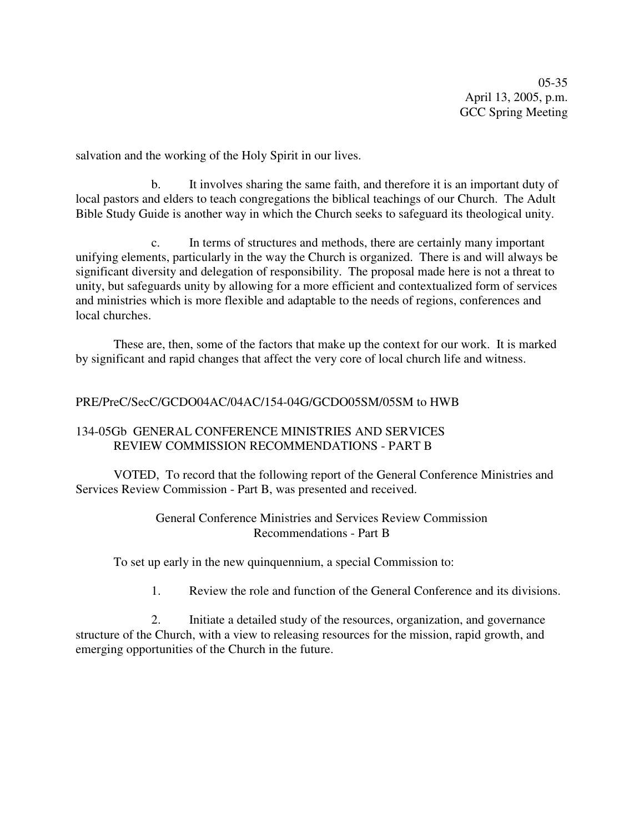05-35 April 13, 2005, p.m. GCC Spring Meeting

salvation and the working of the Holy Spirit in our lives.

b. It involves sharing the same faith, and therefore it is an important duty of local pastors and elders to teach congregations the biblical teachings of our Church. The Adult Bible Study Guide is another way in which the Church seeks to safeguard its theological unity.

c. In terms of structures and methods, there are certainly many important unifying elements, particularly in the way the Church is organized. There is and will always be significant diversity and delegation of responsibility. The proposal made here is not a threat to unity, but safeguards unity by allowing for a more efficient and contextualized form of services and ministries which is more flexible and adaptable to the needs of regions, conferences and local churches.

These are, then, some of the factors that make up the context for our work. It is marked by significant and rapid changes that affect the very core of local church life and witness.

# PRE/PreC/SecC/GCDO04AC/04AC/154-04G/GCDO05SM/05SM to HWB

# 134-05Gb GENERAL CONFERENCE MINISTRIES AND SERVICES REVIEW COMMISSION RECOMMENDATIONS - PART B

VOTED, To record that the following report of the General Conference Ministries and Services Review Commission - Part B, was presented and received.

> General Conference Ministries and Services Review Commission Recommendations - Part B

To set up early in the new quinquennium, a special Commission to:

1. Review the role and function of the General Conference and its divisions.

2. Initiate a detailed study of the resources, organization, and governance structure of the Church, with a view to releasing resources for the mission, rapid growth, and emerging opportunities of the Church in the future.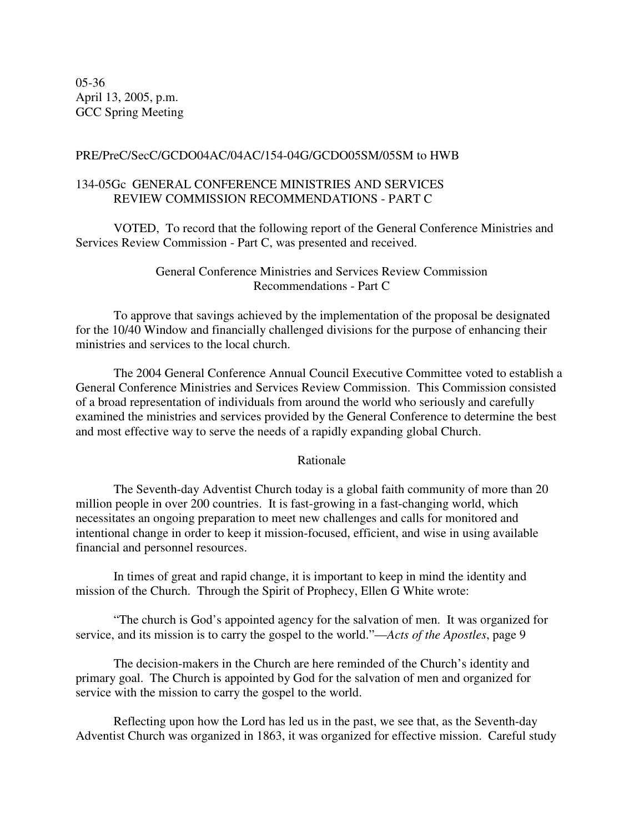05-36 April 13, 2005, p.m. GCC Spring Meeting

### PRE/PreC/SecC/GCDO04AC/04AC/154-04G/GCDO05SM/05SM to HWB

## 134-05Gc GENERAL CONFERENCE MINISTRIES AND SERVICES REVIEW COMMISSION RECOMMENDATIONS - PART C

VOTED, To record that the following report of the General Conference Ministries and Services Review Commission - Part C, was presented and received.

> General Conference Ministries and Services Review Commission Recommendations - Part C

To approve that savings achieved by the implementation of the proposal be designated for the 10/40 Window and financially challenged divisions for the purpose of enhancing their ministries and services to the local church.

The 2004 General Conference Annual Council Executive Committee voted to establish a General Conference Ministries and Services Review Commission. This Commission consisted of a broad representation of individuals from around the world who seriously and carefully examined the ministries and services provided by the General Conference to determine the best and most effective way to serve the needs of a rapidly expanding global Church.

### Rationale

The Seventh-day Adventist Church today is a global faith community of more than 20 million people in over 200 countries. It is fast-growing in a fast-changing world, which necessitates an ongoing preparation to meet new challenges and calls for monitored and intentional change in order to keep it mission-focused, efficient, and wise in using available financial and personnel resources.

In times of great and rapid change, it is important to keep in mind the identity and mission of the Church. Through the Spirit of Prophecy, Ellen G White wrote:

"The church is God's appointed agency for the salvation of men. It was organized for service, and its mission is to carry the gospel to the world."—*Acts of the Apostles*, page 9

The decision-makers in the Church are here reminded of the Church's identity and primary goal. The Church is appointed by God for the salvation of men and organized for service with the mission to carry the gospel to the world.

Reflecting upon how the Lord has led us in the past, we see that, as the Seventh-day Adventist Church was organized in 1863, it was organized for effective mission. Careful study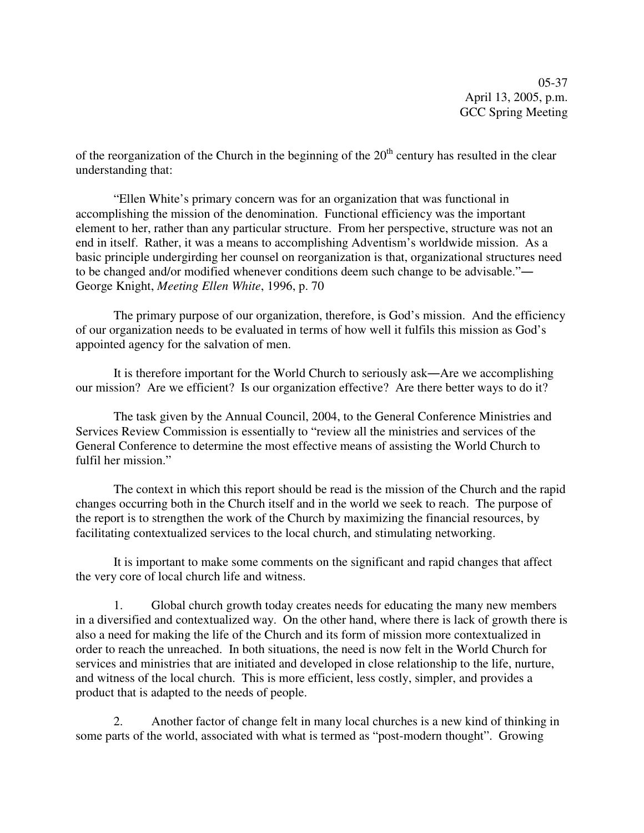05-37 April 13, 2005, p.m. GCC Spring Meeting

of the reorganization of the Church in the beginning of the  $20<sup>th</sup>$  century has resulted in the clear understanding that:

"Ellen White's primary concern was for an organization that was functional in accomplishing the mission of the denomination. Functional efficiency was the important element to her, rather than any particular structure. From her perspective, structure was not an end in itself. Rather, it was a means to accomplishing Adventism's worldwide mission. As a basic principle undergirding her counsel on reorganization is that, organizational structures need to be changed and/or modified whenever conditions deem such change to be advisable." George Knight, *Meeting Ellen White*, 1996, p. 70

The primary purpose of our organization, therefore, is God's mission. And the efficiency of our organization needs to be evaluated in terms of how well it fulfils this mission as God's appointed agency for the salvation of men.

It is therefore important for the World Church to seriously ask—Are we accomplishing our mission? Are we efficient? Is our organization effective? Are there better ways to do it?

The task given by the Annual Council, 2004, to the General Conference Ministries and Services Review Commission is essentially to "review all the ministries and services of the General Conference to determine the most effective means of assisting the World Church to fulfil her mission."

The context in which this report should be read is the mission of the Church and the rapid changes occurring both in the Church itself and in the world we seek to reach. The purpose of the report is to strengthen the work of the Church by maximizing the financial resources, by facilitating contextualized services to the local church, and stimulating networking.

It is important to make some comments on the significant and rapid changes that affect the very core of local church life and witness.

1. Global church growth today creates needs for educating the many new members in a diversified and contextualized way. On the other hand, where there is lack of growth there is also a need for making the life of the Church and its form of mission more contextualized in order to reach the unreached. In both situations, the need is now felt in the World Church for services and ministries that are initiated and developed in close relationship to the life, nurture, and witness of the local church. This is more efficient, less costly, simpler, and provides a product that is adapted to the needs of people.

2. Another factor of change felt in many local churches is a new kind of thinking in some parts of the world, associated with what is termed as "post-modern thought". Growing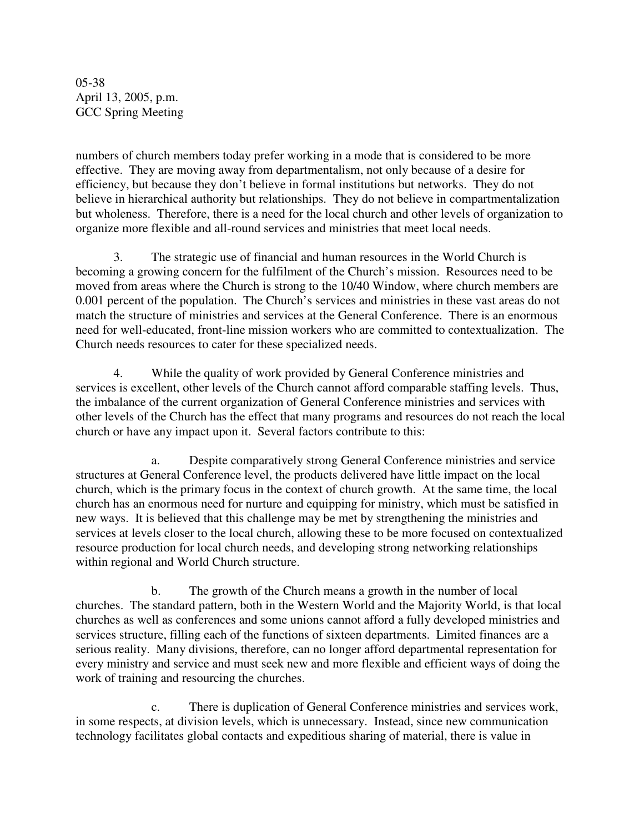05-38 April 13, 2005, p.m. GCC Spring Meeting

numbers of church members today prefer working in a mode that is considered to be more effective. They are moving away from departmentalism, not only because of a desire for efficiency, but because they don't believe in formal institutions but networks. They do not believe in hierarchical authority but relationships. They do not believe in compartmentalization but wholeness. Therefore, there is a need for the local church and other levels of organization to organize more flexible and all-round services and ministries that meet local needs.

3. The strategic use of financial and human resources in the World Church is becoming a growing concern for the fulfilment of the Church's mission. Resources need to be moved from areas where the Church is strong to the 10/40 Window, where church members are 0.001 percent of the population. The Church's services and ministries in these vast areas do not match the structure of ministries and services at the General Conference. There is an enormous need for well-educated, front-line mission workers who are committed to contextualization. The Church needs resources to cater for these specialized needs.

4. While the quality of work provided by General Conference ministries and services is excellent, other levels of the Church cannot afford comparable staffing levels. Thus, the imbalance of the current organization of General Conference ministries and services with other levels of the Church has the effect that many programs and resources do not reach the local church or have any impact upon it. Several factors contribute to this:

a. Despite comparatively strong General Conference ministries and service structures at General Conference level, the products delivered have little impact on the local church, which is the primary focus in the context of church growth. At the same time, the local church has an enormous need for nurture and equipping for ministry, which must be satisfied in new ways. It is believed that this challenge may be met by strengthening the ministries and services at levels closer to the local church, allowing these to be more focused on contextualized resource production for local church needs, and developing strong networking relationships within regional and World Church structure.

b. The growth of the Church means a growth in the number of local churches. The standard pattern, both in the Western World and the Majority World, is that local churches as well as conferences and some unions cannot afford a fully developed ministries and services structure, filling each of the functions of sixteen departments. Limited finances are a serious reality. Many divisions, therefore, can no longer afford departmental representation for every ministry and service and must seek new and more flexible and efficient ways of doing the work of training and resourcing the churches.

c. There is duplication of General Conference ministries and services work, in some respects, at division levels, which is unnecessary. Instead, since new communication technology facilitates global contacts and expeditious sharing of material, there is value in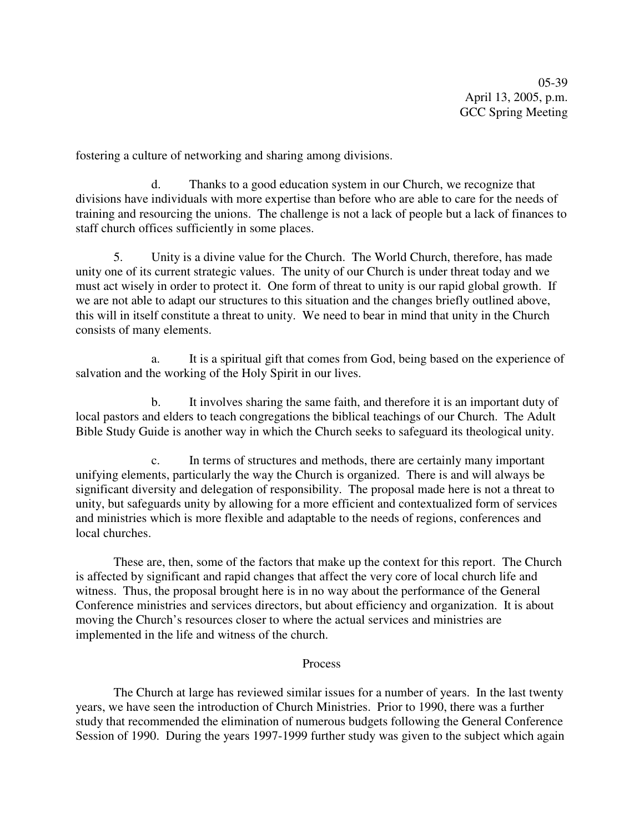05-39 April 13, 2005, p.m. GCC Spring Meeting

fostering a culture of networking and sharing among divisions.

d. Thanks to a good education system in our Church, we recognize that divisions have individuals with more expertise than before who are able to care for the needs of training and resourcing the unions. The challenge is not a lack of people but a lack of finances to staff church offices sufficiently in some places.

5. Unity is a divine value for the Church. The World Church, therefore, has made unity one of its current strategic values. The unity of our Church is under threat today and we must act wisely in order to protect it. One form of threat to unity is our rapid global growth. If we are not able to adapt our structures to this situation and the changes briefly outlined above, this will in itself constitute a threat to unity. We need to bear in mind that unity in the Church consists of many elements.

a. It is a spiritual gift that comes from God, being based on the experience of salvation and the working of the Holy Spirit in our lives.

b. It involves sharing the same faith, and therefore it is an important duty of local pastors and elders to teach congregations the biblical teachings of our Church. The Adult Bible Study Guide is another way in which the Church seeks to safeguard its theological unity.

c. In terms of structures and methods, there are certainly many important unifying elements, particularly the way the Church is organized. There is and will always be significant diversity and delegation of responsibility. The proposal made here is not a threat to unity, but safeguards unity by allowing for a more efficient and contextualized form of services and ministries which is more flexible and adaptable to the needs of regions, conferences and local churches.

These are, then, some of the factors that make up the context for this report. The Church is affected by significant and rapid changes that affect the very core of local church life and witness. Thus, the proposal brought here is in no way about the performance of the General Conference ministries and services directors, but about efficiency and organization. It is about moving the Church's resources closer to where the actual services and ministries are implemented in the life and witness of the church.

### Process

The Church at large has reviewed similar issues for a number of years. In the last twenty years, we have seen the introduction of Church Ministries. Prior to 1990, there was a further study that recommended the elimination of numerous budgets following the General Conference Session of 1990. During the years 1997-1999 further study was given to the subject which again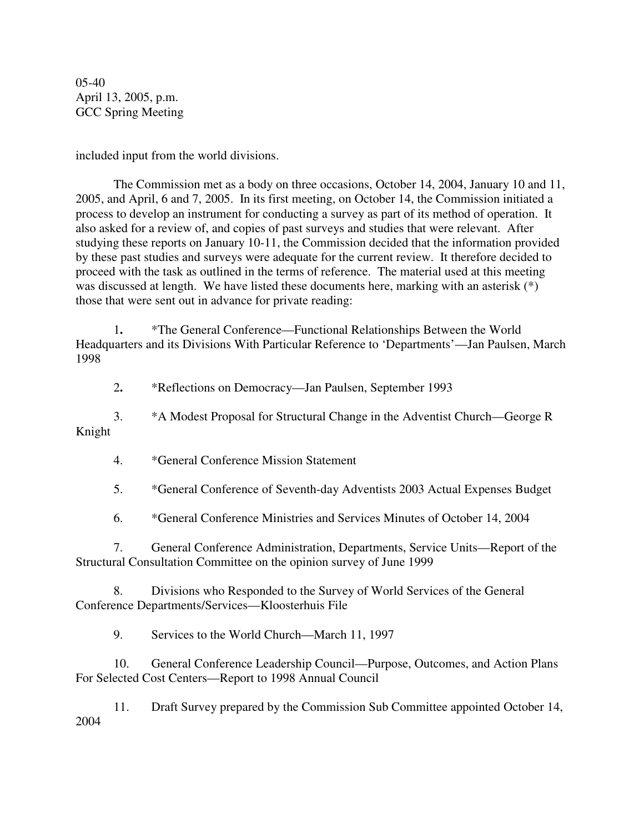05-40 April 13, 2005, p.m. GCC Spring Meeting

included input from the world divisions.

The Commission met as a body on three occasions, October 14, 2004, January 10 and 11, 2005, and April, 6 and 7, 2005. In its first meeting, on October 14, the Commission initiated a process to develop an instrument for conducting a survey as part of its method of operation. It also asked for a review of, and copies of past surveys and studies that were relevant. After studying these reports on January 10-11, the Commission decided that the information provided by these past studies and surveys were adequate for the current review. It therefore decided to proceed with the task as outlined in the terms of reference. The material used at this meeting was discussed at length. We have listed these documents here, marking with an asterisk (\*) those that were sent out in advance for private reading:

1**.** \*The General Conference—Functional Relationships Between the World Headquarters and its Divisions With Particular Reference to 'Departments'—Jan Paulsen, March 1998

2**.** \*Reflections on Democracy—Jan Paulsen, September 1993

3. \*A Modest Proposal for Structural Change in the Adventist Church—George R Knight

4. \*General Conference Mission Statement

5. \*General Conference of Seventh-day Adventists 2003 Actual Expenses Budget

6. \*General Conference Ministries and Services Minutes of October 14, 2004

7. General Conference Administration, Departments, Service Units—Report of the Structural Consultation Committee on the opinion survey of June 1999

8. Divisions who Responded to the Survey of World Services of the General Conference Departments/Services—Kloosterhuis File

9. Services to the World Church—March 11, 1997

10. General Conference Leadership Council—Purpose, Outcomes, and Action Plans For Selected Cost Centers—Report to 1998 Annual Council

11. Draft Survey prepared by the Commission Sub Committee appointed October 14, 2004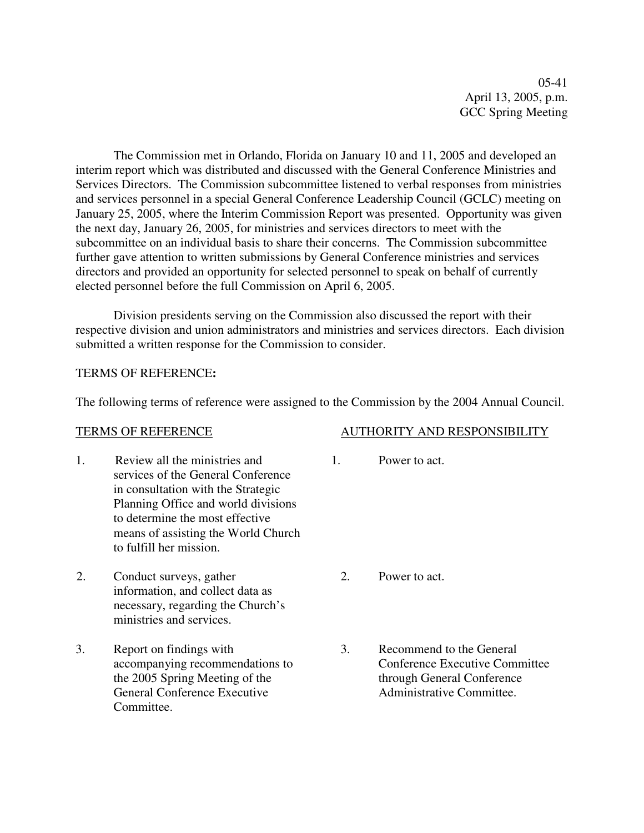05-41 April 13, 2005, p.m. GCC Spring Meeting

The Commission met in Orlando, Florida on January 10 and 11, 2005 and developed an interim report which was distributed and discussed with the General Conference Ministries and Services Directors. The Commission subcommittee listened to verbal responses from ministries and services personnel in a special General Conference Leadership Council (GCLC) meeting on January 25, 2005, where the Interim Commission Report was presented. Opportunity was given the next day, January 26, 2005, for ministries and services directors to meet with the subcommittee on an individual basis to share their concerns. The Commission subcommittee further gave attention to written submissions by General Conference ministries and services directors and provided an opportunity for selected personnel to speak on behalf of currently elected personnel before the full Commission on April 6, 2005.

Division presidents serving on the Commission also discussed the report with their respective division and union administrators and ministries and services directors. Each division submitted a written response for the Commission to consider.

#### TERMS OF REFERENCE**:**

The following terms of reference were assigned to the Commission by the 2004 Annual Council.

- 1. Review all the ministries and 1. Power to act. services of the General Conference in consultation with the Strategic Planning Office and world divisions to determine the most effective means of assisting the World Church to fulfill her mission.
- 2. Conduct surveys, gather 2. Power to act. information, and collect data as necessary, regarding the Church's ministries and services.
- 3. Report on findings with 3. Recommend to the General General Conference Executive Administrative Committee. Committee.

### TERMS OF REFERENCE AUTHORITY AND RESPONSIBILITY

- 
- accompanying recommendations to Conference Executive Committee the 2005 Spring Meeting of the through General Conference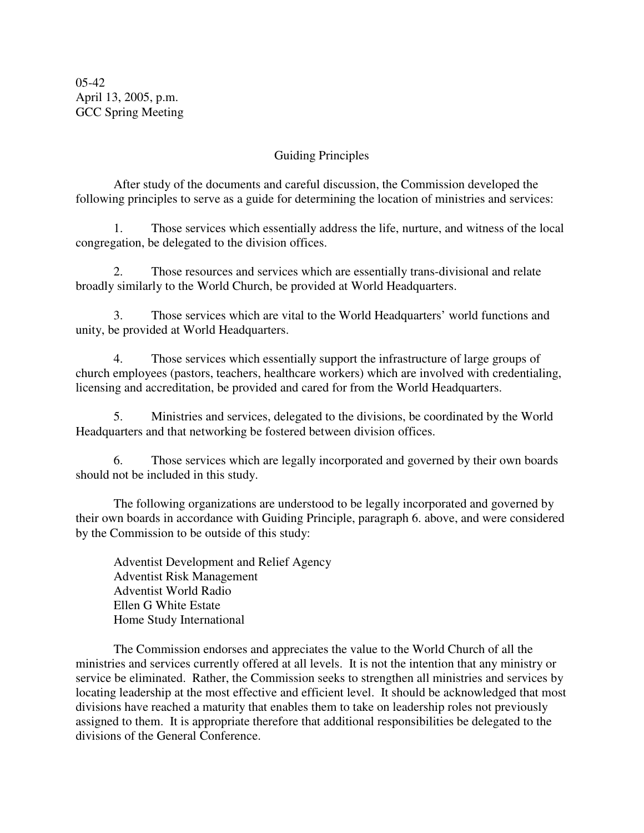05-42 April 13, 2005, p.m. GCC Spring Meeting

# Guiding Principles

After study of the documents and careful discussion, the Commission developed the following principles to serve as a guide for determining the location of ministries and services:

1. Those services which essentially address the life, nurture, and witness of the local congregation, be delegated to the division offices.

2. Those resources and services which are essentially trans-divisional and relate broadly similarly to the World Church, be provided at World Headquarters.

3. Those services which are vital to the World Headquarters' world functions and unity, be provided at World Headquarters.

4. Those services which essentially support the infrastructure of large groups of church employees (pastors, teachers, healthcare workers) which are involved with credentialing, licensing and accreditation, be provided and cared for from the World Headquarters.

5. Ministries and services, delegated to the divisions, be coordinated by the World Headquarters and that networking be fostered between division offices.

6. Those services which are legally incorporated and governed by their own boards should not be included in this study.

The following organizations are understood to be legally incorporated and governed by their own boards in accordance with Guiding Principle, paragraph 6. above, and were considered by the Commission to be outside of this study:

Adventist Development and Relief Agency Adventist Risk Management Adventist World Radio Ellen G White Estate Home Study International

The Commission endorses and appreciates the value to the World Church of all the ministries and services currently offered at all levels. It is not the intention that any ministry or service be eliminated. Rather, the Commission seeks to strengthen all ministries and services by locating leadership at the most effective and efficient level. It should be acknowledged that most divisions have reached a maturity that enables them to take on leadership roles not previously assigned to them. It is appropriate therefore that additional responsibilities be delegated to the divisions of the General Conference.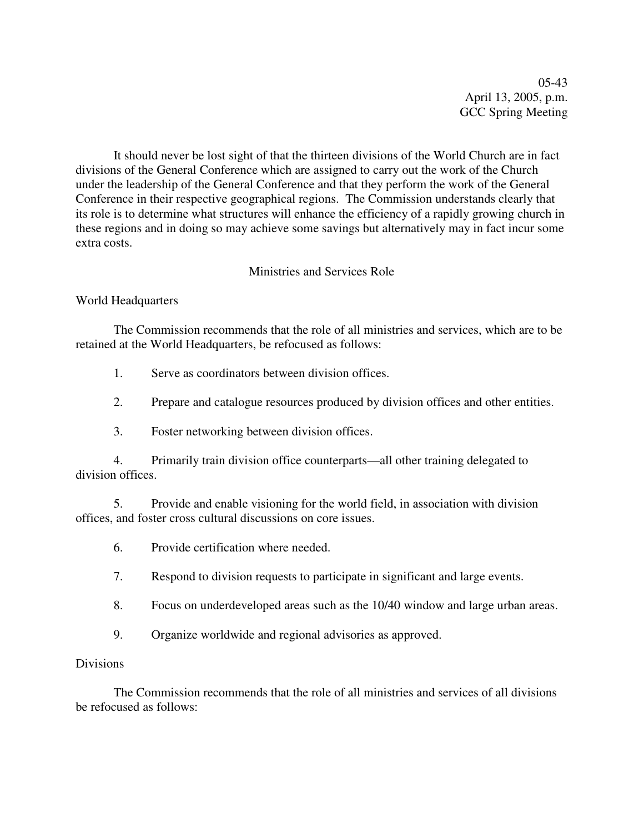05-43 April 13, 2005, p.m. GCC Spring Meeting

It should never be lost sight of that the thirteen divisions of the World Church are in fact divisions of the General Conference which are assigned to carry out the work of the Church under the leadership of the General Conference and that they perform the work of the General Conference in their respective geographical regions. The Commission understands clearly that its role is to determine what structures will enhance the efficiency of a rapidly growing church in these regions and in doing so may achieve some savings but alternatively may in fact incur some extra costs.

# Ministries and Services Role

### World Headquarters

The Commission recommends that the role of all ministries and services, which are to be retained at the World Headquarters, be refocused as follows:

- 1. Serve as coordinators between division offices.
- 2. Prepare and catalogue resources produced by division offices and other entities.
- 3. Foster networking between division offices.

4. Primarily train division office counterparts—all other training delegated to division offices.

5. Provide and enable visioning for the world field, in association with division offices, and foster cross cultural discussions on core issues.

- 6. Provide certification where needed.
- 7. Respond to division requests to participate in significant and large events.
- 8. Focus on underdeveloped areas such as the 10/40 window and large urban areas.
- 9. Organize worldwide and regional advisories as approved.

#### Divisions

The Commission recommends that the role of all ministries and services of all divisions be refocused as follows: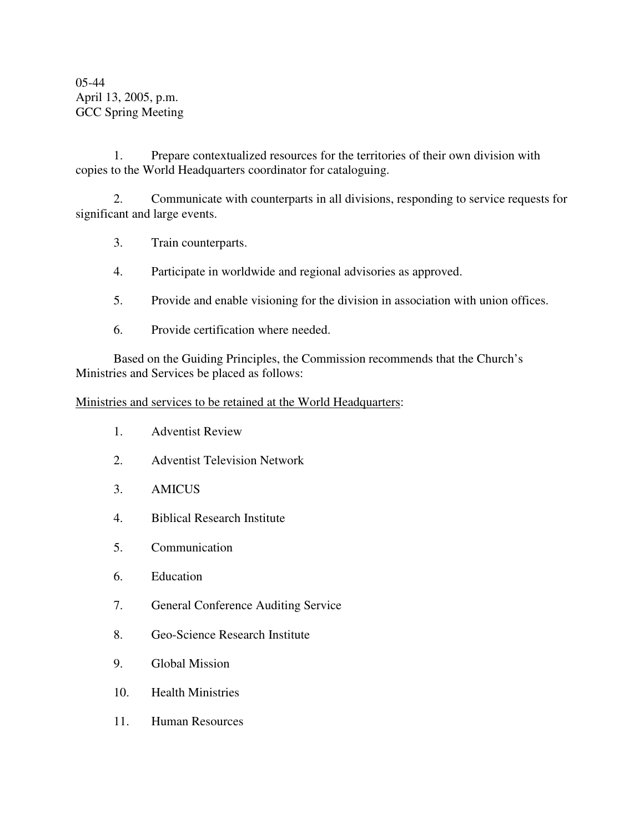05-44 April 13, 2005, p.m. GCC Spring Meeting

1. Prepare contextualized resources for the territories of their own division with copies to the World Headquarters coordinator for cataloguing.

2. Communicate with counterparts in all divisions, responding to service requests for significant and large events.

- 3. Train counterparts.
- 4. Participate in worldwide and regional advisories as approved.
- 5. Provide and enable visioning for the division in association with union offices.
- 6. Provide certification where needed.

Based on the Guiding Principles, the Commission recommends that the Church's Ministries and Services be placed as follows:

Ministries and services to be retained at the World Headquarters:

- 1. Adventist Review
- 2. Adventist Television Network
- 3. AMICUS
- 4. Biblical Research Institute
- 5. Communication
- 6. Education
- 7. General Conference Auditing Service
- 8. Geo-Science Research Institute
- 9. Global Mission
- 10. Health Ministries
- 11. Human Resources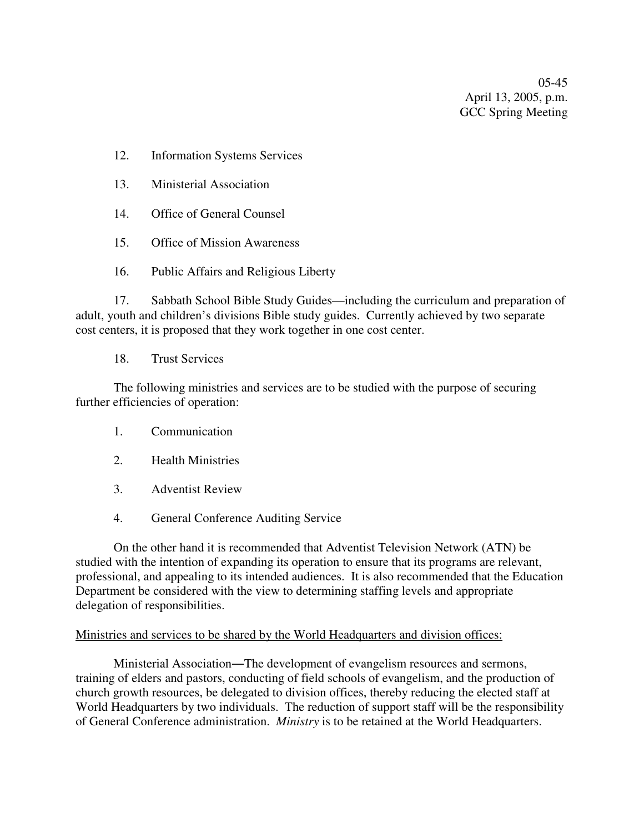05-45 April 13, 2005, p.m. GCC Spring Meeting

- 12. Information Systems Services
- 13. Ministerial Association
- 14. Office of General Counsel
- 15. Office of Mission Awareness
- 16. Public Affairs and Religious Liberty

17. Sabbath School Bible Study Guides—including the curriculum and preparation of adult, youth and children's divisions Bible study guides. Currently achieved by two separate cost centers, it is proposed that they work together in one cost center.

18. Trust Services

The following ministries and services are to be studied with the purpose of securing further efficiencies of operation:

- 1. Communication
- 2. Health Ministries
- 3. Adventist Review
- 4. General Conference Auditing Service

On the other hand it is recommended that Adventist Television Network (ATN) be studied with the intention of expanding its operation to ensure that its programs are relevant, professional, and appealing to its intended audiences. It is also recommended that the Education Department be considered with the view to determining staffing levels and appropriate delegation of responsibilities.

#### Ministries and services to be shared by the World Headquarters and division offices:

Ministerial Association—The development of evangelism resources and sermons, training of elders and pastors, conducting of field schools of evangelism, and the production of church growth resources, be delegated to division offices, thereby reducing the elected staff at World Headquarters by two individuals. The reduction of support staff will be the responsibility of General Conference administration. *Ministry* is to be retained at the World Headquarters.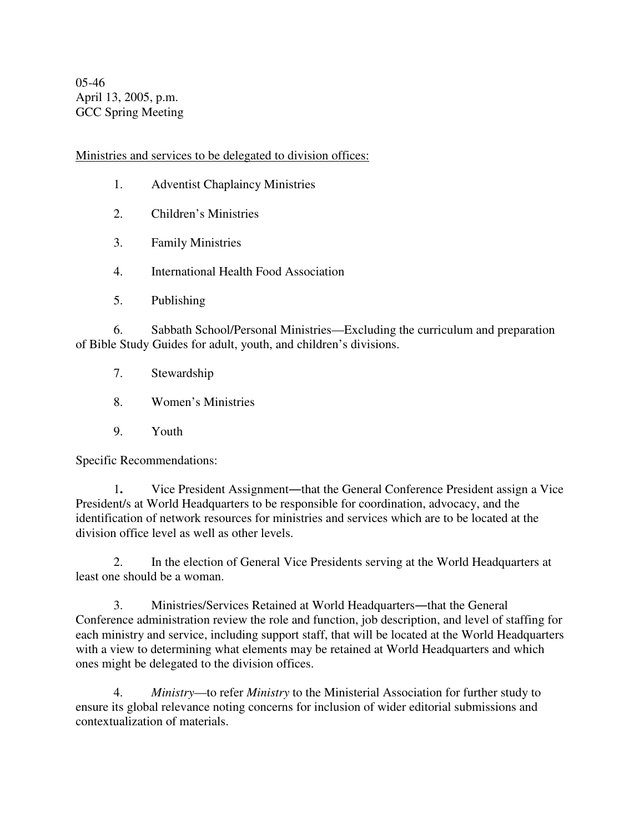05-46 April 13, 2005, p.m. GCC Spring Meeting

Ministries and services to be delegated to division offices:

- 1. Adventist Chaplaincy Ministries
- 2. Children's Ministries
- 3. Family Ministries
- 4. International Health Food Association
- 5. Publishing

6. Sabbath School/Personal Ministries—Excluding the curriculum and preparation of Bible Study Guides for adult, youth, and children's divisions.

- 7. Stewardship
- 8. Women's Ministries
- 9. Youth

Specific Recommendations:

1. Vice President Assignment—that the General Conference President assign a Vice President/s at World Headquarters to be responsible for coordination, advocacy, and the identification of network resources for ministries and services which are to be located at the division office level as well as other levels.

2. In the election of General Vice Presidents serving at the World Headquarters at least one should be a woman.

3. Ministries/Services Retained at World Headquarters—that the General Conference administration review the role and function, job description, and level of staffing for each ministry and service, including support staff, that will be located at the World Headquarters with a view to determining what elements may be retained at World Headquarters and which ones might be delegated to the division offices.

4. *Ministry*—to refer *Ministry* to the Ministerial Association for further study to ensure its global relevance noting concerns for inclusion of wider editorial submissions and contextualization of materials.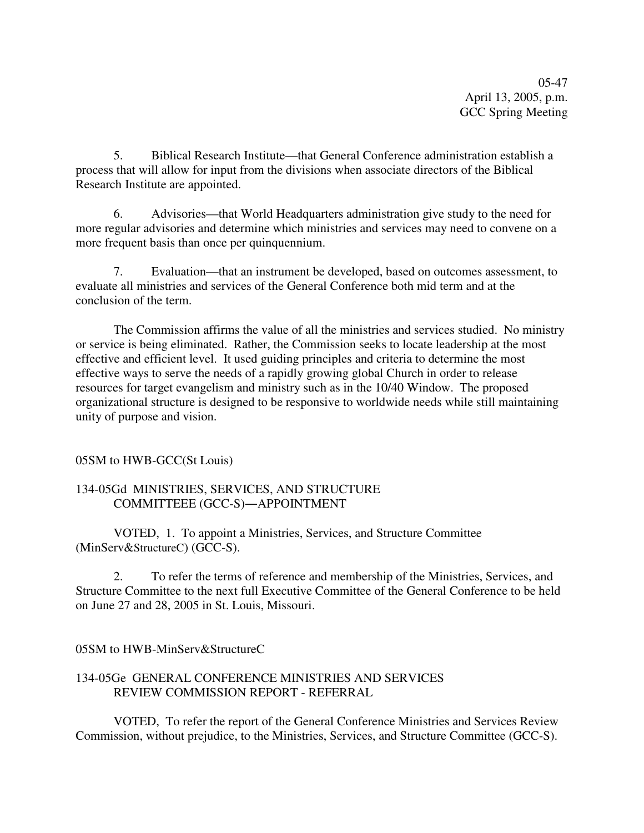05-47 April 13, 2005, p.m. GCC Spring Meeting

5. Biblical Research Institute—that General Conference administration establish a process that will allow for input from the divisions when associate directors of the Biblical Research Institute are appointed.

6. Advisories—that World Headquarters administration give study to the need for more regular advisories and determine which ministries and services may need to convene on a more frequent basis than once per quinquennium.

7. Evaluation—that an instrument be developed, based on outcomes assessment, to evaluate all ministries and services of the General Conference both mid term and at the conclusion of the term.

The Commission affirms the value of all the ministries and services studied. No ministry or service is being eliminated. Rather, the Commission seeks to locate leadership at the most effective and efficient level. It used guiding principles and criteria to determine the most effective ways to serve the needs of a rapidly growing global Church in order to release resources for target evangelism and ministry such as in the 10/40 Window. The proposed organizational structure is designed to be responsive to worldwide needs while still maintaining unity of purpose and vision.

### 05SM to HWB-GCC(St Louis)

# 134-05Gd MINISTRIES, SERVICES, AND STRUCTURE COMMITTEEE (GCC-S)-APPOINTMENT

VOTED, 1. To appoint a Ministries, Services, and Structure Committee (MinServ&StructureC) (GCC-S).

2. To refer the terms of reference and membership of the Ministries, Services, and Structure Committee to the next full Executive Committee of the General Conference to be held on June 27 and 28, 2005 in St. Louis, Missouri.

05SM to HWB-MinServ&StructureC

# 134-05Ge GENERAL CONFERENCE MINISTRIES AND SERVICES REVIEW COMMISSION REPORT - REFERRAL

VOTED, To refer the report of the General Conference Ministries and Services Review Commission, without prejudice, to the Ministries, Services, and Structure Committee (GCC-S).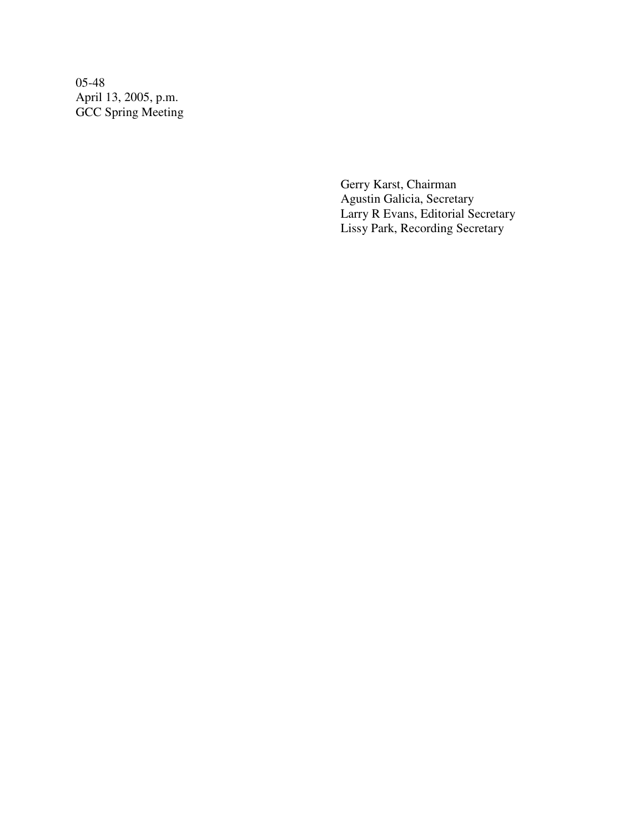05-48 April 13, 2005, p.m. GCC Spring Meeting

> Gerry Karst, Chairman Agustin Galicia, Secretary Larry R Evans, Editorial Secretary Lissy Park, Recording Secretary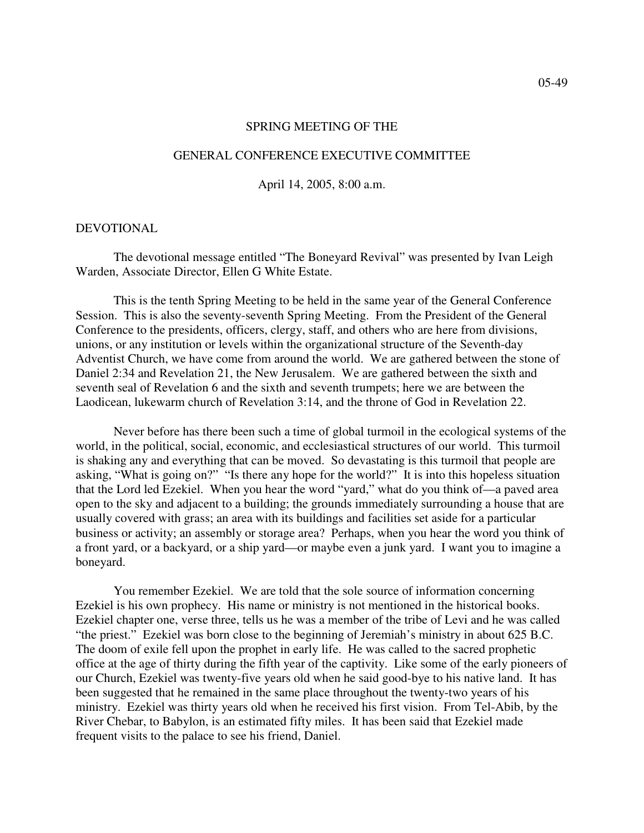#### SPRING MEETING OF THE

#### GENERAL CONFERENCE EXECUTIVE COMMITTEE

#### April 14, 2005, 8:00 a.m.

#### DEVOTIONAL

The devotional message entitled "The Boneyard Revival" was presented by Ivan Leigh Warden, Associate Director, Ellen G White Estate.

This is the tenth Spring Meeting to be held in the same year of the General Conference Session. This is also the seventy-seventh Spring Meeting. From the President of the General Conference to the presidents, officers, clergy, staff, and others who are here from divisions, unions, or any institution or levels within the organizational structure of the Seventh-day Adventist Church, we have come from around the world. We are gathered between the stone of Daniel 2:34 and Revelation 21, the New Jerusalem. We are gathered between the sixth and seventh seal of Revelation 6 and the sixth and seventh trumpets; here we are between the Laodicean, lukewarm church of Revelation 3:14, and the throne of God in Revelation 22.

Never before has there been such a time of global turmoil in the ecological systems of the world, in the political, social, economic, and ecclesiastical structures of our world. This turmoil is shaking any and everything that can be moved. So devastating is this turmoil that people are asking, "What is going on?" "Is there any hope for the world?" It is into this hopeless situation that the Lord led Ezekiel. When you hear the word "yard," what do you think of—a paved area open to the sky and adjacent to a building; the grounds immediately surrounding a house that are usually covered with grass; an area with its buildings and facilities set aside for a particular business or activity; an assembly or storage area? Perhaps, when you hear the word you think of a front yard, or a backyard, or a ship yard—or maybe even a junk yard. I want you to imagine a boneyard.

You remember Ezekiel. We are told that the sole source of information concerning Ezekiel is his own prophecy. His name or ministry is not mentioned in the historical books. Ezekiel chapter one, verse three, tells us he was a member of the tribe of Levi and he was called "the priest." Ezekiel was born close to the beginning of Jeremiah's ministry in about 625 B.C. The doom of exile fell upon the prophet in early life. He was called to the sacred prophetic office at the age of thirty during the fifth year of the captivity. Like some of the early pioneers of our Church, Ezekiel was twenty-five years old when he said good-bye to his native land. It has been suggested that he remained in the same place throughout the twenty-two years of his ministry. Ezekiel was thirty years old when he received his first vision. From Tel-Abib, by the River Chebar, to Babylon, is an estimated fifty miles. It has been said that Ezekiel made frequent visits to the palace to see his friend, Daniel.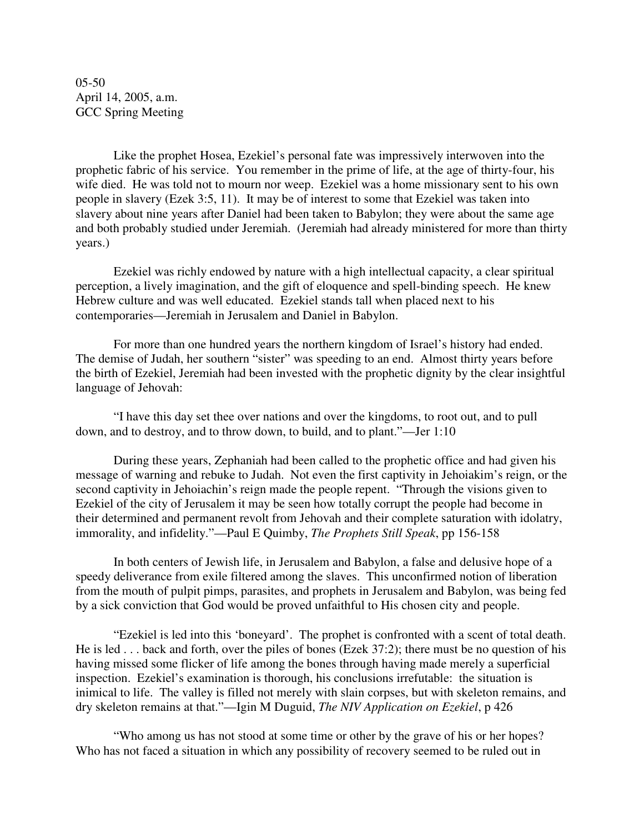$05 - 50$ April 14, 2005, a.m. GCC Spring Meeting

Like the prophet Hosea, Ezekiel's personal fate was impressively interwoven into the prophetic fabric of his service. You remember in the prime of life, at the age of thirty-four, his wife died. He was told not to mourn nor weep. Ezekiel was a home missionary sent to his own people in slavery (Ezek 3:5, 11). It may be of interest to some that Ezekiel was taken into slavery about nine years after Daniel had been taken to Babylon; they were about the same age and both probably studied under Jeremiah. (Jeremiah had already ministered for more than thirty years.)

Ezekiel was richly endowed by nature with a high intellectual capacity, a clear spiritual perception, a lively imagination, and the gift of eloquence and spell-binding speech. He knew Hebrew culture and was well educated. Ezekiel stands tall when placed next to his contemporaries—Jeremiah in Jerusalem and Daniel in Babylon.

For more than one hundred years the northern kingdom of Israel's history had ended. The demise of Judah, her southern "sister" was speeding to an end. Almost thirty years before the birth of Ezekiel, Jeremiah had been invested with the prophetic dignity by the clear insightful language of Jehovah:

"I have this day set thee over nations and over the kingdoms, to root out, and to pull down, and to destroy, and to throw down, to build, and to plant."—Jer 1:10

During these years, Zephaniah had been called to the prophetic office and had given his message of warning and rebuke to Judah. Not even the first captivity in Jehoiakim's reign, or the second captivity in Jehoiachin's reign made the people repent. "Through the visions given to Ezekiel of the city of Jerusalem it may be seen how totally corrupt the people had become in their determined and permanent revolt from Jehovah and their complete saturation with idolatry, immorality, and infidelity."—Paul E Quimby, *The Prophets Still Speak*, pp 156-158

In both centers of Jewish life, in Jerusalem and Babylon, a false and delusive hope of a speedy deliverance from exile filtered among the slaves. This unconfirmed notion of liberation from the mouth of pulpit pimps, parasites, and prophets in Jerusalem and Babylon, was being fed by a sick conviction that God would be proved unfaithful to His chosen city and people.

"Ezekiel is led into this 'boneyard'. The prophet is confronted with a scent of total death. He is led . . . back and forth, over the piles of bones (Ezek 37:2); there must be no question of his having missed some flicker of life among the bones through having made merely a superficial inspection. Ezekiel's examination is thorough, his conclusions irrefutable: the situation is inimical to life. The valley is filled not merely with slain corpses, but with skeleton remains, and dry skeleton remains at that."—Igin M Duguid, *The NIV Application on Ezekiel*, p 426

"Who among us has not stood at some time or other by the grave of his or her hopes? Who has not faced a situation in which any possibility of recovery seemed to be ruled out in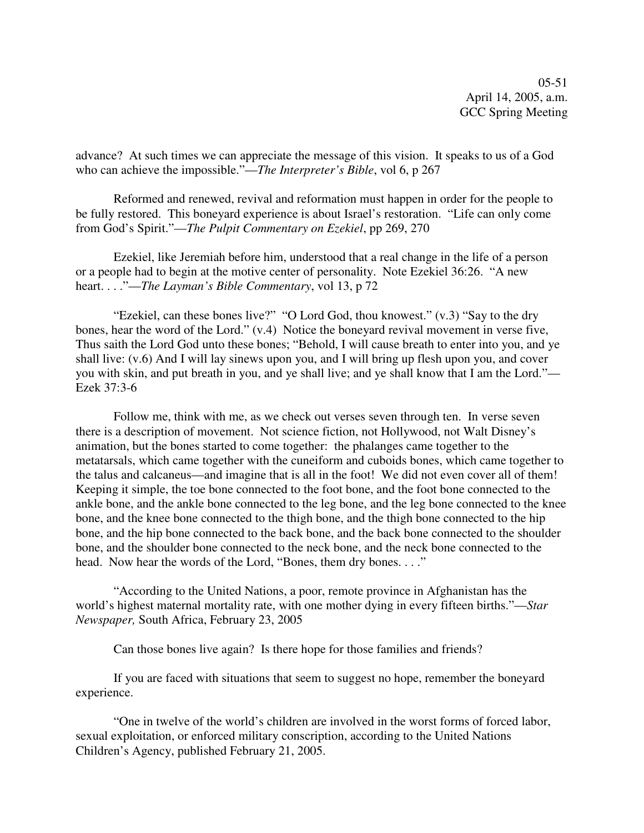$05 - 51$ April 14, 2005, a.m. GCC Spring Meeting

advance? At such times we can appreciate the message of this vision. It speaks to us of a God who can achieve the impossible."—*The Interpreter's Bible*, vol 6, p 267

Reformed and renewed, revival and reformation must happen in order for the people to be fully restored. This boneyard experience is about Israel's restoration. "Life can only come from God's Spirit."—*The Pulpit Commentary on Ezekiel*, pp 269, 270

Ezekiel, like Jeremiah before him, understood that a real change in the life of a person or a people had to begin at the motive center of personality. Note Ezekiel 36:26. "A new heart. . . ."—*The Layman's Bible Commentary*, vol 13, p 72

"Ezekiel, can these bones live?" "O Lord God, thou knowest." (v.3) "Say to the dry bones, hear the word of the Lord." (v.4) Notice the boneyard revival movement in verse five, Thus saith the Lord God unto these bones; "Behold, I will cause breath to enter into you, and ye shall live: (v.6) And I will lay sinews upon you, and I will bring up flesh upon you, and cover you with skin, and put breath in you, and ye shall live; and ye shall know that I am the Lord."— Ezek 37:3-6

Follow me, think with me, as we check out verses seven through ten. In verse seven there is a description of movement. Not science fiction, not Hollywood, not Walt Disney's animation, but the bones started to come together: the phalanges came together to the metatarsals, which came together with the cuneiform and cuboids bones, which came together to the talus and calcaneus—and imagine that is all in the foot! We did not even cover all of them! Keeping it simple, the toe bone connected to the foot bone, and the foot bone connected to the ankle bone, and the ankle bone connected to the leg bone, and the leg bone connected to the knee bone, and the knee bone connected to the thigh bone, and the thigh bone connected to the hip bone, and the hip bone connected to the back bone, and the back bone connected to the shoulder bone, and the shoulder bone connected to the neck bone, and the neck bone connected to the head. Now hear the words of the Lord, "Bones, them dry bones...."

"According to the United Nations, a poor, remote province in Afghanistan has the world's highest maternal mortality rate, with one mother dying in every fifteen births."—*Star Newspaper,* South Africa, February 23, 2005

Can those bones live again? Is there hope for those families and friends?

If you are faced with situations that seem to suggest no hope, remember the boneyard experience.

"One in twelve of the world's children are involved in the worst forms of forced labor, sexual exploitation, or enforced military conscription, according to the United Nations Children's Agency, published February 21, 2005.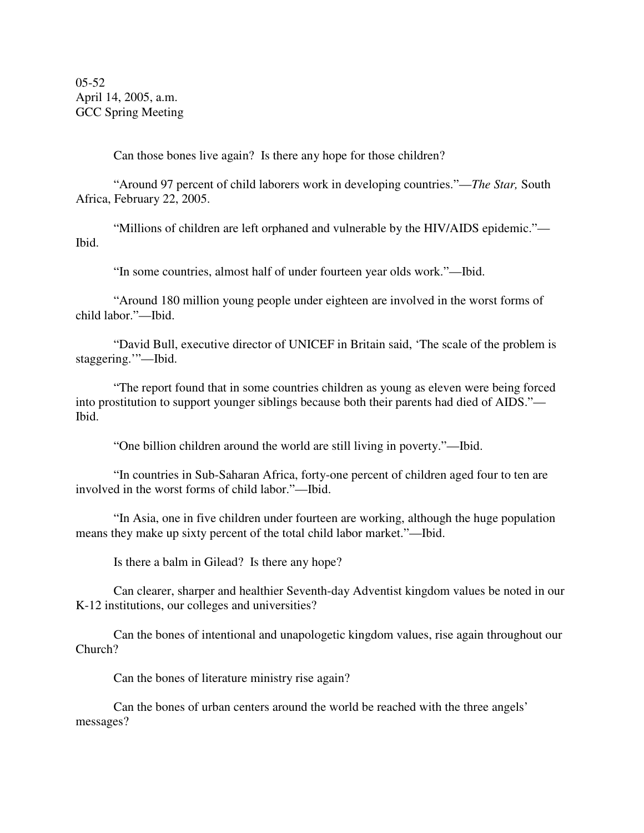$05 - 52$ April 14, 2005, a.m. GCC Spring Meeting

Can those bones live again? Is there any hope for those children?

"Around 97 percent of child laborers work in developing countries."—*The Star,* South Africa, February 22, 2005.

"Millions of children are left orphaned and vulnerable by the HIV/AIDS epidemic."— Ibid.

"In some countries, almost half of under fourteen year olds work."—Ibid.

"Around 180 million young people under eighteen are involved in the worst forms of child labor."—Ibid.

"David Bull, executive director of UNICEF in Britain said, 'The scale of the problem is staggering.'"—Ibid.

"The report found that in some countries children as young as eleven were being forced into prostitution to support younger siblings because both their parents had died of AIDS."— Ibid.

"One billion children around the world are still living in poverty."—Ibid.

"In countries in Sub-Saharan Africa, forty-one percent of children aged four to ten are involved in the worst forms of child labor."—Ibid.

"In Asia, one in five children under fourteen are working, although the huge population means they make up sixty percent of the total child labor market."—Ibid.

Is there a balm in Gilead? Is there any hope?

Can clearer, sharper and healthier Seventh-day Adventist kingdom values be noted in our K-12 institutions, our colleges and universities?

Can the bones of intentional and unapologetic kingdom values, rise again throughout our Church?

Can the bones of literature ministry rise again?

Can the bones of urban centers around the world be reached with the three angels' messages?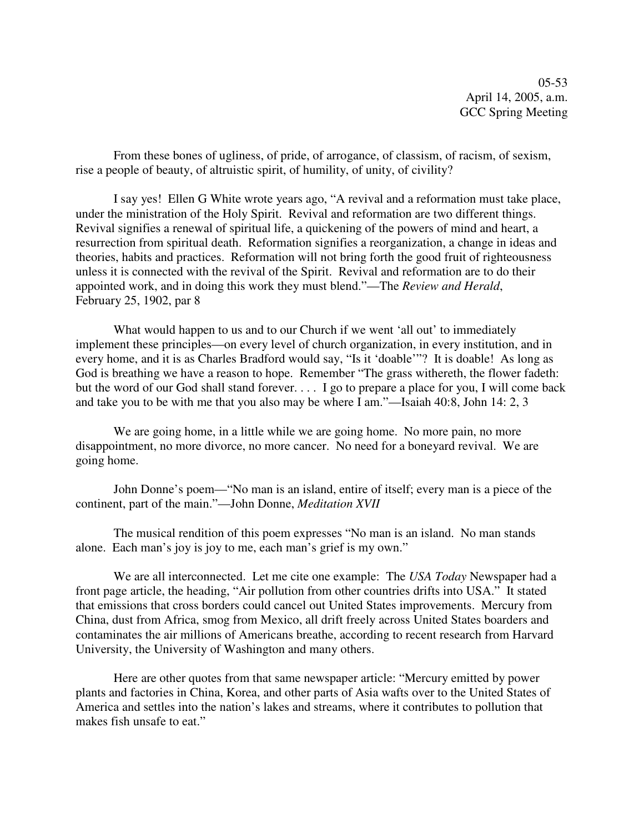05-53 April 14, 2005, a.m. GCC Spring Meeting

From these bones of ugliness, of pride, of arrogance, of classism, of racism, of sexism, rise a people of beauty, of altruistic spirit, of humility, of unity, of civility?

I say yes! Ellen G White wrote years ago, "A revival and a reformation must take place, under the ministration of the Holy Spirit. Revival and reformation are two different things. Revival signifies a renewal of spiritual life, a quickening of the powers of mind and heart, a resurrection from spiritual death. Reformation signifies a reorganization, a change in ideas and theories, habits and practices. Reformation will not bring forth the good fruit of righteousness unless it is connected with the revival of the Spirit. Revival and reformation are to do their appointed work, and in doing this work they must blend."—The *Review and Herald*, February 25, 1902, par 8

What would happen to us and to our Church if we went 'all out' to immediately implement these principles—on every level of church organization, in every institution, and in every home, and it is as Charles Bradford would say, "Is it 'doable'"? It is doable! As long as God is breathing we have a reason to hope. Remember "The grass withereth, the flower fadeth: but the word of our God shall stand forever. . . . I go to prepare a place for you, I will come back and take you to be with me that you also may be where I am."—Isaiah 40:8, John 14: 2, 3

We are going home, in a little while we are going home. No more pain, no more disappointment, no more divorce, no more cancer. No need for a boneyard revival. We are going home.

John Donne's poem—"No man is an island, entire of itself; every man is a piece of the continent, part of the main."—John Donne, *Meditation XVII*

The musical rendition of this poem expresses "No man is an island. No man stands alone. Each man's joy is joy to me, each man's grief is my own."

We are all interconnected. Let me cite one example: The *USA Today* Newspaper had a front page article, the heading, "Air pollution from other countries drifts into USA." It stated that emissions that cross borders could cancel out United States improvements. Mercury from China, dust from Africa, smog from Mexico, all drift freely across United States boarders and contaminates the air millions of Americans breathe, according to recent research from Harvard University, the University of Washington and many others.

Here are other quotes from that same newspaper article: "Mercury emitted by power plants and factories in China, Korea, and other parts of Asia wafts over to the United States of America and settles into the nation's lakes and streams, where it contributes to pollution that makes fish unsafe to eat."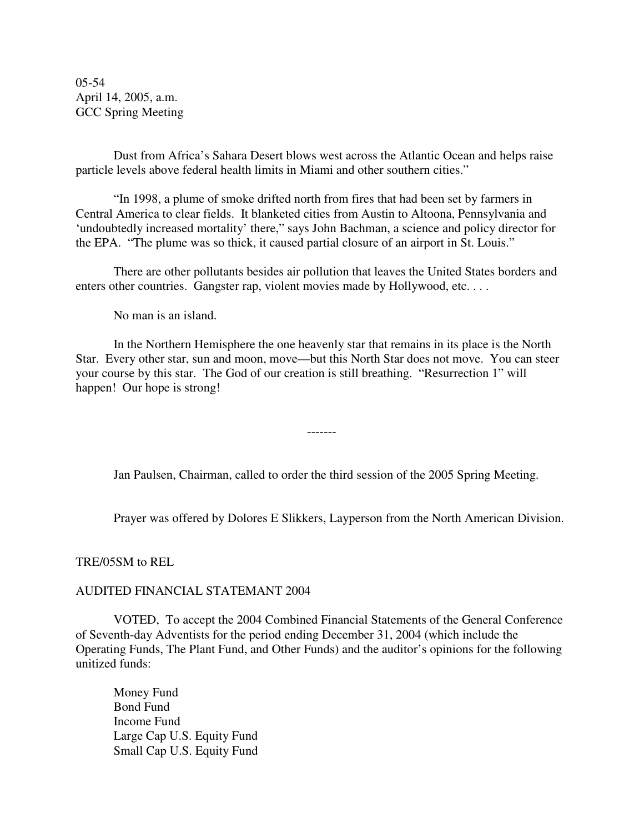05-54 April 14, 2005, a.m. GCC Spring Meeting

Dust from Africa's Sahara Desert blows west across the Atlantic Ocean and helps raise particle levels above federal health limits in Miami and other southern cities."

"In 1998, a plume of smoke drifted north from fires that had been set by farmers in Central America to clear fields. It blanketed cities from Austin to Altoona, Pennsylvania and 'undoubtedly increased mortality' there," says John Bachman, a science and policy director for the EPA. "The plume was so thick, it caused partial closure of an airport in St. Louis."

There are other pollutants besides air pollution that leaves the United States borders and enters other countries. Gangster rap, violent movies made by Hollywood, etc. . . .

No man is an island.

In the Northern Hemisphere the one heavenly star that remains in its place is the North Star. Every other star, sun and moon, move—but this North Star does not move. You can steer your course by this star. The God of our creation is still breathing. "Resurrection 1" will happen! Our hope is strong!

Jan Paulsen, Chairman, called to order the third session of the 2005 Spring Meeting.

-------

Prayer was offered by Dolores E Slikkers, Layperson from the North American Division.

TRE/05SM to REL

#### AUDITED FINANCIAL STATEMANT 2004

VOTED, To accept the 2004 Combined Financial Statements of the General Conference of Seventh-day Adventists for the period ending December 31, 2004 (which include the Operating Funds, The Plant Fund, and Other Funds) and the auditor's opinions for the following unitized funds:

Money Fund Bond Fund Income Fund Large Cap U.S. Equity Fund Small Cap U.S. Equity Fund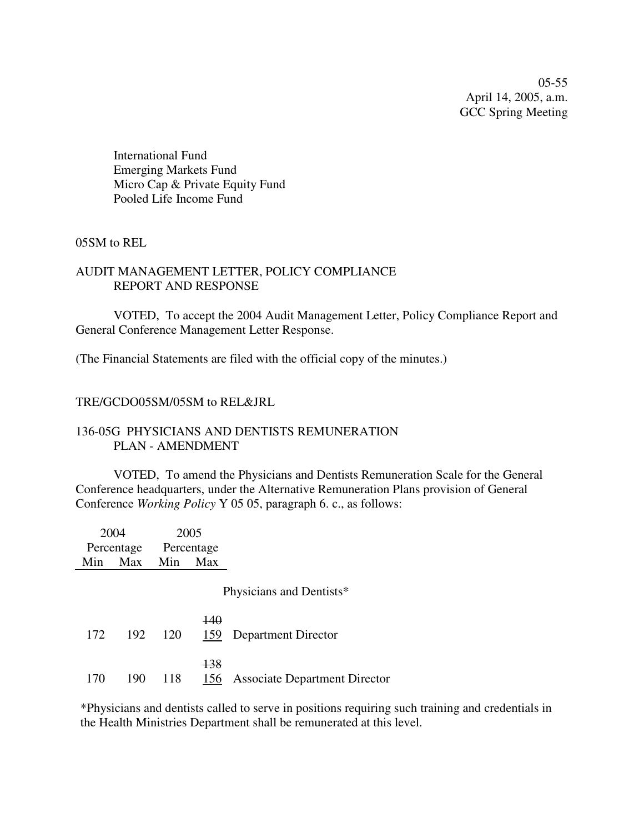$05 - 55$ April 14, 2005, a.m. GCC Spring Meeting

International Fund Emerging Markets Fund Micro Cap & Private Equity Fund Pooled Life Income Fund

#### 05SM to REL

## AUDIT MANAGEMENT LETTER, POLICY COMPLIANCE REPORT AND RESPONSE

VOTED, To accept the 2004 Audit Management Letter, Policy Compliance Report and General Conference Management Letter Response.

(The Financial Statements are filed with the official copy of the minutes.)

#### TRE/GCDO05SM/05SM to REL&JRL

#### 136-05G PHYSICIANS AND DENTISTS REMUNERATION PLAN - AMENDMENT

VOTED, To amend the Physicians and Dentists Remuneration Scale for the General Conference headquarters, under the Alternative Remuneration Plans provision of General Conference *Working Policy* Y 05 05, paragraph 6. c., as follows:

|            | 2004    | 2005       |  |
|------------|---------|------------|--|
| Percentage |         | Percentage |  |
|            | Min Max | Min Max    |  |

Physicians and Dentists\*

| 172  |  | 140<br>192 120 159 Department Director           |  |
|------|--|--------------------------------------------------|--|
| -170 |  | 138<br>190 118 156 Associate Department Director |  |

\*Physicians and dentists called to serve in positions requiring such training and credentials in the Health Ministries Department shall be remunerated at this level.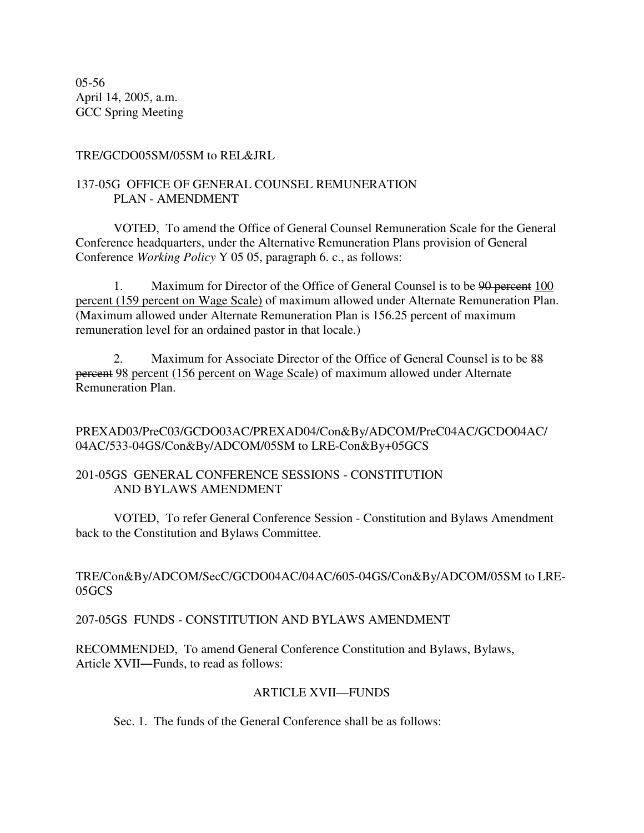05-56 April 14, 2005, a.m. GCC Spring Meeting

# TRE/GCDO05SM/05SM to REL&JRL

# 137-05G OFFICE OF GENERAL COUNSEL REMUNERATION PLAN - AMENDMENT

VOTED, To amend the Office of General Counsel Remuneration Scale for the General Conference headquarters, under the Alternative Remuneration Plans provision of General Conference *Working Policy* Y 05 05, paragraph 6. c., as follows:

1. Maximum for Director of the Office of General Counsel is to be 90 percent 100 percent (159 percent on Wage Scale) of maximum allowed under Alternate Remuneration Plan. (Maximum allowed under Alternate Remuneration Plan is 156.25 percent of maximum remuneration level for an ordained pastor in that locale.)

2. Maximum for Associate Director of the Office of General Counsel is to be 88 percent 98 percent (156 percent on Wage Scale) of maximum allowed under Alternate Remuneration Plan.

PREXAD03/PreC03/GCDO03AC/PREXAD04/Con&By/ADCOM/PreC04AC/GCDO04AC/ 04AC/533-04GS/Con&By/ADCOM/05SM to LRE-Con&By+05GCS

# 201-05GS GENERAL CONFERENCE SESSIONS - CONSTITUTION AND BYLAWS AMENDMENT

VOTED, To refer General Conference Session - Constitution and Bylaws Amendment back to the Constitution and Bylaws Committee.

TRE/Con&By/ADCOM/SecC/GCDO04AC/04AC/605-04GS/Con&By/ADCOM/05SM to LRE-05GCS

207-05GS FUNDS - CONSTITUTION AND BYLAWS AMENDMENT

RECOMMENDED, To amend General Conference Constitution and Bylaws, Bylaws, Article XVII—Funds, to read as follows:

# ARTICLE XVII—FUNDS

Sec. 1. The funds of the General Conference shall be as follows: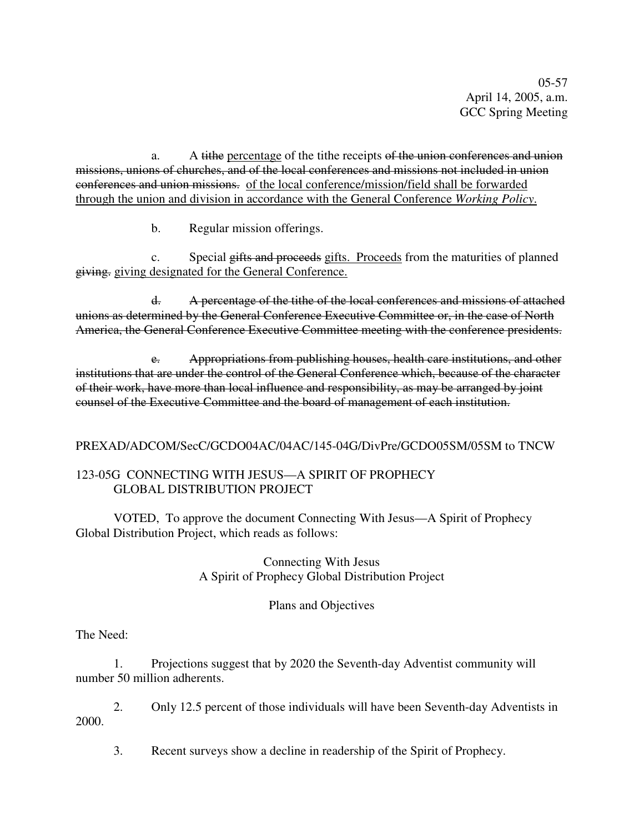05-57 April 14, 2005, a.m. GCC Spring Meeting

a. A tithe percentage of the tithe receipts of the union conferences and union missions, unions of churches, and of the local conferences and missions not included in union conferences and union missions. of the local conference/mission/field shall be forwarded through the union and division in accordance with the General Conference *Working Policy*.

b. Regular mission offerings.

c. Special gifts and proceeds gifts. Proceeds from the maturities of planned giving. giving designated for the General Conference.

d. A percentage of the tithe of the local conferences and missions of attached unions as determined by the General Conference Executive Committee or, in the case of North America, the General Conference Executive Committee meeting with the conference presidents.

e. Appropriations from publishing houses, health care institutions, and other institutions that are under the control of the General Conference which, because of the character of their work, have more than local influence and responsibility, as may be arranged by joint counsel of the Executive Committee and the board of management of each institution.

# PREXAD/ADCOM/SecC/GCDO04AC/04AC/145-04G/DivPre/GCDO05SM/05SM to TNCW

# 123-05G CONNECTING WITH JESUS—A SPIRIT OF PROPHECY GLOBAL DISTRIBUTION PROJECT

VOTED, To approve the document Connecting With Jesus—A Spirit of Prophecy Global Distribution Project, which reads as follows:

# Connecting With Jesus A Spirit of Prophecy Global Distribution Project

Plans and Objectives

The Need:

1. Projections suggest that by 2020 the Seventh-day Adventist community will number 50 million adherents.

2. Only 12.5 percent of those individuals will have been Seventh-day Adventists in 2000.

3. Recent surveys show a decline in readership of the Spirit of Prophecy.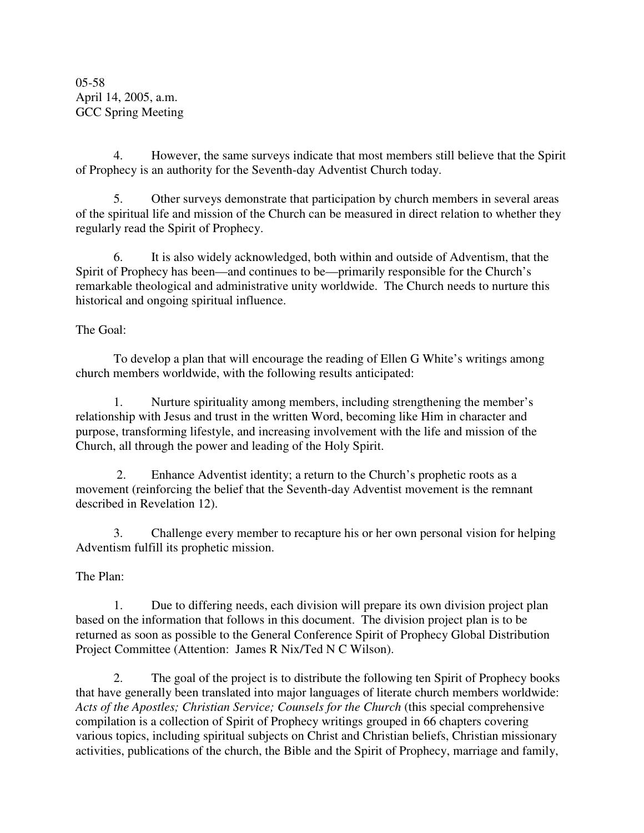05-58 April 14, 2005, a.m. GCC Spring Meeting

4. However, the same surveys indicate that most members still believe that the Spirit of Prophecy is an authority for the Seventh-day Adventist Church today.

5. Other surveys demonstrate that participation by church members in several areas of the spiritual life and mission of the Church can be measured in direct relation to whether they regularly read the Spirit of Prophecy.

6. It is also widely acknowledged, both within and outside of Adventism, that the Spirit of Prophecy has been—and continues to be—primarily responsible for the Church's remarkable theological and administrative unity worldwide. The Church needs to nurture this historical and ongoing spiritual influence.

The Goal:

To develop a plan that will encourage the reading of Ellen G White's writings among church members worldwide, with the following results anticipated:

1. Nurture spirituality among members, including strengthening the member's relationship with Jesus and trust in the written Word, becoming like Him in character and purpose, transforming lifestyle, and increasing involvement with the life and mission of the Church, all through the power and leading of the Holy Spirit.

2. Enhance Adventist identity; a return to the Church's prophetic roots as a movement (reinforcing the belief that the Seventh-day Adventist movement is the remnant described in Revelation 12).

3. Challenge every member to recapture his or her own personal vision for helping Adventism fulfill its prophetic mission.

The Plan:

1. Due to differing needs, each division will prepare its own division project plan based on the information that follows in this document. The division project plan is to be returned as soon as possible to the General Conference Spirit of Prophecy Global Distribution Project Committee (Attention: James R Nix/Ted N C Wilson).

2. The goal of the project is to distribute the following ten Spirit of Prophecy books that have generally been translated into major languages of literate church members worldwide: *Acts of the Apostles; Christian Service; Counsels for the Church* (this special comprehensive compilation is a collection of Spirit of Prophecy writings grouped in 66 chapters covering various topics, including spiritual subjects on Christ and Christian beliefs, Christian missionary activities, publications of the church, the Bible and the Spirit of Prophecy, marriage and family,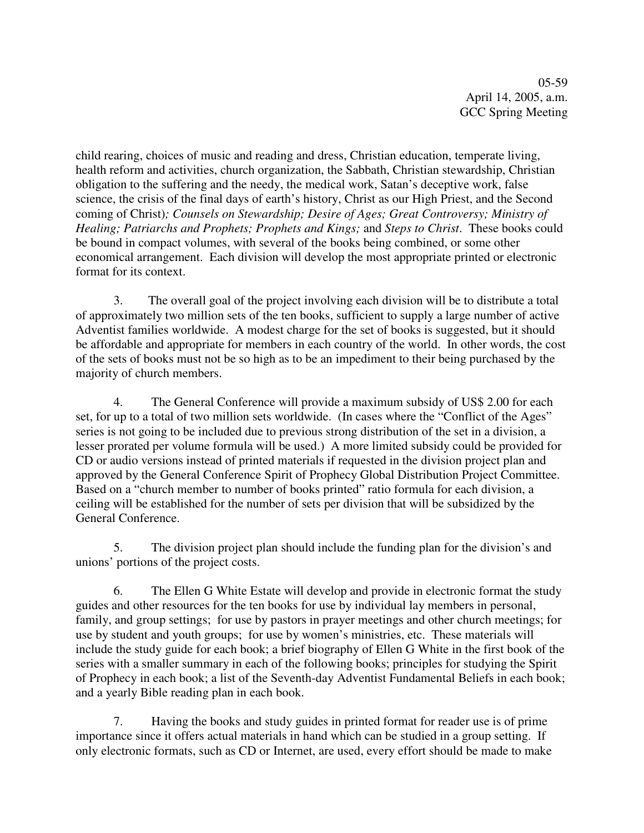05-59 April 14, 2005, a.m. GCC Spring Meeting

child rearing, choices of music and reading and dress, Christian education, temperate living, health reform and activities, church organization, the Sabbath, Christian stewardship, Christian obligation to the suffering and the needy, the medical work, Satan's deceptive work, false science, the crisis of the final days of earth's history, Christ as our High Priest, and the Second coming of Christ)*; Counsels on Stewardship; Desire of Ages; Great Controversy; Ministry of Healing; Patriarchs and Prophets; Prophets and Kings;* and *Steps to Christ*. These books could be bound in compact volumes, with several of the books being combined, or some other economical arrangement. Each division will develop the most appropriate printed or electronic format for its context.

3. The overall goal of the project involving each division will be to distribute a total of approximately two million sets of the ten books, sufficient to supply a large number of active Adventist families worldwide. A modest charge for the set of books is suggested, but it should be affordable and appropriate for members in each country of the world. In other words, the cost of the sets of books must not be so high as to be an impediment to their being purchased by the majority of church members.

4. The General Conference will provide a maximum subsidy of US\$ 2.00 for each set, for up to a total of two million sets worldwide. (In cases where the "Conflict of the Ages" series is not going to be included due to previous strong distribution of the set in a division, a lesser prorated per volume formula will be used.) A more limited subsidy could be provided for CD or audio versions instead of printed materials if requested in the division project plan and approved by the General Conference Spirit of Prophecy Global Distribution Project Committee. Based on a "church member to number of books printed" ratio formula for each division, a ceiling will be established for the number of sets per division that will be subsidized by the General Conference.

5. The division project plan should include the funding plan for the division's and unions' portions of the project costs.

6. The Ellen G White Estate will develop and provide in electronic format the study guides and other resources for the ten books for use by individual lay members in personal, family, and group settings; for use by pastors in prayer meetings and other church meetings; for use by student and youth groups; for use by women's ministries, etc. These materials will include the study guide for each book; a brief biography of Ellen G White in the first book of the series with a smaller summary in each of the following books; principles for studying the Spirit of Prophecy in each book; a list of the Seventh-day Adventist Fundamental Beliefs in each book; and a yearly Bible reading plan in each book.

7. Having the books and study guides in printed format for reader use is of prime importance since it offers actual materials in hand which can be studied in a group setting. If only electronic formats, such as CD or Internet, are used, every effort should be made to make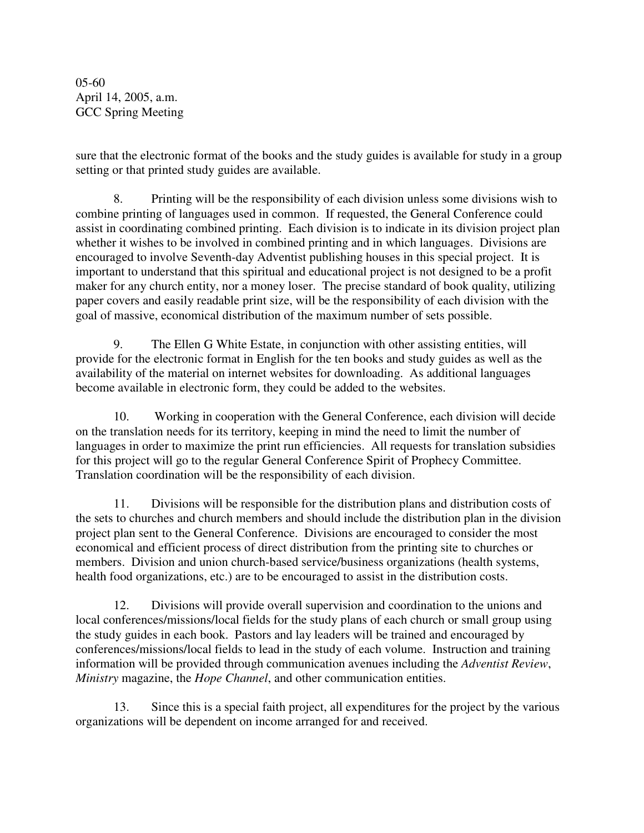05-60 April 14, 2005, a.m. GCC Spring Meeting

sure that the electronic format of the books and the study guides is available for study in a group setting or that printed study guides are available.

8. Printing will be the responsibility of each division unless some divisions wish to combine printing of languages used in common. If requested, the General Conference could assist in coordinating combined printing. Each division is to indicate in its division project plan whether it wishes to be involved in combined printing and in which languages. Divisions are encouraged to involve Seventh-day Adventist publishing houses in this special project. It is important to understand that this spiritual and educational project is not designed to be a profit maker for any church entity, nor a money loser. The precise standard of book quality, utilizing paper covers and easily readable print size, will be the responsibility of each division with the goal of massive, economical distribution of the maximum number of sets possible.

9. The Ellen G White Estate, in conjunction with other assisting entities, will provide for the electronic format in English for the ten books and study guides as well as the availability of the material on internet websites for downloading. As additional languages become available in electronic form, they could be added to the websites.

10. Working in cooperation with the General Conference, each division will decide on the translation needs for its territory, keeping in mind the need to limit the number of languages in order to maximize the print run efficiencies. All requests for translation subsidies for this project will go to the regular General Conference Spirit of Prophecy Committee. Translation coordination will be the responsibility of each division.

11. Divisions will be responsible for the distribution plans and distribution costs of the sets to churches and church members and should include the distribution plan in the division project plan sent to the General Conference. Divisions are encouraged to consider the most economical and efficient process of direct distribution from the printing site to churches or members. Division and union church-based service/business organizations (health systems, health food organizations, etc.) are to be encouraged to assist in the distribution costs.

12. Divisions will provide overall supervision and coordination to the unions and local conferences/missions/local fields for the study plans of each church or small group using the study guides in each book. Pastors and lay leaders will be trained and encouraged by conferences/missions/local fields to lead in the study of each volume. Instruction and training information will be provided through communication avenues including the *Adventist Review*, *Ministry* magazine, the *Hope Channel*, and other communication entities.

13. Since this is a special faith project, all expenditures for the project by the various organizations will be dependent on income arranged for and received.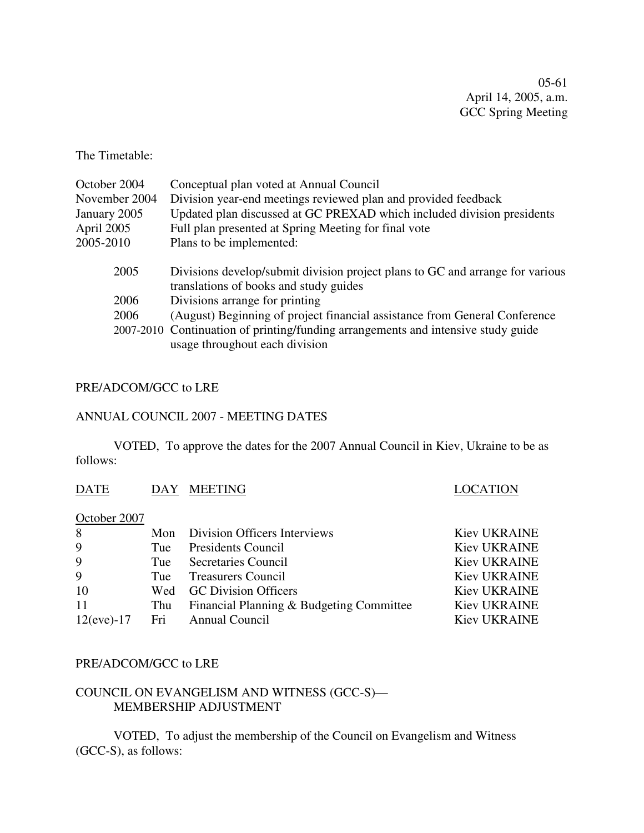05-61 April 14, 2005, a.m. GCC Spring Meeting

The Timetable:

| Conceptual plan voted at Annual Council                                                                                 |
|-------------------------------------------------------------------------------------------------------------------------|
| Division year-end meetings reviewed plan and provided feedback                                                          |
| Updated plan discussed at GC PREXAD which included division presidents                                                  |
| Full plan presented at Spring Meeting for final vote                                                                    |
| Plans to be implemented:                                                                                                |
| Divisions develop/submit division project plans to GC and arrange for various<br>translations of books and study guides |
| Divisions arrange for printing                                                                                          |
| (August) Beginning of project financial assistance from General Conference                                              |
| 2007-2010 Continuation of printing/funding arrangements and intensive study guide<br>usage throughout each division     |
|                                                                                                                         |

# PRE/ADCOM/GCC to LRE

# ANNUAL COUNCIL 2007 - MEETING DATES

VOTED, To approve the dates for the 2007 Annual Council in Kiev, Ukraine to be as follows:

# October 2007

| 8         |     | Mon Division Officers Interviews             | <b>Kiev UKRAINE</b> |
|-----------|-----|----------------------------------------------|---------------------|
| 9         | Tue | <b>Presidents Council</b>                    | <b>Kiev UKRAINE</b> |
| 9         |     | Tue Secretaries Council                      | <b>Kiev UKRAINE</b> |
| 9         |     | Tue Treasurers Council                       | <b>Kiev UKRAINE</b> |
| <b>10</b> |     | Wed GC Division Officers                     | <b>Kiev UKRAINE</b> |
| -11       |     | Thu Financial Planning & Budgeting Committee | <b>Kiev UKRAINE</b> |
|           |     | 12(eve)-17 Fri Annual Council                | <b>Kiev UKRAINE</b> |

# PRE/ADCOM/GCC to LRE

# COUNCIL ON EVANGELISM AND WITNESS (GCC-S)— MEMBERSHIP ADJUSTMENT

VOTED, To adjust the membership of the Council on Evangelism and Witness (GCC-S), as follows: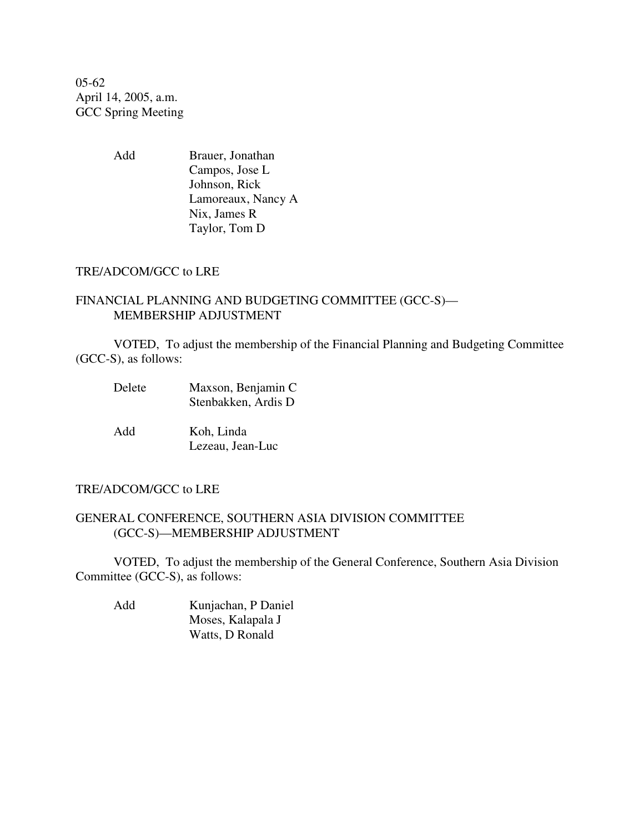05-62 April 14, 2005, a.m. GCC Spring Meeting

> Add Brauer, Jonathan Campos, Jose L Johnson, Rick Lamoreaux, Nancy A Nix, James R Taylor, Tom D

# TRE/ADCOM/GCC to LRE

# FINANCIAL PLANNING AND BUDGETING COMMITTEE (GCC-S)— MEMBERSHIP ADJUSTMENT

VOTED, To adjust the membership of the Financial Planning and Budgeting Committee (GCC-S), as follows:

- Delete Maxson, Benjamin C Stenbakken, Ardis D
- Add Koh, Linda Lezeau, Jean-Luc

# TRE/ADCOM/GCC to LRE

# GENERAL CONFERENCE, SOUTHERN ASIA DIVISION COMMITTEE (GCC-S)—MEMBERSHIP ADJUSTMENT

VOTED, To adjust the membership of the General Conference, Southern Asia Division Committee (GCC-S), as follows:

Add Kunjachan, P Daniel Moses, Kalapala J Watts, D Ronald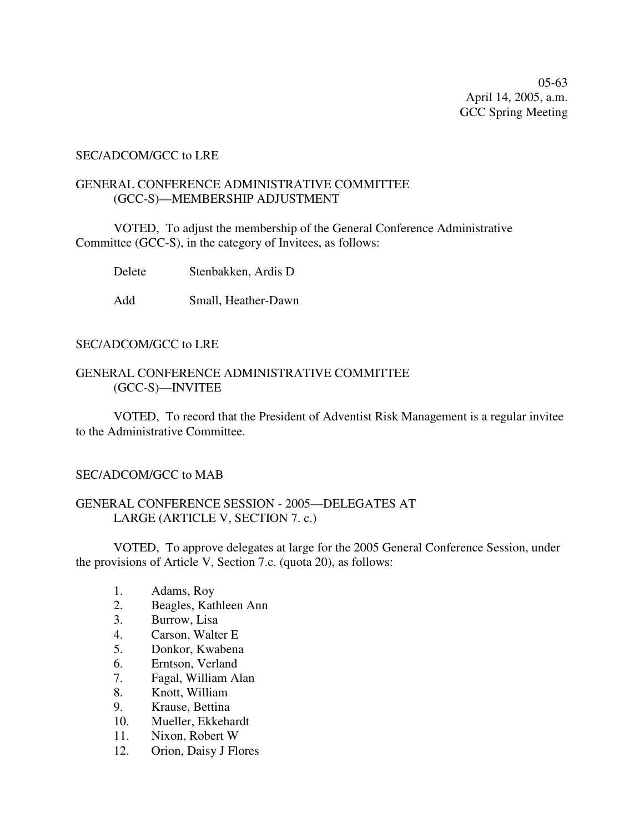05-63 April 14, 2005, a.m. GCC Spring Meeting

#### SEC/ADCOM/GCC to LRE

# GENERAL CONFERENCE ADMINISTRATIVE COMMITTEE (GCC-S)—MEMBERSHIP ADJUSTMENT

VOTED, To adjust the membership of the General Conference Administrative Committee (GCC-S), in the category of Invitees, as follows:

Delete Stenbakken, Ardis D

Add Small, Heather-Dawn

# SEC/ADCOM/GCC to LRE

# GENERAL CONFERENCE ADMINISTRATIVE COMMITTEE (GCC-S)—INVITEE

VOTED, To record that the President of Adventist Risk Management is a regular invitee to the Administrative Committee.

### SEC/ADCOM/GCC to MAB

### GENERAL CONFERENCE SESSION - 2005—DELEGATES AT LARGE (ARTICLE V, SECTION 7. c.)

VOTED, To approve delegates at large for the 2005 General Conference Session, under the provisions of Article V, Section 7.c. (quota 20), as follows:

- 1. Adams, Roy
- 2. Beagles, Kathleen Ann
- 3. Burrow, Lisa
- 4. Carson, Walter E
- 5. Donkor, Kwabena
- 6. Erntson, Verland
- 7. Fagal, William Alan
- 8. Knott, William
- 9. Krause, Bettina
- 10. Mueller, Ekkehardt
- 11. Nixon, Robert W
- 12. Orion, Daisy J Flores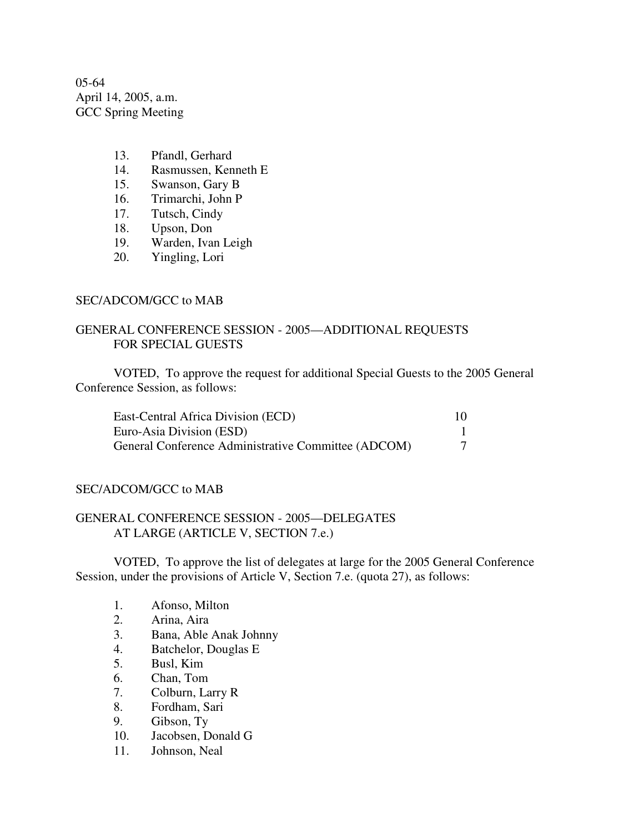05-64 April 14, 2005, a.m. GCC Spring Meeting

- 13. Pfandl, Gerhard
- 14. Rasmussen, Kenneth E
- 15. Swanson, Gary B
- 16. Trimarchi, John P
- 17. Tutsch, Cindy
- 18. Upson, Don
- 19. Warden, Ivan Leigh
- 20. Yingling, Lori

#### SEC/ADCOM/GCC to MAB

# GENERAL CONFERENCE SESSION - 2005—ADDITIONAL REQUESTS FOR SPECIAL GUESTS

VOTED, To approve the request for additional Special Guests to the 2005 General Conference Session, as follows:

| East-Central Africa Division (ECD)                  |  |
|-----------------------------------------------------|--|
| Euro-Asia Division (ESD)                            |  |
| General Conference Administrative Committee (ADCOM) |  |

### SEC/ADCOM/GCC to MAB

# GENERAL CONFERENCE SESSION - 2005—DELEGATES AT LARGE (ARTICLE V, SECTION 7.e.)

VOTED, To approve the list of delegates at large for the 2005 General Conference Session, under the provisions of Article V, Section 7.e. (quota 27), as follows:

- 1. Afonso, Milton
- 2. Arina, Aira
- 3. Bana, Able Anak Johnny
- 4. Batchelor, Douglas E
- 5. Busl, Kim
- 6. Chan, Tom
- 7. Colburn, Larry R
- 8. Fordham, Sari
- 9. Gibson, Ty
- 10. Jacobsen, Donald G
- 11. Johnson, Neal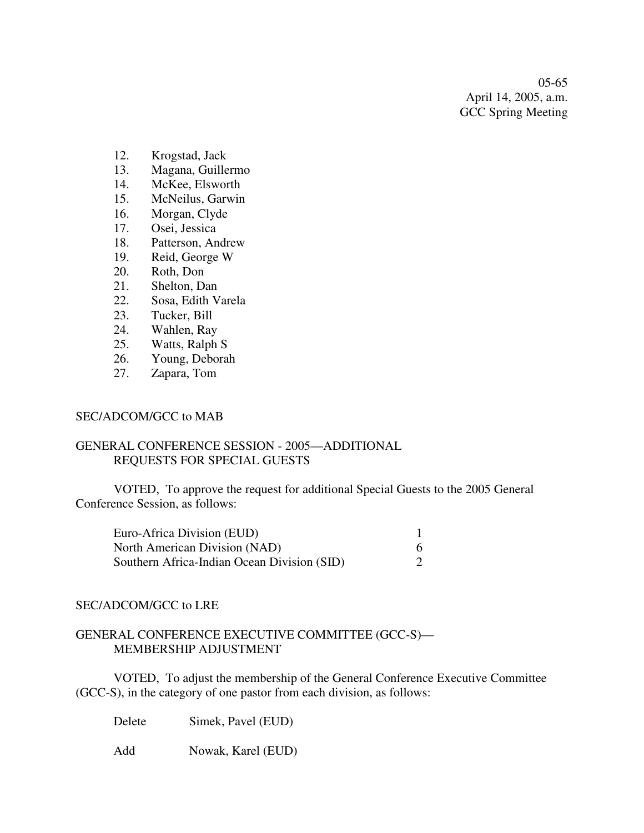05-65 April 14, 2005, a.m. GCC Spring Meeting

- 12. Krogstad, Jack
- 13. Magana, Guillermo
- 14. McKee, Elsworth
- 15. McNeilus, Garwin
- 16. Morgan, Clyde
- 17. Osei, Jessica
- 18. Patterson, Andrew
- 19. Reid, George W
- 20. Roth, Don
- 21. Shelton, Dan
- 22. Sosa, Edith Varela
- 23. Tucker, Bill
- 24. Wahlen, Ray
- 25. Watts, Ralph S
- 26. Young, Deborah
- 27. Zapara, Tom

#### SEC/ADCOM/GCC to MAB

# GENERAL CONFERENCE SESSION - 2005—ADDITIONAL REQUESTS FOR SPECIAL GUESTS

VOTED, To approve the request for additional Special Guests to the 2005 General Conference Session, as follows:

| Euro-Africa Division (EUD)                  |  |
|---------------------------------------------|--|
| North American Division (NAD)               |  |
| Southern Africa-Indian Ocean Division (SID) |  |

#### SEC/ADCOM/GCC to LRE

### GENERAL CONFERENCE EXECUTIVE COMMITTEE (GCC-S)— MEMBERSHIP ADJUSTMENT

VOTED, To adjust the membership of the General Conference Executive Committee (GCC-S), in the category of one pastor from each division, as follows:

Delete Simek, Pavel (EUD)

Add Nowak, Karel (EUD)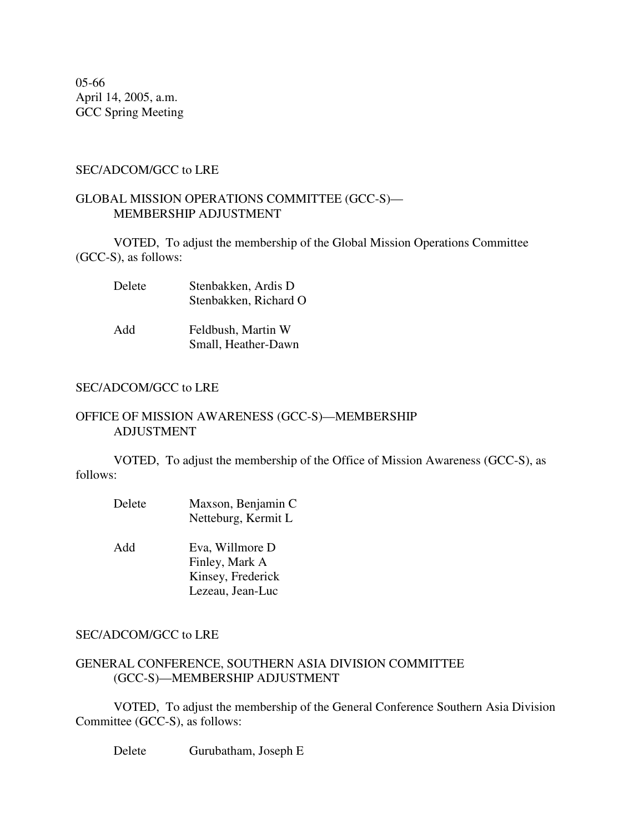05-66 April 14, 2005, a.m. GCC Spring Meeting

### SEC/ADCOM/GCC to LRE

# GLOBAL MISSION OPERATIONS COMMITTEE (GCC-S)— MEMBERSHIP ADJUSTMENT

VOTED, To adjust the membership of the Global Mission Operations Committee (GCC-S), as follows:

| Delete | Stenbakken, Ardis D   |
|--------|-----------------------|
|        | Stenbakken, Richard O |
|        |                       |

Add Feldbush, Martin W Small, Heather-Dawn

#### SEC/ADCOM/GCC to LRE

### OFFICE OF MISSION AWARENESS (GCC-S)—MEMBERSHIP ADJUSTMENT

VOTED, To adjust the membership of the Office of Mission Awareness (GCC-S), as follows:

- Delete Maxson, Benjamin C Netteburg, Kermit L
- Add Eva, Willmore D Finley, Mark A Kinsey, Frederick Lezeau, Jean-Luc

### SEC/ADCOM/GCC to LRE

# GENERAL CONFERENCE, SOUTHERN ASIA DIVISION COMMITTEE (GCC-S)—MEMBERSHIP ADJUSTMENT

VOTED, To adjust the membership of the General Conference Southern Asia Division Committee (GCC-S), as follows:

Delete Gurubatham, Joseph E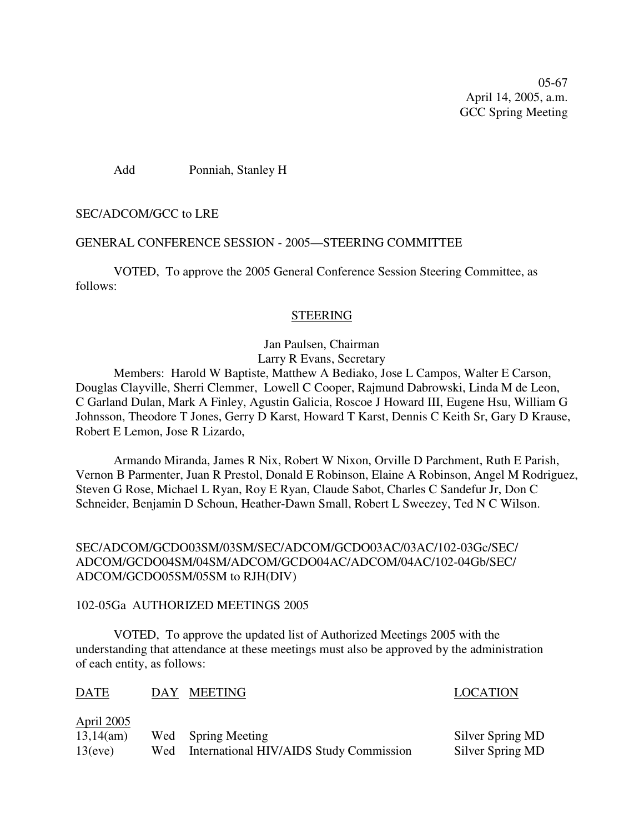05-67 April 14, 2005, a.m. GCC Spring Meeting

Add Ponniah, Stanley H

### SEC/ADCOM/GCC to LRE

### GENERAL CONFERENCE SESSION - 2005—STEERING COMMITTEE

VOTED, To approve the 2005 General Conference Session Steering Committee, as follows:

## STEERING

Jan Paulsen, Chairman Larry R Evans, Secretary

Members: Harold W Baptiste, Matthew A Bediako, Jose L Campos, Walter E Carson, Douglas Clayville, Sherri Clemmer, Lowell C Cooper, Rajmund Dabrowski, Linda M de Leon, C Garland Dulan, Mark A Finley, Agustin Galicia, Roscoe J Howard III, Eugene Hsu, William G Johnsson, Theodore T Jones, Gerry D Karst, Howard T Karst, Dennis C Keith Sr, Gary D Krause, Robert E Lemon, Jose R Lizardo,

Armando Miranda, James R Nix, Robert W Nixon, Orville D Parchment, Ruth E Parish, Vernon B Parmenter, Juan R Prestol, Donald E Robinson, Elaine A Robinson, Angel M Rodriguez, Steven G Rose, Michael L Ryan, Roy E Ryan, Claude Sabot, Charles C Sandefur Jr, Don C Schneider, Benjamin D Schoun, Heather-Dawn Small, Robert L Sweezey, Ted N C Wilson.

# SEC/ADCOM/GCDO03SM/03SM/SEC/ADCOM/GCDO03AC/03AC/102-03Gc/SEC/ ADCOM/GCDO04SM/04SM/ADCOM/GCDO04AC/ADCOM/04AC/102-04Gb/SEC/ ADCOM/GCDO05SM/05SM to RJH(DIV)

#### 102-05Ga AUTHORIZED MEETINGS 2005

VOTED, To approve the updated list of Authorized Meetings 2005 with the understanding that attendance at these meetings must also be approved by the administration of each entity, as follows:

| DATE              | DAY MEETING                                 | <b>LOCATION</b>  |
|-------------------|---------------------------------------------|------------------|
| <u>April 2005</u> |                                             |                  |
| 13,14(am)         | Wed Spring Meeting                          | Silver Spring MD |
| 13(eve)           | Wed International HIV/AIDS Study Commission | Silver Spring MD |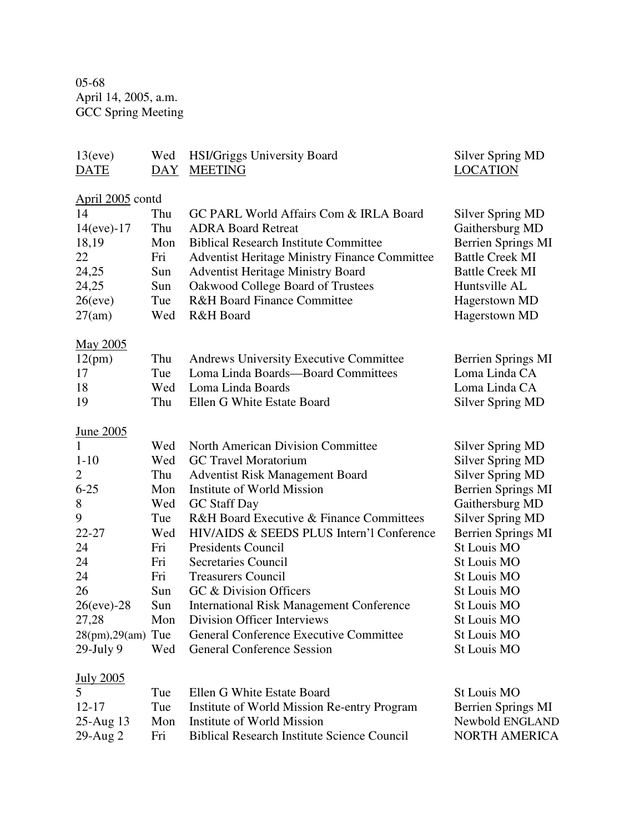05-68 April 14, 2005, a.m. GCC Spring Meeting

| 13(eve)<br><u>DATE</u>    | Wed<br>DAY | <b>HSI/Griggs University Board</b><br><b>MEETING</b>    | <b>Silver Spring MD</b><br><b>LOCATION</b> |
|---------------------------|------------|---------------------------------------------------------|--------------------------------------------|
| April 2005 contd          |            |                                                         |                                            |
| 14                        | Thu        | GC PARL World Affairs Com & IRLA Board                  | <b>Silver Spring MD</b>                    |
| $14(eve) - 17$            | Thu        | <b>ADRA Board Retreat</b>                               | Gaithersburg MD                            |
| 18,19                     | Mon        | <b>Biblical Research Institute Committee</b>            | <b>Berrien Springs MI</b>                  |
| 22                        | Fri        | <b>Adventist Heritage Ministry Finance Committee</b>    | <b>Battle Creek MI</b>                     |
| 24,25                     | Sun        | <b>Adventist Heritage Ministry Board</b>                | <b>Battle Creek MI</b>                     |
| 24,25                     | Sun        | Oakwood College Board of Trustees                       | Huntsville AL                              |
| 26(eve)                   | Tue        | <b>R&amp;H Board Finance Committee</b>                  | Hagerstown MD                              |
| 27(am)                    | Wed        | R&H Board                                               | Hagerstown MD                              |
| <b>May 2005</b>           |            |                                                         |                                            |
| 12(pm)                    | Thu        | <b>Andrews University Executive Committee</b>           | Berrien Springs MI                         |
| 17                        | Tue        | Loma Linda Boards—Board Committees                      | Loma Linda CA                              |
| 18                        | Wed        | Loma Linda Boards                                       | Loma Linda CA                              |
| 19                        | Thu        | Ellen G White Estate Board                              | <b>Silver Spring MD</b>                    |
|                           |            |                                                         |                                            |
| June 2005<br>$\mathbf{1}$ | Wed        | North American Division Committee                       | <b>Silver Spring MD</b>                    |
| $1 - 10$                  | Wed        | <b>GC Travel Moratorium</b>                             | <b>Silver Spring MD</b>                    |
| $\overline{2}$            | Thu        | <b>Adventist Risk Management Board</b>                  | <b>Silver Spring MD</b>                    |
| $6 - 25$                  | Mon        | Institute of World Mission                              | <b>Berrien Springs MI</b>                  |
| 8                         | Wed        | <b>GC Staff Day</b>                                     | Gaithersburg MD                            |
| 9                         | Tue        | <b>R&amp;H Board Executive &amp; Finance Committees</b> | <b>Silver Spring MD</b>                    |
| $22 - 27$                 | Wed        | HIV/AIDS & SEEDS PLUS Intern'l Conference               | <b>Berrien Springs MI</b>                  |
| 24                        | Fri        | <b>Presidents Council</b>                               | St Louis MO                                |
| 24                        | Fri        | Secretaries Council                                     | St Louis MO                                |
| 24                        | Fri        | <b>Treasurers Council</b>                               | St Louis MO                                |
| 26                        | Sun        | GC & Division Officers                                  | St Louis MO                                |
| $26(eve) - 28$            | Sun        | <b>International Risk Management Conference</b>         | St Louis MO                                |
| 27,28                     | Mon        | Division Officer Interviews                             | <b>St Louis MO</b>                         |
| $28(pm)$ , $29(am)$       | Tue        | <b>General Conference Executive Committee</b>           | St Louis MO                                |
| $29$ -July 9              | Wed        | <b>General Conference Session</b>                       | St Louis MO                                |
| <b>July 2005</b>          |            |                                                         |                                            |
| 5                         | Tue        | Ellen G White Estate Board                              | St Louis MO                                |
| 12-17                     | Tue        | Institute of World Mission Re-entry Program             | Berrien Springs MI                         |
| 25-Aug 13                 | Mon        | Institute of World Mission                              | Newbold ENGLAND                            |
| 29-Aug 2                  | Fri        | <b>Biblical Research Institute Science Council</b>      | NORTH AMERICA                              |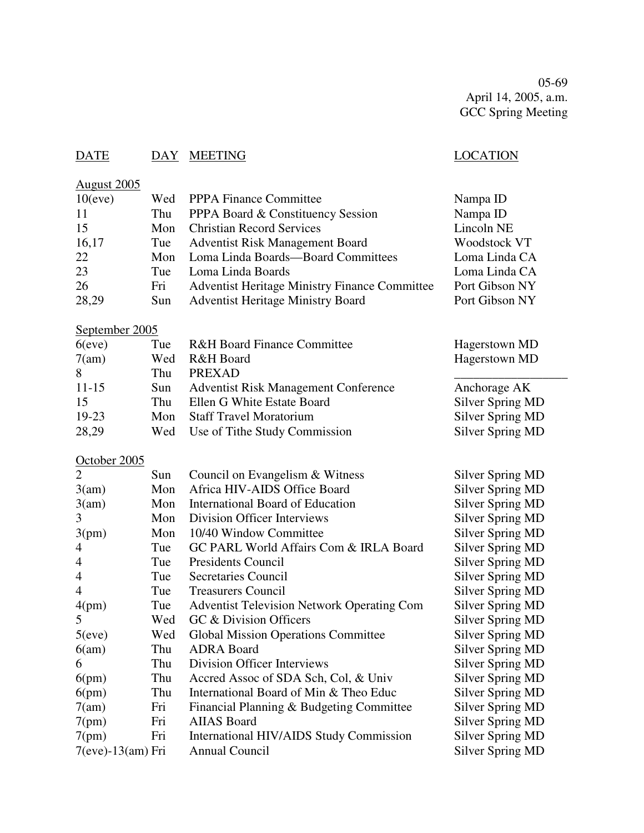05-69 April 14, 2005, a.m. GCC Spring Meeting

# DATE DAY MEETING LOCATION

| <b>August 2005</b>       |     |                                                      |                         |
|--------------------------|-----|------------------------------------------------------|-------------------------|
| 10(eve)                  | Wed | <b>PPPA Finance Committee</b>                        | Nampa ID                |
| 11                       | Thu | PPPA Board & Constituency Session                    | Nampa ID                |
| 15                       | Mon | <b>Christian Record Services</b>                     | Lincoln NE              |
| 16,17                    | Tue | <b>Adventist Risk Management Board</b>               | Woodstock VT            |
| 22                       | Mon | Loma Linda Boards-Board Committees                   | Loma Linda CA           |
| 23                       | Tue | Loma Linda Boards                                    | Loma Linda CA           |
| 26                       | Fri | <b>Adventist Heritage Ministry Finance Committee</b> | Port Gibson NY          |
| 28,29                    | Sun | <b>Adventist Heritage Ministry Board</b>             | Port Gibson NY          |
| September 2005           |     |                                                      |                         |
| 6(eve)                   | Tue | <b>R&amp;H Board Finance Committee</b>               | <b>Hagerstown MD</b>    |
| 7(am)                    | Wed | R&H Board                                            | Hagerstown MD           |
| 8                        | Thu | <b>PREXAD</b>                                        |                         |
| $11 - 15$                | Sun | <b>Adventist Risk Management Conference</b>          | Anchorage AK            |
| 15                       | Thu | Ellen G White Estate Board                           | <b>Silver Spring MD</b> |
| 19-23                    | Mon | <b>Staff Travel Moratorium</b>                       | <b>Silver Spring MD</b> |
| 28,29                    | Wed | Use of Tithe Study Commission                        | <b>Silver Spring MD</b> |
|                          |     |                                                      |                         |
| October 2005             |     |                                                      |                         |
| $\overline{2}$           | Sun | Council on Evangelism & Witness                      | <b>Silver Spring MD</b> |
| 3(am)                    | Mon | Africa HIV-AIDS Office Board                         | <b>Silver Spring MD</b> |
| 3(am)                    | Mon | International Board of Education                     | <b>Silver Spring MD</b> |
| 3                        | Mon | Division Officer Interviews                          | <b>Silver Spring MD</b> |
| 3(pm)                    | Mon | 10/40 Window Committee                               | <b>Silver Spring MD</b> |
| 4                        | Tue | GC PARL World Affairs Com & IRLA Board               | <b>Silver Spring MD</b> |
| $\overline{4}$           | Tue | <b>Presidents Council</b>                            | Silver Spring MD        |
| $\overline{4}$           | Tue | <b>Secretaries Council</b>                           | <b>Silver Spring MD</b> |
| $\overline{4}$           | Tue | <b>Treasurers Council</b>                            | <b>Silver Spring MD</b> |
| 4(pm)                    | Tue | <b>Adventist Television Network Operating Com</b>    | <b>Silver Spring MD</b> |
| 5                        | Wed | GC & Division Officers                               | <b>Silver Spring MD</b> |
| 5(eve)                   | Wed | <b>Global Mission Operations Committee</b>           | Silver Spring MD        |
| 6(am)                    | Thu | <b>ADRA Board</b>                                    | <b>Silver Spring MD</b> |
| 6                        | Thu | Division Officer Interviews                          | <b>Silver Spring MD</b> |
| 6(pm)                    | Thu | Accred Assoc of SDA Sch, Col, & Univ                 | <b>Silver Spring MD</b> |
| 6(pm)                    | Thu | International Board of Min & Theo Educ               | <b>Silver Spring MD</b> |
| 7(am)                    | Fri | Financial Planning & Budgeting Committee             | <b>Silver Spring MD</b> |
| 7(pm)                    | Fri | <b>AIIAS</b> Board                                   | <b>Silver Spring MD</b> |
| 7(pm)                    | Fri | International HIV/AIDS Study Commission              | <b>Silver Spring MD</b> |
| $7$ (eve)- $13$ (am) Fri |     | <b>Annual Council</b>                                | <b>Silver Spring MD</b> |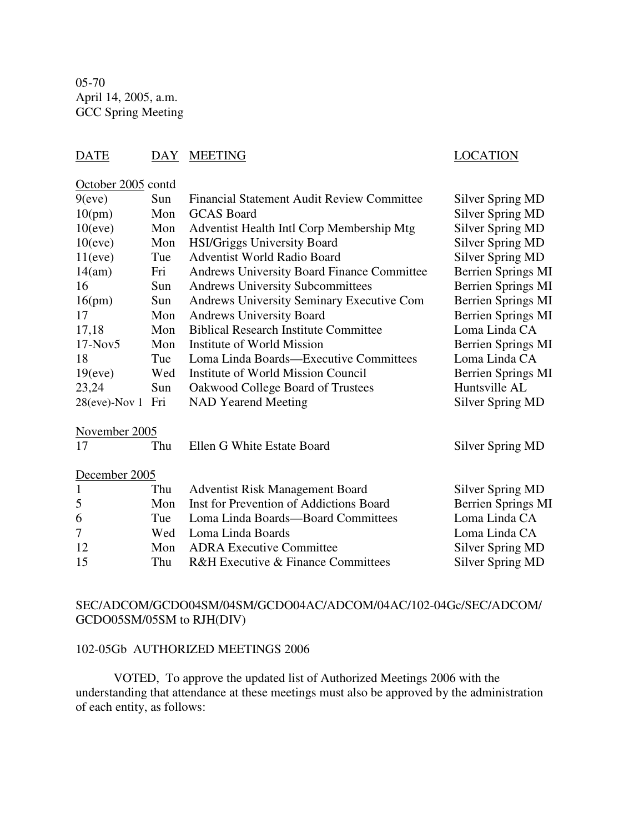05-70 April 14, 2005, a.m. GCC Spring Meeting

# DATE DAY MEETING SERVESTEED DAY AND DESCRIPTION

October 2005 contd

| 9(eve)            | Sun | <b>Financial Statement Audit Review Committee</b> | Silver Spring MD          |
|-------------------|-----|---------------------------------------------------|---------------------------|
| 10(pm)            | Mon | <b>GCAS</b> Board                                 | Silver Spring MD          |
| 10(eve)           | Mon | Adventist Health Intl Corp Membership Mtg         | Silver Spring MD          |
| 10(eve)           | Mon | <b>HSI/Griggs University Board</b>                | <b>Silver Spring MD</b>   |
| 11(eve)           | Tue | <b>Adventist World Radio Board</b>                | Silver Spring MD          |
| 14(am)            | Fri | <b>Andrews University Board Finance Committee</b> | Berrien Springs MI        |
| 16                | Sun | <b>Andrews University Subcommittees</b>           | Berrien Springs MI        |
| 16(pm)            | Sun | Andrews University Seminary Executive Com         | <b>Berrien Springs MI</b> |
| 17                | Mon | <b>Andrews University Board</b>                   | Berrien Springs MI        |
| 17,18             | Mon | <b>Biblical Research Institute Committee</b>      | Loma Linda CA             |
| $17-Nov5$         | Mon | Institute of World Mission                        | Berrien Springs MI        |
| 18                | Tue | Loma Linda Boards—Executive Committees            | Loma Linda CA             |
| 19(eve)           | Wed | Institute of World Mission Council                | Berrien Springs MI        |
| 23,24             | Sun | Oakwood College Board of Trustees                 | Huntsville AL             |
| 28(eve)-Nov 1 Fri |     | <b>NAD Yearend Meeting</b>                        | Silver Spring MD          |
|                   |     |                                                   |                           |
| November 2005     |     |                                                   |                           |
| 17                | Thu | Ellen G White Estate Board                        | Silver Spring MD          |

| December 2005 |     |                                             |                           |
|---------------|-----|---------------------------------------------|---------------------------|
|               | Thu | <b>Adventist Risk Management Board</b>      | Silver Spring MD          |
| 5             |     | Mon Inst for Prevention of Addictions Board | <b>Berrien Springs MI</b> |
| 6             | Tue | Loma Linda Boards—Board Committees          | Loma Linda CA             |
| 7             |     | Wed Loma Linda Boards                       | Loma Linda CA             |
| 12            | Mon | <b>ADRA Executive Committee</b>             | Silver Spring MD          |
| 15            | Thu | R&H Executive & Finance Committees          | Silver Spring MD          |

# SEC/ADCOM/GCDO04SM/04SM/GCDO04AC/ADCOM/04AC/102-04Gc/SEC/ADCOM/ GCDO05SM/05SM to RJH(DIV)

## 102-05Gb AUTHORIZED MEETINGS 2006

VOTED, To approve the updated list of Authorized Meetings 2006 with the understanding that attendance at these meetings must also be approved by the administration of each entity, as follows: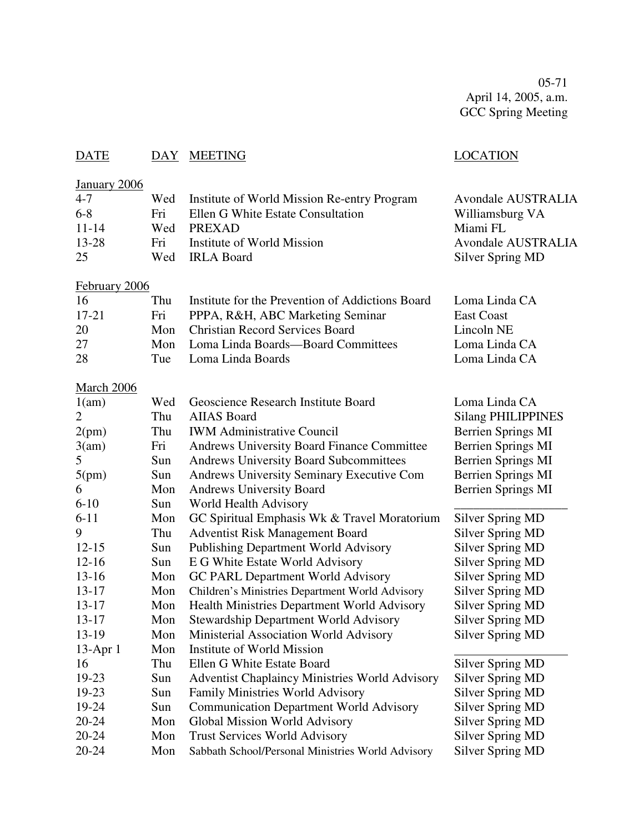05-71 April 14, 2005, a.m. GCC Spring Meeting

# DATE DAY MEETING LOCATION

# January 2006

| $4 - 7$   |     | Wed Institute of World Mission Re-entry Program | Avondale AUSTRALIA |
|-----------|-----|-------------------------------------------------|--------------------|
| $6 - 8$   | Fri | Ellen G White Estate Consultation               | Williamsburg VA    |
| $11 - 14$ |     | Wed PREXAD                                      | Miami FL           |
| $13 - 28$ | Fri | Institute of World Mission                      | Avondale AUSTRALIA |
| 25        |     | Wed IRLA Board                                  | Silver Spring MD   |
|           |     |                                                 |                    |

# February 2006

| 16        | Thu | Institute for the Prevention of Addictions Board | Loma Linda CA |
|-----------|-----|--------------------------------------------------|---------------|
| $17 - 21$ | Fri | PPPA, R&H, ABC Marketing Seminar                 | East Coast    |
| 20        |     | Mon Christian Record Services Board              | Lincoln NE    |
| 27        |     | Mon Loma Linda Boards—Board Committees           | Loma Linda CA |
| 28        |     | Tue Loma Linda Boards                            | Loma Linda CA |

# March 2006

| 1(am)          | Wed | Geoscience Research Institute Board                   | Loma Linda CA             |
|----------------|-----|-------------------------------------------------------|---------------------------|
| $\overline{2}$ | Thu | <b>AIIAS</b> Board                                    | <b>Silang PHILIPPINES</b> |
| 2(pm)          | Thu | <b>IWM Administrative Council</b>                     | Berrien Springs MI        |
| 3(am)          | Fri | <b>Andrews University Board Finance Committee</b>     | Berrien Springs MI        |
| 5              | Sun | <b>Andrews University Board Subcommittees</b>         | Berrien Springs MI        |
| 5(pm)          | Sun | <b>Andrews University Seminary Executive Com</b>      | Berrien Springs MI        |
| 6              | Mon | <b>Andrews University Board</b>                       | Berrien Springs MI        |
| $6 - 10$       | Sun | World Health Advisory                                 |                           |
| $6 - 11$       | Mon | GC Spiritual Emphasis Wk & Travel Moratorium          | <b>Silver Spring MD</b>   |
| 9              | Thu | <b>Adventist Risk Management Board</b>                | Silver Spring MD          |
| $12 - 15$      | Sun | Publishing Department World Advisory                  | <b>Silver Spring MD</b>   |
| $12 - 16$      | Sun | E G White Estate World Advisory                       | <b>Silver Spring MD</b>   |
| $13-16$        | Mon | <b>GC PARL Department World Advisory</b>              | <b>Silver Spring MD</b>   |
| $13 - 17$      | Mon | Children's Ministries Department World Advisory       | <b>Silver Spring MD</b>   |
| $13 - 17$      | Mon | Health Ministries Department World Advisory           | <b>Silver Spring MD</b>   |
| $13 - 17$      | Mon | Stewardship Department World Advisory                 | Silver Spring MD          |
| 13-19          | Mon | Ministerial Association World Advisory                | Silver Spring MD          |
| $13$ -Apr $1$  | Mon | Institute of World Mission                            |                           |
| 16             | Thu | Ellen G White Estate Board                            | <b>Silver Spring MD</b>   |
| 19-23          | Sun | <b>Adventist Chaplaincy Ministries World Advisory</b> | Silver Spring MD          |
| 19-23          | Sun | Family Ministries World Advisory                      | <b>Silver Spring MD</b>   |
| 19-24          | Sun | <b>Communication Department World Advisory</b>        | <b>Silver Spring MD</b>   |
| $20 - 24$      | Mon | Global Mission World Advisory                         | <b>Silver Spring MD</b>   |
| $20 - 24$      | Mon | <b>Trust Services World Advisory</b>                  | <b>Silver Spring MD</b>   |
| $20 - 24$      | Mon | Sabbath School/Personal Ministries World Advisory     | <b>Silver Spring MD</b>   |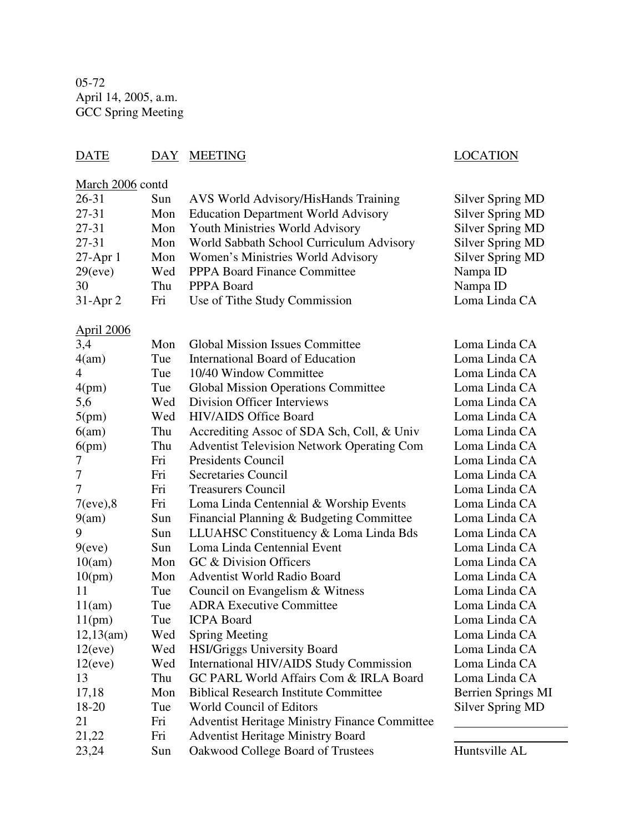05-72 April 14, 2005, a.m. GCC Spring Meeting

March 2006 contd

# DATE DAY MEETING LOCATION

| 26-31             | Sun | <b>AVS World Advisory/HisHands Training</b>       | Silver Spring MD          |
|-------------------|-----|---------------------------------------------------|---------------------------|
| 27-31             | Mon | <b>Education Department World Advisory</b>        | <b>Silver Spring MD</b>   |
| 27-31             | Mon | Youth Ministries World Advisory                   | <b>Silver Spring MD</b>   |
| 27-31             | Mon | World Sabbath School Curriculum Advisory          | <b>Silver Spring MD</b>   |
| $27$ -Apr 1       | Mon | Women's Ministries World Advisory                 | <b>Silver Spring MD</b>   |
| 29(eve)           | Wed | <b>PPPA Board Finance Committee</b>               | Nampa ID                  |
| 30                | Thu | PPPA Board                                        | Nampa ID                  |
| $31-Apr$ 2        | Fri | Use of Tithe Study Commission                     | Loma Linda CA             |
| <b>April 2006</b> |     |                                                   |                           |
| 3,4               | Mon | <b>Global Mission Issues Committee</b>            | Loma Linda CA             |
| 4(am)             | Tue | <b>International Board of Education</b>           | Loma Linda CA             |
| 4                 | Tue | 10/40 Window Committee                            | Loma Linda CA             |
| 4(pm)             | Tue | <b>Global Mission Operations Committee</b>        | Loma Linda CA             |
| 5,6               | Wed | Division Officer Interviews                       | Loma Linda CA             |
| 5(pm)             | Wed | HIV/AIDS Office Board                             | Loma Linda CA             |
| 6(am)             | Thu | Accrediting Assoc of SDA Sch, Coll, & Univ        | Loma Linda CA             |
| 6(pm)             | Thu | <b>Adventist Television Network Operating Com</b> | Loma Linda CA             |
| 7                 | Fri | <b>Presidents Council</b>                         | Loma Linda CA             |
| 7                 | Fri | Secretaries Council                               | Loma Linda CA             |
| $\tau$            | Fri | <b>Treasurers Council</b>                         | Loma Linda CA             |
| 7(eve),8          | Fri | Loma Linda Centennial & Worship Events            | Loma Linda CA             |
| 9(am)             | Sun | Financial Planning & Budgeting Committee          | Loma Linda CA             |
| 9                 | Sun | LLUAHSC Constituency & Loma Linda Bds             | Loma Linda CA             |
| 9(eve)            | Sun | Loma Linda Centennial Event                       | Loma Linda CA             |
| 10(am)            | Mon | GC & Division Officers                            | Loma Linda CA             |
| 10(pm)            | Mon | <b>Adventist World Radio Board</b>                | Loma Linda CA             |
| 11                | Tue | Council on Evangelism & Witness                   | Loma Linda CA             |
| 11(am)            | Tue | <b>ADRA Executive Committee</b>                   | Loma Linda CA             |
| 11(pm)            | Tue | <b>ICPA Board</b>                                 | Loma Linda CA             |
| 12,13(am)         | Wed | <b>Spring Meeting</b>                             | Loma Linda CA             |
| 12(eve)           | Wed | HSI/Griggs University Board                       | Loma Linda CA             |
| 12(eve)           | Wed | International HIV/AIDS Study Commission           | Loma Linda CA             |
| 13                | Thu | GC PARL World Affairs Com & IRLA Board            | Loma Linda CA             |
| 17,18             | Mon | <b>Biblical Research Institute Committee</b>      | <b>Berrien Springs MI</b> |
| 18-20             | Tue | World Council of Editors                          | <b>Silver Spring MD</b>   |
| 21                | Fri | Adventist Heritage Ministry Finance Committee     |                           |
| 21,22             | Fri | <b>Adventist Heritage Ministry Board</b>          |                           |
| 23,24             | Sun | Oakwood College Board of Trustees                 | Huntsville AL             |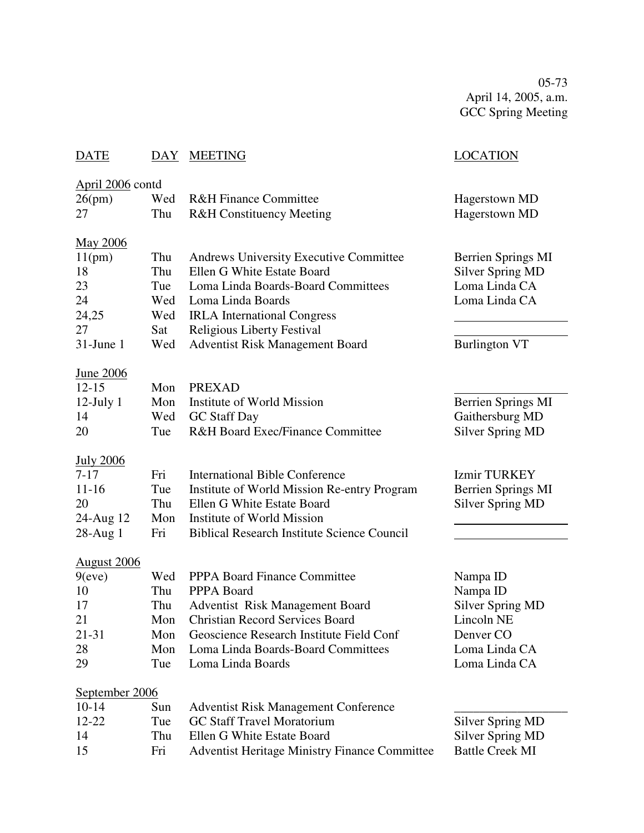05-73 April 14, 2005, a.m. GCC Spring Meeting

| <b>DATE</b>        |            | DAY MEETING                                        | <b>LOCATION</b>           |
|--------------------|------------|----------------------------------------------------|---------------------------|
| April 2006 contd   |            |                                                    |                           |
| 26(pm)             | Wed        | <b>R&amp;H Finance Committee</b>                   | Hagerstown MD             |
| 27                 | Thu        | <b>R&amp;H</b> Constituency Meeting                | Hagerstown MD             |
|                    |            |                                                    |                           |
| <b>May 2006</b>    |            |                                                    |                           |
| 11(pm)             | Thu        | Andrews University Executive Committee             | Berrien Springs MI        |
| 18                 | Thu        | Ellen G White Estate Board                         | <b>Silver Spring MD</b>   |
| 23                 | Tue        | Loma Linda Boards-Board Committees                 | Loma Linda CA             |
| 24                 | Wed        | Loma Linda Boards                                  | Loma Linda CA             |
| 24,25              | Wed        | <b>IRLA</b> International Congress                 |                           |
| 27                 | Sat        | <b>Religious Liberty Festival</b>                  |                           |
| $31$ -June 1       | Wed        | <b>Adventist Risk Management Board</b>             | <b>Burlington VT</b>      |
| June 2006          |            |                                                    |                           |
| $12 - 15$          | Mon        | <b>PREXAD</b>                                      |                           |
| $12$ -July 1       | Mon        | Institute of World Mission                         | <b>Berrien Springs MI</b> |
| 14                 | Wed        | <b>GC Staff Day</b>                                | Gaithersburg MD           |
| 20                 | Tue        | <b>R&amp;H Board Exec/Finance Committee</b>        | <b>Silver Spring MD</b>   |
|                    |            |                                                    |                           |
| <b>July 2006</b>   |            |                                                    |                           |
| $7 - 17$           | Fri        | <b>International Bible Conference</b>              | <b>Izmir TURKEY</b>       |
| $11 - 16$          | Tue        | Institute of World Mission Re-entry Program        | <b>Berrien Springs MI</b> |
| 20                 | Thu        | Ellen G White Estate Board                         | Silver Spring MD          |
| 24-Aug 12          | Mon        | Institute of World Mission                         |                           |
| $28$ -Aug 1        | Fri        | <b>Biblical Research Institute Science Council</b> |                           |
| <b>August 2006</b> |            |                                                    |                           |
| 9(eve)             | Wed        | <b>PPPA Board Finance Committee</b>                | Nampa ID                  |
| 10                 | Thu        | PPPA Board                                         | Nampa ID                  |
| 17                 | Thu        | Adventist Risk Management Board                    | <b>Silver Spring MD</b>   |
| 21                 | Mon        | <b>Christian Record Services Board</b>             | Lincoln NE                |
| $21 - 31$          | Mon        | Geoscience Research Institute Field Conf           | Denver <sub>CO</sub>      |
| 28                 | Mon        | Loma Linda Boards-Board Committees                 | Loma Linda CA             |
| 29                 | Tue        | Loma Linda Boards                                  | Loma Linda CA             |
| September 2006     |            |                                                    |                           |
| $10-14$            |            | <b>Adventist Risk Management Conference</b>        |                           |
|                    |            |                                                    |                           |
| 12-22              | Sun<br>Tue | <b>GC Staff Travel Moratorium</b>                  | <b>Silver Spring MD</b>   |

# 15 Fri Adventist Heritage Ministry Finance Committee Battle Creek MI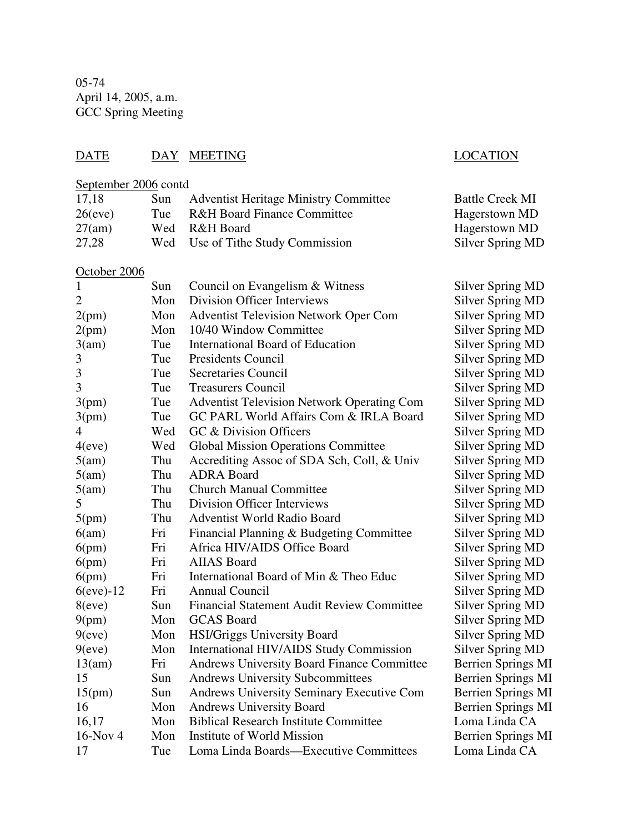05-74 April 14, 2005, a.m. GCC Spring Meeting

# DATE DAY MEETING SERVICES AND LOCATION

September 2006 contd

| 17,18      | Sun | <b>Adventist Heritage Ministry Committee</b> | <b>Battle Creek MI</b> |
|------------|-----|----------------------------------------------|------------------------|
| $26$ (eve) | Tue | <b>R&amp;H Board Finance Committee</b>       | Hagerstown MD          |
| 27(am)     |     | Wed R&H Board                                | Hagerstown MD          |
| 27,28      |     | Wed Use of Tithe Study Commission            | Silver Spring MD       |

# October 2006

| $\mathbf{1}$    | Sun | Council on Evangelism & Witness                   | Silver Spring MD          |
|-----------------|-----|---------------------------------------------------|---------------------------|
| $\overline{2}$  | Mon | Division Officer Interviews                       | <b>Silver Spring MD</b>   |
| 2(pm)           | Mon | <b>Adventist Television Network Oper Com</b>      | <b>Silver Spring MD</b>   |
| 2(pm)           | Mon | 10/40 Window Committee                            | <b>Silver Spring MD</b>   |
| 3(am)           | Tue | <b>International Board of Education</b>           | <b>Silver Spring MD</b>   |
| 3               | Tue | <b>Presidents Council</b>                         | <b>Silver Spring MD</b>   |
| 3               | Tue | <b>Secretaries Council</b>                        | <b>Silver Spring MD</b>   |
| 3               | Tue | <b>Treasurers Council</b>                         | <b>Silver Spring MD</b>   |
| 3(pm)           | Tue | <b>Adventist Television Network Operating Com</b> | <b>Silver Spring MD</b>   |
| 3(pm)           | Tue | GC PARL World Affairs Com & IRLA Board            | <b>Silver Spring MD</b>   |
| 4               | Wed | GC & Division Officers                            | <b>Silver Spring MD</b>   |
| 4(eve)          | Wed | <b>Global Mission Operations Committee</b>        | <b>Silver Spring MD</b>   |
| 5(am)           | Thu | Accrediting Assoc of SDA Sch, Coll, & Univ        | <b>Silver Spring MD</b>   |
| 5(am)           | Thu | <b>ADRA</b> Board                                 | <b>Silver Spring MD</b>   |
| 5(am)           | Thu | <b>Church Manual Committee</b>                    | <b>Silver Spring MD</b>   |
| 5               | Thu | <b>Division Officer Interviews</b>                | <b>Silver Spring MD</b>   |
| $5$ (pm)        | Thu | <b>Adventist World Radio Board</b>                | <b>Silver Spring MD</b>   |
| 6(am)           | Fri | Financial Planning & Budgeting Committee          | <b>Silver Spring MD</b>   |
| 6(pm)           | Fri | Africa HIV/AIDS Office Board                      | <b>Silver Spring MD</b>   |
| 6(pm)           | Fri | <b>AIIAS</b> Board                                | <b>Silver Spring MD</b>   |
| 6(pm)           | Fri | International Board of Min & Theo Educ            | <b>Silver Spring MD</b>   |
| $6$ (eve) $-12$ | Fri | <b>Annual Council</b>                             | <b>Silver Spring MD</b>   |
| 8(eve)          | Sun | <b>Financial Statement Audit Review Committee</b> | <b>Silver Spring MD</b>   |
| 9(pm)           | Mon | <b>GCAS</b> Board                                 | <b>Silver Spring MD</b>   |
| 9(eve)          | Mon | <b>HSI/Griggs University Board</b>                | <b>Silver Spring MD</b>   |
| 9(eve)          | Mon | International HIV/AIDS Study Commission           | <b>Silver Spring MD</b>   |
| 13(am)          | Fri | <b>Andrews University Board Finance Committee</b> | <b>Berrien Springs MI</b> |
| 15              | Sun | <b>Andrews University Subcommittees</b>           | <b>Berrien Springs MI</b> |
| 15(pm)          | Sun | <b>Andrews University Seminary Executive Com</b>  | <b>Berrien Springs MI</b> |
| 16              | Mon | <b>Andrews University Board</b>                   | <b>Berrien Springs MI</b> |
| 16,17           | Mon | <b>Biblical Research Institute Committee</b>      | Loma Linda CA             |
| 16-Nov 4        | Mon | Institute of World Mission                        | <b>Berrien Springs MI</b> |
| 17              | Tue | Loma Linda Boards—Executive Committees            | Loma Linda CA             |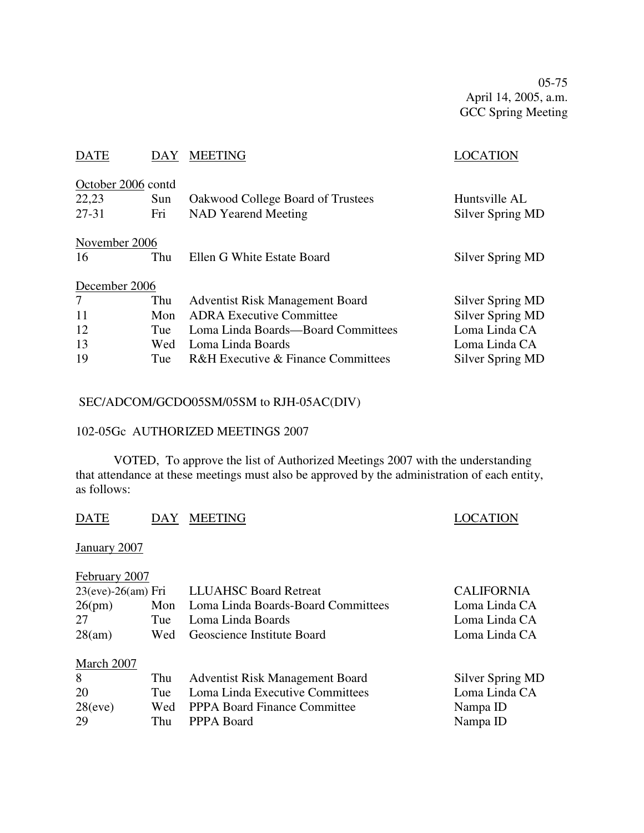05-75 April 14, 2005, a.m. GCC Spring Meeting

| <b>DATE</b>        | DAY | <b>MEETING</b>                         | LOCATION         |
|--------------------|-----|----------------------------------------|------------------|
| October 2006 contd |     |                                        |                  |
| 22,23              | Sun | Oakwood College Board of Trustees      | Huntsville AL    |
| $27 - 31$          | Fri | <b>NAD Yearend Meeting</b>             | Silver Spring MD |
| November 2006      |     |                                        |                  |
| 16                 | Thu | Ellen G White Estate Board             | Silver Spring MD |
| December 2006      |     |                                        |                  |
| 7                  | Thu | <b>Adventist Risk Management Board</b> | Silver Spring MD |
| 11                 | Mon | <b>ADRA Executive Committee</b>        | Silver Spring MD |
| 12                 | Tue | Loma Linda Boards—Board Committees     | Loma Linda CA    |
| 13                 | Wed | Loma Linda Boards                      | Loma Linda CA    |
| 19                 | Tue | R&H Executive & Finance Committees     | Silver Spring MD |

# SEC/ADCOM/GCDO05SM/05SM to RJH-05AC(DIV)

#### 102-05Gc AUTHORIZED MEETINGS 2007

VOTED, To approve the list of Authorized Meetings 2007 with the understanding that attendance at these meetings must also be approved by the administration of each entity, as follows:

| <b>DATE</b>  | DAY MEETING | <b>LOCATION</b> |
|--------------|-------------|-----------------|
| January 2007 |             |                 |

February 2007 23(eve)-26(am) Fri LLUAHSC Board Retreat CALIFORNIA 26(pm) Mon Loma Linda Boards-Board Committees Loma Linda CA 27 Tue Loma Linda Boards Loma Linda CA 28(am) Wed Geoscience Institute Board Loma Linda CA March 2007 8 Thu Adventist Risk Management Board Silver Spring MD 20 Tue Loma Linda Executive Committees Loma Linda CA 28(eve) Wed PPPA Board Finance Committee Nampa ID 29 Thu PPPA Board Nampa ID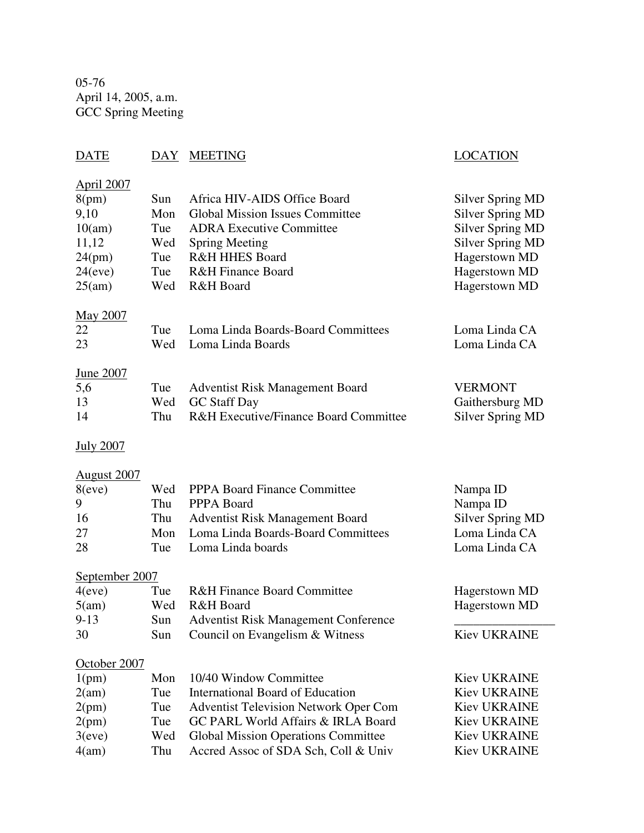05-76 April 14, 2005, a.m. GCC Spring Meeting

# DATE DAY MEETING SERVICES AND LOCATION

# April 2007 8(pm) Sun Africa HIV-AIDS Office Board Silver Spring MD 9,10 Mon Global Mission Issues Committee Silver Spring MD 10(am) Tue ADRA Executive Committee Silver Spring MD 11,12 Wed Spring Meeting Silver Spring MD 24(pm) Tue R&H HHES Board Hagerstown MD 24(eve) Tue R&H Finance Board Hagerstown MD 25(am) Wed R&H Board Hagerstown MD May 2007 22 Tue Loma Linda Boards-Board Committees Loma Linda CA 23 Wed Loma Linda Boards Loma Linda CA June 2007 5,6 Tue Adventist Risk Management Board VERMONT 13 Wed GC Staff Day Gaithersburg MD 14 Thu R&H Executive/Finance Board Committee Silver Spring MD July 2007 August 2007 8(eve) Wed PPPA Board Finance Committee Nampa ID 9 Thu PPPA Board Nampa ID 16 Thu Adventist Risk Management Board Silver Spring MD<br>27 Mon Loma Linda Boards-Board Committees Loma Linda CA 27 Mon Loma Linda Boards-Board Committees

### September 2007

| 4(eve) | Tue  | <b>R&amp;H Finance Board Committee</b>      | Hagerstown MD       |
|--------|------|---------------------------------------------|---------------------|
| 5(am)  |      | Wed R&H Board                               | Hagerstown MD       |
| $9-13$ | Sun. | <b>Adventist Risk Management Conference</b> |                     |
| 30     | Sun  | Council on Evangelism $& \text{Witness}$    | <b>Kiev UKRAINE</b> |

28 Tue Loma Linda boards Loma Linda CA

#### October 2007

| 1(pm)  |     | Mon 10/40 Window Committee                   | <b>Kiev UKRAINE</b> |
|--------|-----|----------------------------------------------|---------------------|
| 2(am)  | Tue | International Board of Education             | <b>Kiev UKRAINE</b> |
| 2(pm)  | Tue | <b>Adventist Television Network Oper Com</b> | <b>Kiev UKRAINE</b> |
| 2(pm)  |     | Tue GC PARL World Affairs & IRLA Board       | <b>Kiev UKRAINE</b> |
| 3(eve) |     | Wed Global Mission Operations Committee      | <b>Kiev UKRAINE</b> |
| 4(am)  |     | Thu Accred Assoc of SDA Sch, Coll & Univ     | <b>Kiev UKRAINE</b> |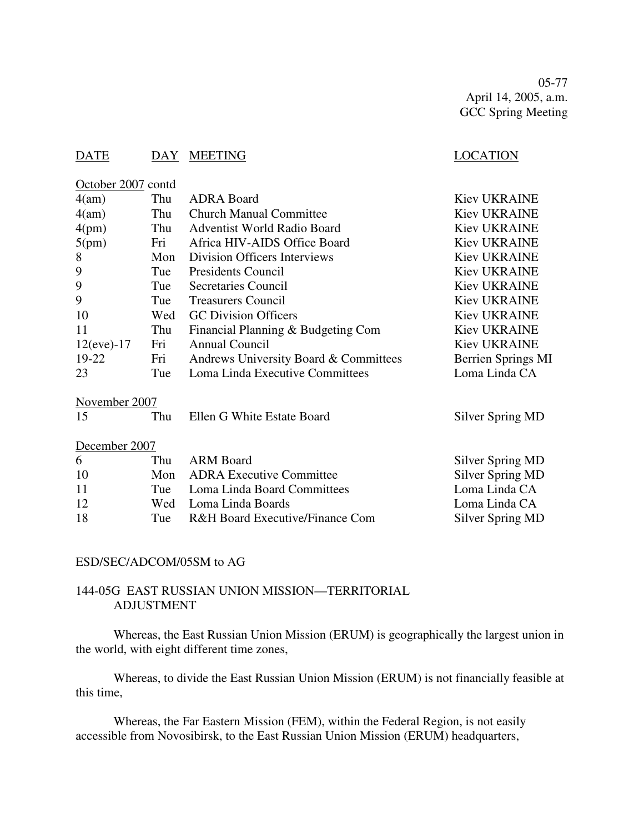05-77 April 14, 2005, a.m. GCC Spring Meeting

# DATE DAY MEETING DATE LOCATION

| October 2007 contd |     |                                       |                     |
|--------------------|-----|---------------------------------------|---------------------|
| 4(am)              | Thu | <b>ADRA</b> Board                     | <b>Kiev UKRAINE</b> |
| 4(am)              | Thu | <b>Church Manual Committee</b>        | <b>Kiev UKRAINE</b> |
| 4(pm)              | Thu | Adventist World Radio Board           | <b>Kiev UKRAINE</b> |
| 5(pm)              | Fri | Africa HIV-AIDS Office Board          | <b>Kiev UKRAINE</b> |
| 8                  | Mon | Division Officers Interviews          | <b>Kiev UKRAINE</b> |
| 9                  | Tue | <b>Presidents Council</b>             | <b>Kiev UKRAINE</b> |
| 9                  | Tue | Secretaries Council                   | <b>Kiev UKRAINE</b> |
| 9                  | Tue | <b>Treasurers Council</b>             | <b>Kiev UKRAINE</b> |
| 10                 | Wed | <b>GC</b> Division Officers           | <b>Kiev UKRAINE</b> |
| 11                 | Thu | Financial Planning & Budgeting Com    | <b>Kiev UKRAINE</b> |
| $12(eve) - 17$     | Fri | Annual Council                        | <b>Kiev UKRAINE</b> |
| $19-22$            | Fri | Andrews University Board & Committees | Berrien Springs MI  |
| 23                 | Tue | Loma Linda Executive Committees       | Loma Linda CA       |
| November 2007      |     |                                       |                     |
| 15                 | Thu | Ellen G White Estate Board            | Silver Spring MD    |
| December 2007      |     |                                       |                     |

| 6   |     | Thu ARM Board                   | Silver Spring MD |
|-----|-----|---------------------------------|------------------|
| -10 |     | Mon ADRA Executive Committee    | Silver Spring MD |
| -11 |     | Tue Loma Linda Board Committees | Loma Linda CA    |
| 12  |     | Wed Loma Linda Boards           | Loma Linda CA    |
| -18 | Tue | R&H Board Executive/Finance Com | Silver Spring MD |

### ESD/SEC/ADCOM/05SM to AG

# 144-05G EAST RUSSIAN UNION MISSION—TERRITORIAL ADJUSTMENT

Whereas, the East Russian Union Mission (ERUM) is geographically the largest union in the world, with eight different time zones,

Whereas, to divide the East Russian Union Mission (ERUM) is not financially feasible at this time,

Whereas, the Far Eastern Mission (FEM), within the Federal Region, is not easily accessible from Novosibirsk, to the East Russian Union Mission (ERUM) headquarters,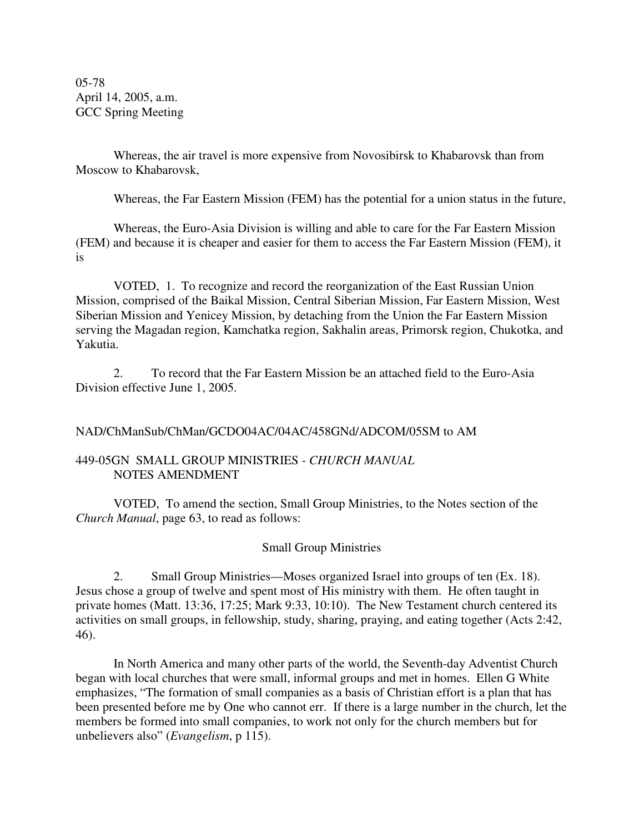05-78 April 14, 2005, a.m. GCC Spring Meeting

Whereas, the air travel is more expensive from Novosibirsk to Khabarovsk than from Moscow to Khabarovsk,

Whereas, the Far Eastern Mission (FEM) has the potential for a union status in the future,

Whereas, the Euro-Asia Division is willing and able to care for the Far Eastern Mission (FEM) and because it is cheaper and easier for them to access the Far Eastern Mission (FEM), it is

VOTED, 1. To recognize and record the reorganization of the East Russian Union Mission, comprised of the Baikal Mission, Central Siberian Mission, Far Eastern Mission, West Siberian Mission and Yenicey Mission, by detaching from the Union the Far Eastern Mission serving the Magadan region, Kamchatka region, Sakhalin areas, Primorsk region, Chukotka, and Yakutia.

2. To record that the Far Eastern Mission be an attached field to the Euro-Asia Division effective June 1, 2005.

NAD/ChManSub/ChMan/GCDO04AC/04AC/458GNd/ADCOM/05SM to AM

# 449-05GN SMALL GROUP MINISTRIES - *CHURCH MANUAL* NOTES AMENDMENT

VOTED, To amend the section, Small Group Ministries, to the Notes section of the *Church Manual*, page 63, to read as follows:

# Small Group Ministries

2. Small Group Ministries—Moses organized Israel into groups of ten (Ex. 18). Jesus chose a group of twelve and spent most of His ministry with them. He often taught in private homes (Matt. 13:36, 17:25; Mark 9:33, 10:10). The New Testament church centered its activities on small groups, in fellowship, study, sharing, praying, and eating together (Acts 2:42, 46).

In North America and many other parts of the world, the Seventh-day Adventist Church began with local churches that were small, informal groups and met in homes. Ellen G White emphasizes, "The formation of small companies as a basis of Christian effort is a plan that has been presented before me by One who cannot err. If there is a large number in the church, let the members be formed into small companies, to work not only for the church members but for unbelievers also" (*Evangelism*, p 115).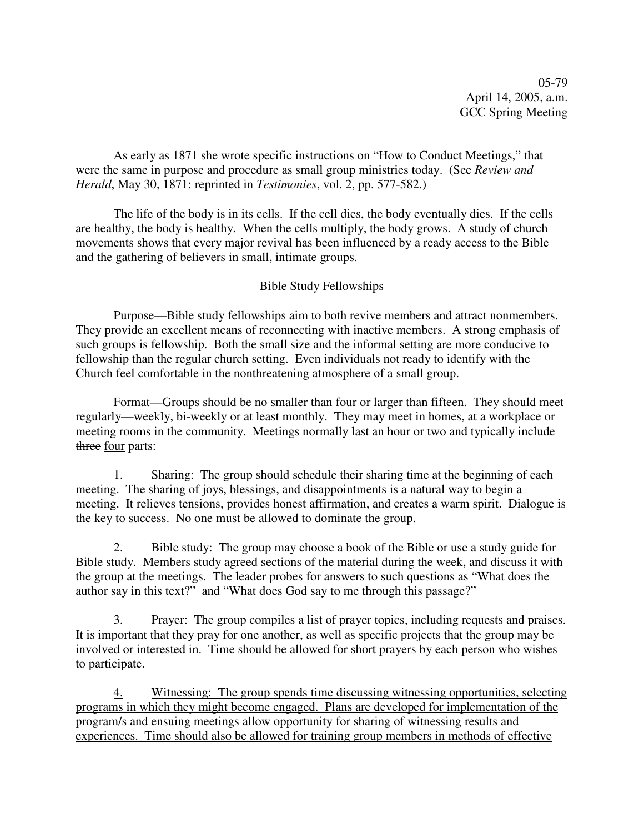05-79 April 14, 2005, a.m. GCC Spring Meeting

As early as 1871 she wrote specific instructions on "How to Conduct Meetings," that were the same in purpose and procedure as small group ministries today. (See *Review and Herald*, May 30, 1871: reprinted in *Testimonies*, vol. 2, pp. 577-582.)

The life of the body is in its cells. If the cell dies, the body eventually dies. If the cells are healthy, the body is healthy. When the cells multiply, the body grows. A study of church movements shows that every major revival has been influenced by a ready access to the Bible and the gathering of believers in small, intimate groups.

# Bible Study Fellowships

Purpose—Bible study fellowships aim to both revive members and attract nonmembers. They provide an excellent means of reconnecting with inactive members. A strong emphasis of such groups is fellowship. Both the small size and the informal setting are more conducive to fellowship than the regular church setting. Even individuals not ready to identify with the Church feel comfortable in the nonthreatening atmosphere of a small group.

Format—Groups should be no smaller than four or larger than fifteen. They should meet regularly—weekly, bi-weekly or at least monthly. They may meet in homes, at a workplace or meeting rooms in the community. Meetings normally last an hour or two and typically include three four parts:

1. Sharing: The group should schedule their sharing time at the beginning of each meeting. The sharing of joys, blessings, and disappointments is a natural way to begin a meeting. It relieves tensions, provides honest affirmation, and creates a warm spirit. Dialogue is the key to success. No one must be allowed to dominate the group.

2. Bible study: The group may choose a book of the Bible or use a study guide for Bible study. Members study agreed sections of the material during the week, and discuss it with the group at the meetings. The leader probes for answers to such questions as "What does the author say in this text?" and "What does God say to me through this passage?"

3. Prayer: The group compiles a list of prayer topics, including requests and praises. It is important that they pray for one another, as well as specific projects that the group may be involved or interested in. Time should be allowed for short prayers by each person who wishes to participate.

4. Witnessing: The group spends time discussing witnessing opportunities, selecting programs in which they might become engaged. Plans are developed for implementation of the program/s and ensuing meetings allow opportunity for sharing of witnessing results and experiences. Time should also be allowed for training group members in methods of effective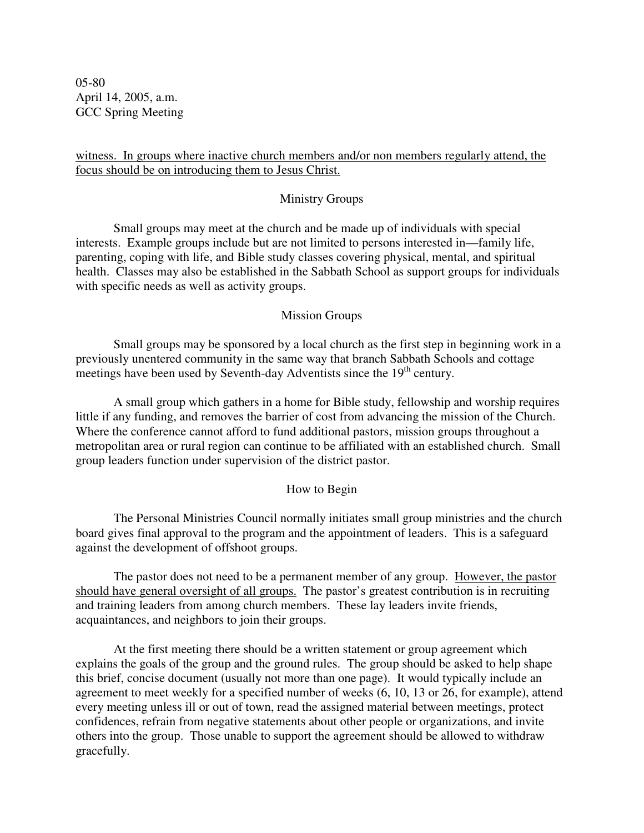05-80 April 14, 2005, a.m. GCC Spring Meeting

# witness. In groups where inactive church members and/or non members regularly attend, the focus should be on introducing them to Jesus Christ.

## Ministry Groups

Small groups may meet at the church and be made up of individuals with special interests. Example groups include but are not limited to persons interested in—family life, parenting, coping with life, and Bible study classes covering physical, mental, and spiritual health. Classes may also be established in the Sabbath School as support groups for individuals with specific needs as well as activity groups.

### Mission Groups

Small groups may be sponsored by a local church as the first step in beginning work in a previously unentered community in the same way that branch Sabbath Schools and cottage meetings have been used by Seventh-day Adventists since the 19<sup>th</sup> century.

A small group which gathers in a home for Bible study, fellowship and worship requires little if any funding, and removes the barrier of cost from advancing the mission of the Church. Where the conference cannot afford to fund additional pastors, mission groups throughout a metropolitan area or rural region can continue to be affiliated with an established church. Small group leaders function under supervision of the district pastor.

# How to Begin

The Personal Ministries Council normally initiates small group ministries and the church board gives final approval to the program and the appointment of leaders. This is a safeguard against the development of offshoot groups.

The pastor does not need to be a permanent member of any group. However, the pastor should have general oversight of all groups. The pastor's greatest contribution is in recruiting and training leaders from among church members. These lay leaders invite friends, acquaintances, and neighbors to join their groups.

At the first meeting there should be a written statement or group agreement which explains the goals of the group and the ground rules. The group should be asked to help shape this brief, concise document (usually not more than one page). It would typically include an agreement to meet weekly for a specified number of weeks (6, 10, 13 or 26, for example), attend every meeting unless ill or out of town, read the assigned material between meetings, protect confidences, refrain from negative statements about other people or organizations, and invite others into the group. Those unable to support the agreement should be allowed to withdraw gracefully.